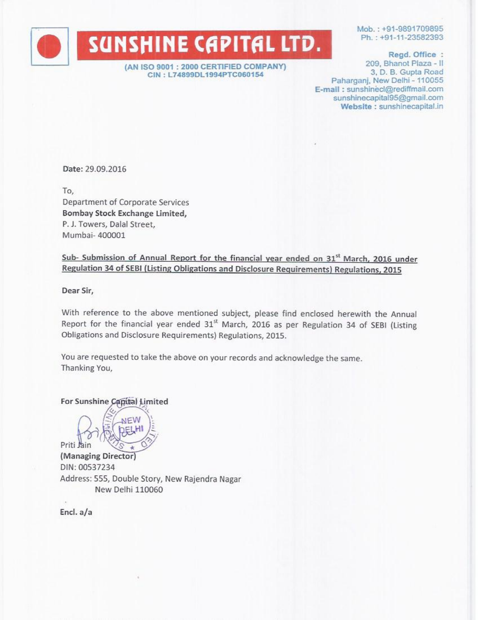

(AN ISO 9001 : 2000 CERTIFIED COMPANY) CIN: L74899DL1994PTC060154

Mob.: +91-9891709895 Ph.: +91-11-23582393

Regd. Office: 209, Bhanot Plaza - II 3, D. B. Gupta Road Paharganj, New Delhi - 110055 E-mail: sunshinecl@rediffmail.com sunshinecapital95@gmail.com Website: sunshinecapital.in

Date: 29.09.2016

To. Department of Corporate Services Bombay Stock Exchange Limited, P. J. Towers, Dalal Street, Mumbai- 400001

Sub- Submission of Annual Report for the financial year ended on 31<sup>st</sup> March, 2016 under Regulation 34 of SEBI (Listing Obligations and Disclosure Requirements) Regulations, 2015

Dear Sir,

With reference to the above mentioned subject, please find enclosed herewith the Annual Report for the financial year ended 31<sup>st</sup> March, 2016 as per Regulation 34 of SEBI (Listing Obligations and Disclosure Requirements) Regulations, 2015.

You are requested to take the above on your records and acknowledge the same. Thanking You,

For Sunshine Capital Limited



(Managing Director) DIN: 00537234 Address: 555, Double Story, New Rajendra Nagar New Delhi 110060

Encl. a/a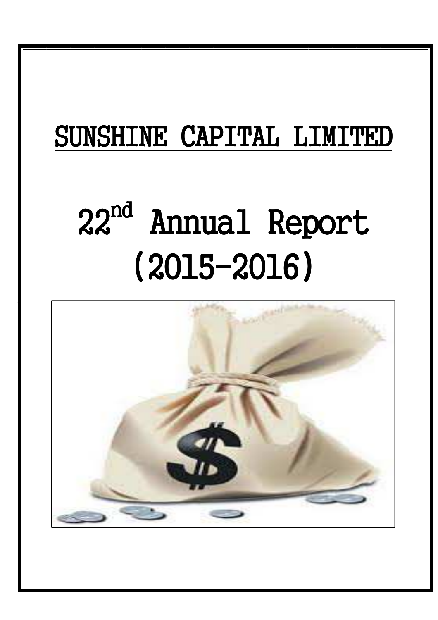## SUNSHINE CAPITAL LIMITED

# 22<sup>nd</sup> Annual Report (2015-2016)

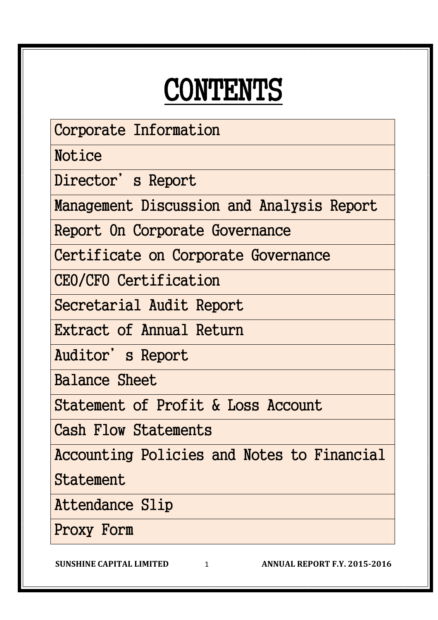## CONTENTS

Corporate Information

Notice

Director's Report

Management Discussion and Analysis Report

Report On Corporate Governance

Certificate on Corporate Governance

CEO/CFO Certification

Secretarial Audit Report

Extract of Annual Return

Auditor's Report

Balance Sheet

Statement of Profit & Loss Account

Cash Flow Statements

Accounting Policies and Notes to Financial

**Statement** 

Attendance Slip

Proxy Form

**SUNSHINE CAPITAL LIMITED** 1 **ANNUAL REPORT F.Y. 2015-2016**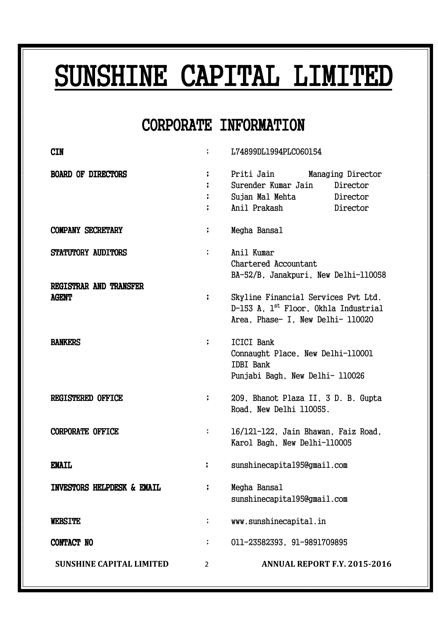## SUNSHINE CAPITAL LIMITED

### CORPORATE INFORMATION CORPORATE INFORMATION

| <b>CIN</b>                             |                      | L74899DL1994PLC060154                                                                                                        |                                           |  |
|----------------------------------------|----------------------|------------------------------------------------------------------------------------------------------------------------------|-------------------------------------------|--|
| <b>BOARD OF DIRECTORS</b>              | $\ddot{\phantom{0}}$ | Priti Jain<br>Surender Kumar Jain<br>Sujan Mal Mehta Director<br>Anil Prakash                                                | Managing Director<br>Director<br>Director |  |
| <b>COMPANY SECRETARY</b>               | ;                    | Megha Bansal                                                                                                                 |                                           |  |
| STATUTORY AUDITORS                     | $\ddot{\phantom{0}}$ | Anil Kumar<br>Chartered Accountant<br>BA-52/B, Janakpuri, New Delhi-110058                                                   |                                           |  |
| REGISTRAR AND TRANSFER<br><b>AGENT</b> |                      | Skyline Financial Services Pvt Ltd.<br>D-153 A, 1 <sup>st</sup> Floor, Okhla Industrial<br>Area, Phase- I, New Delhi- 110020 |                                           |  |
| <b>BANKERS</b>                         | ፡                    | <b>ICICI Bank</b><br>Connaught Place, New Delhi-110001<br><b>IDBI</b> Bank<br>Punjabi Bagh, New Delhi- 110026                |                                           |  |
| <b>REGISTERED OFFICE</b>               | $\ddot{\phantom{a}}$ | 209, Bhanot Plaza II, 3 D. B. Gupta<br>Road, New Delhi 110055.                                                               |                                           |  |
| <b>CORPORATE OFFICE</b>                | $\ddot{\cdot}$       | 16/121-122, Jain Bhawan, Faiz Road,<br>Karol Bagh, New Delhi-110005                                                          |                                           |  |
| <b>EMAIL</b>                           |                      | sunshinecapital95@gmail.com                                                                                                  |                                           |  |
| INVESTORS HELPDESK & EMAIL             | :                    | Megha Bansal<br>sunshinecapital95@gmail.com                                                                                  |                                           |  |
| <b>WEBSITE</b>                         | ;                    | www.sunshinecapital.in                                                                                                       |                                           |  |
| CONTACT NO                             | ;                    | 011-23582393, 91-9891709895                                                                                                  |                                           |  |
| <b>SUNSHINE CAPITAL LIMITED</b>        | $\overline{2}$       |                                                                                                                              | <b>ANNUAL REPORT F.Y. 2015-2016</b>       |  |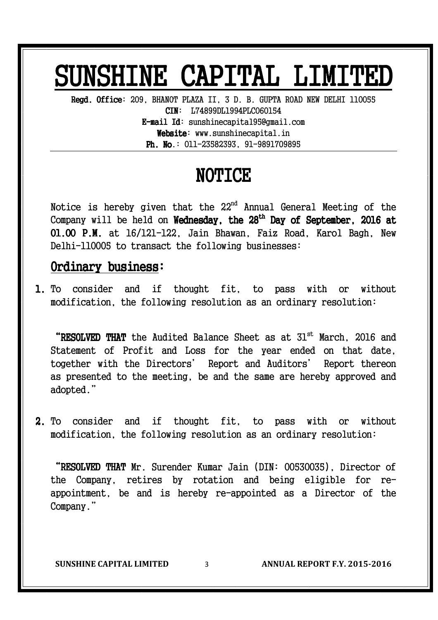## SUNSHINE CAPITAL LIMITED

Regd. Office: 209, BHANOT PLAZA II, 3 D. B. GUPTA ROAD NEW DELHI 110055 CIN: L74899DL1994PLC060154  $E$ -mail Id: sunshinecapital95@gmail.com  $Website:$  www.sunshinecapital.in **Ph. No.:**  $011-23582393$ ,  $91-9891709895$ 

### NOTICE

Notice is hereby given that the 22<sup>nd</sup> Annual General Meeting of the Company will be held on **Wednesday, the 28<sup>th</sup> Day of September, 2016 at** 01.00 P.M. at 16/121-122, Jain Bhawan, Faiz Road, Karol Bagh, New Delhi-110005 to transact the following businesses:

#### Ordinary business:

1. To consider and if thought fit, to pass with or without modification, the following resolution as an ordinary resolution:

"RESOLVED THAT the Audited Balance Sheet as at  $31<sup>st</sup>$  March, 2016 and Statement of Profit and Loss for the year ended on that date, together with the Directors' Report and Auditors' Report thereon as presented to the meeting, be and the same are hereby approved and adopted."

2. To consider and if thought fit, to pass with or without modification, the following resolution as an ordinary resolution:

"RESOLVED THAT Mr. Surender Kumar Jain (DIN: 00530035), Director of the Company, retires by rotation and being eligible for reappointment, be and is hereby re-appointed as a Director of the Company."

**SUNSHINE CAPITAL LIMITED** 3 **ANNUAL REPORT F.Y. 2015-2016**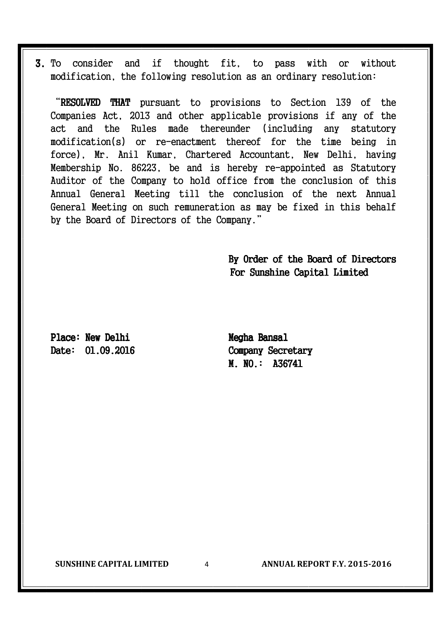3. To consider and if thought fit, to pass with or without modification, the following resolution as an ordinary resolution:

"RESOLVED THAT pursuant to provisions to Section 139 of the Companies Act, 2013 and other applicable provisions if any of the act and the Rules made thereunder (including any statutory modification(s) or re-enactment thereof for the time being in force), Mr. Anil Kumar, Chartered Accountant, New Delhi, having Membership No. 86223, be and is hereby re-appointed as Statutory Auditor of the Company to hold office from the conclusion of this Annual General Meeting till the conclusion of the next Annual General Meeting on such remuneration as may be fixed in this behalf by the Board of Directors of the Company."

> By Order of the Board of Directors For Sunshine Capital Limited

Place: New Delhi Megha Bansal Date:  $01.09.2016$  Company Secretary

M. NO.: A36741

**SUNSHINE CAPITAL LIMITED** 4 **ANNUAL REPORT F.Y. 2015-2016**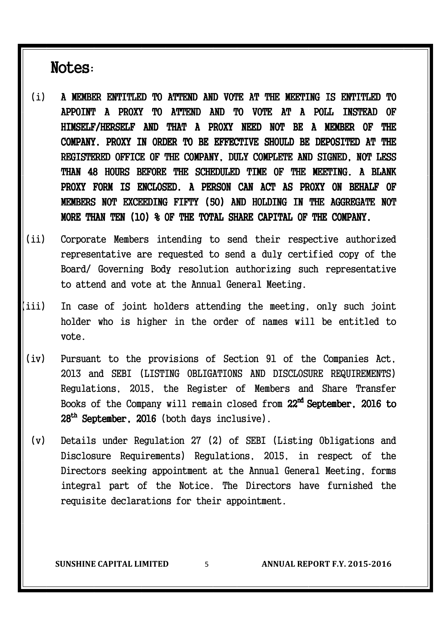Notes:

- (i) A MEMBER ENTITLED TO ATTEND AND VOTE AT THE MEETING IS ENTITLED TO APPOINT A PROXY TO ATTEND AND TO VOTE AT A POLL INSTEAD OF HIMSELF/HERSELF AND THAT A PROXY NEED NOT BE A MEMBER OF THE COMPANY. PROXY IN ORDER TO BE EFFECTIVE SHOULD BE DEPOSITED AT THE REGISTERED OFFICE OF THE COMPANY, DULY COMPLETE AND SIGNED, NOT LESS THAN 48 HOURS BEFORE THE SCHEDULED TIME OF THE MEETING. A BLANK PROXY FORM IS ENCLOSED. A PERSON CAN ACT AS PROXY ON BEHALF OF MEMBERS NOT EXCEEDING FIFTY (50) AND HOLDING IN THE AGGREGATE NOT MORE THAN TEN  $(10)$  % OF THE TOTAL SHARE CAPITAL OF THE COMPANY.
- (ii) Corporate Members intending to send their respective authorized representative are requested to send a duly certified copy of the Board/ Governing Body resolution authorizing such representative to attend and vote at the Annual General Meeting.
- (iii) In case of joint holders attending the meeting, only such joint holder who is higher in the order of names will be entitled to vote.
- (iv) Pursuant to the provisions of Section 91 of the Companies Act, 2013 and SEBI (LISTING OBLIGATIONS AND DISCLOSURE REQUIREMENTS) Regulations, 2015, the Register of Members and Share Transfer Books of the Company will remain closed from 22<sup>nd</sup> September, 2016 to 28<sup>th</sup> September, 2016 (both days inclusive).
	- (v) Details under Regulation 27 (2) of SEBI (Listing Obligations and Disclosure Requirements) Regulations, 2015, in respect of the Directors seeking appointment at the Annual General Meeting, forms integral part of the Notice. The Directors have furnished the requisite declarations for their appointment.

**SUNSHINE CAPITAL LIMITED** 5 **ANNUAL REPORT F.Y. 2015-2016**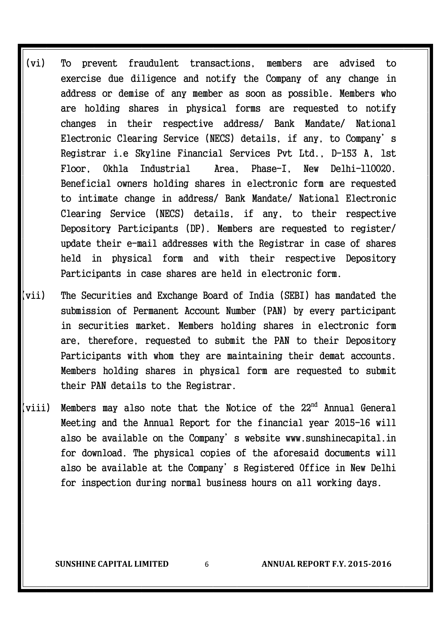- (vi) To prevent fraudulent transactions, members are advised to exercise due diligence and notify the Company of any change in address or demise of any member as soon as possible. Members who are holding shares in physical forms are requested to notify changes in their respective address/ Bank Mandate/ National Electronic Clearing Service (NECS) details, if any, to Company's Registrar i.e Skyline Financial Services Pvt Ltd., D-153 A, 1st Floor, Okhla Industrial Area, Phase-I, New Delhi-110020. Beneficial owners holding shares in electronic form are requested to intimate change in address/ Bank Mandate/ National Electronic Clearing Service (NECS) details, if any, to their respective Depository Participants (DP). Members are requested to register/ update their e-mail addresses with the Registrar in case of shares held in physical form and with their respective Depository Participants in case shares are held in electronic form.
- (vii) The Securities and Exchange Board of India (SEBI) has mandated the submission of Permanent Account Number (PAN) by every participant in securities market. Members holding shares in electronic form are, therefore, requested to submit the PAN to their Depository Participants with whom they are maintaining their demat accounts. Members holding shares in physical form are requested to submit their PAN details to the Registrar.
- (viii) Members may also note that the Notice of the  $22^{nd}$  Annual General Meeting and the Annual Report for the financial year 2015-16 will also be available on the Company's website www.sunshinecapital.in for download. The physical copies of the aforesaid documents will also be available at the Company's Registered Office in New Delhi for inspection during normal business hours on all working days.

**SUNSHINE CAPITAL LIMITED** 6 **ANNUAL REPORT F.Y. 2015-2016**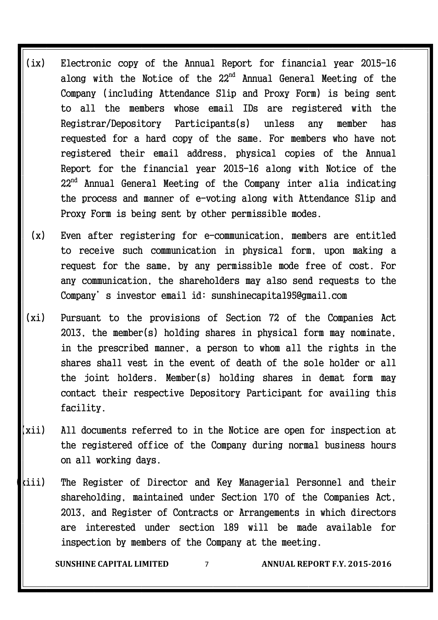- (ix) Electronic copy of the Annual Report for financial year 2015-16 along with the Notice of the  $22<sup>nd</sup>$  Annual General Meeting of the Company (including Attendance Slip and Proxy Form) is being sent to all the members whose email IDs are registered with the Registrar/Depository Participants(s) unless any member has requested for a hard copy of the same. For members who have not registered their email address, physical copies of the Annual Report for the financial year 2015-16 along with Notice of the 22nd Annual General Meeting of the Company inter alia indicating the process and manner of e-voting along with Attendance Slip and Proxy Form is being sent by other permissible modes.
- (x) Even after registering for e-communication, members are entitled to receive such communication in physical form, upon making a request for the same, by any permissible mode free of cost. For any communication, the shareholders may also send requests to the Company's investor email id: sunshinecapital95@gmail.com
- (xi) Pursuant to the provisions of Section 72 of the Companies Act 2013, the member(s) holding shares in physical form may nominate, in the prescribed manner, a person to whom all the rights in the shares shall vest in the event of death of the sole holder or all the joint holders. Member(s) holding shares in demat form may contact their respective Depository Participant for availing this facility.
- (xii) All documents referred to in the Notice are open for inspection at the registered office of the Company during normal business hours on all working days.
- $k$ iii) The Register of Director and Key Managerial Personnel and their shareholding, maintained under Section 170 of the Companies Act, 2013, and Register of Contracts or Arrangements in which directors are interested under section 189 will be made available for inspection by members of the Company at the meeting.

**SUNSHINE CAPITAL LIMITED** 7 **ANNUAL REPORT F.Y. 2015-2016**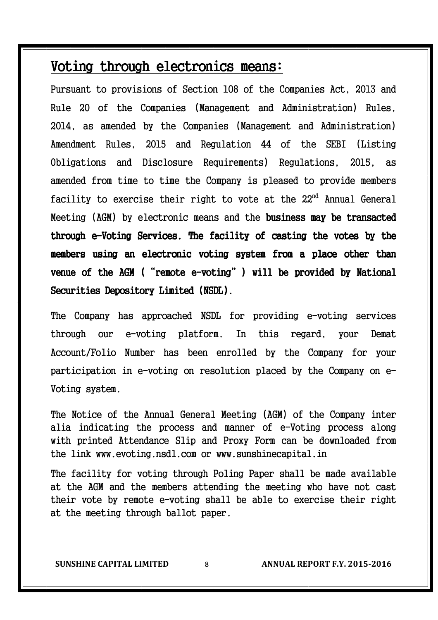#### Voting through electronics means:

Pursuant to provisions of Section 108 of the Companies Act, 2013 and Rule 20 of the Companies (Management and Administration) Rules, 2014, as amended by the Companies (Management and Administration) Amendment Rules, 2015 and Regulation 44 of the SEBI (Listing Obligations and Disclosure Requirements) Regulations, 2015, as amended from time to time the Company is pleased to provide members facility to exercise their right to vote at the 22nd Annual General Meeting (AGM) by electronic means and the **business may be transacted** through e-Voting Services. The facility of casting the votes by the members using an electronic voting system from a place other than venue of the AGM ("remote e-voting") will be provided by National Securities Depository Limited (NSDL).

The Company has approached NSDL for providing e-voting services through our e-voting platform. In this regard, your Demat Account/Folio Number has been enrolled by the Company for your participation in e-voting on resolution placed by the Company on e-Voting system.

The Notice of the Annual General Meeting (AGM) of the Company inter alia indicating the process and manner of e-Voting process along with printed Attendance Slip and Proxy Form can be downloaded from the link www.evoting.nsdl.com or www.sunshinecapital.in

The facility for voting through Poling Paper shall be made available at the AGM and the members attending the meeting who have not cast their vote by remote e-voting shall be able to exercise their right at the meeting through ballot paper.

**SUNSHINE CAPITAL LIMITED** 8 **ANNUAL REPORT F.Y. 2015-2016**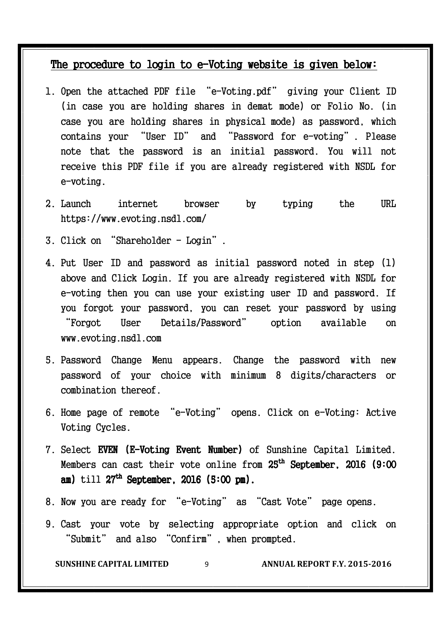#### The procedure to login to e-Voting website is given below:

- 1. Open the attached PDF file "e-Voting.pdf" giving your Client ID (in case you are holding shares in demat mode) or Folio No. (in case you are holding shares in physical mode) as password, which contains your "User ID" and "Password for e-voting". Please note that the password is an initial password. You will not receive this PDF file if you are already registered with NSDL for e-voting.
- 2. Launch internet browser by typing the URL https://www.evoting.nsdl.com/
- 3. Click on "Shareholder Login".
- 4. Put User ID and password as initial password noted in step (1) above and Click Login. If you are already registered with NSDL for e-voting then you can use your existing user ID and password. If you forgot your password, you can reset your password by using "Forgot User Details/Password" option available on www.evoting.nsdl.com
- 5. Password Change Menu appears. Change the password with new password of your choice with minimum 8 digits/characters or combination thereof.
- 6. Home page of remote "e-Voting" opens. Click on e-Voting: Active Voting Cycles.
- 7. Select EVEN (E-Voting Event Number) of Sunshine Capital Limited. Members can cast their vote online from  $25^{\text{th}}$  September, 2016 (9:00  $^{\circ}$ am) till  $27^{\text{th}}$  September, 2016 (5:00 pm).
- 8. Now you are ready for "e-Voting" as "Cast Vote" page opens.
- 9. Cast your vote by selecting appropriate option and click on "Submit" and also "Confirm", when prompted.

**SUNSHINE CAPITAL LIMITED** 9 **ANNUAL REPORT F.Y. 2015-2016**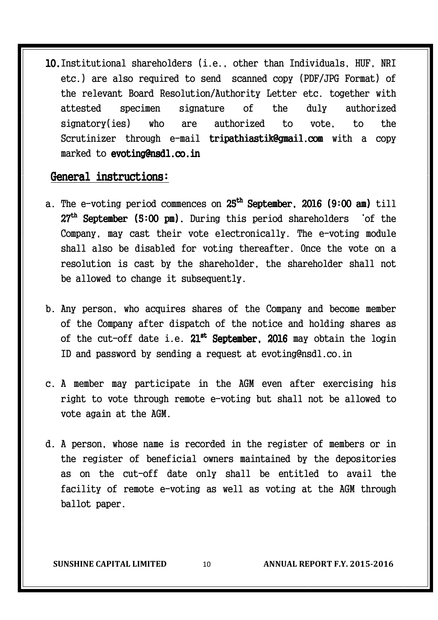10.Institutional shareholders (i.e., other than Individuals, HUF, NRI etc.) are also required to send scanned copy (PDF/JPG Format) of the relevant Board Resolution/Authority Letter etc. together with attested specimen signature of the duly authorized signatory(ies) who are authorized to vote, to the Scrutinizer through e-mail tripathiastik@gmail.com with a copy marked to evoting@nsdl.co.in

#### General instructions: General instructions:

- a. The e-voting period commences on 25<sup>th</sup> S**eptember, 2016 (9:00 am)** till  $27<sup>th</sup>$  September (5:00 pm). During this period shareholders 'of the Company, may cast their vote electronically. The e-voting module shall also be disabled for voting thereafter. Once the vote on a resolution is cast by the shareholder, the shareholder shall not be allowed to change it subsequently.
- b. Any person, who acquires shares of the Company and become member of the Company after dispatch of the notice and holding shares as of the cut-off date i.e.  $\textbf{21}^\text{st}$  September, 2016 may obtain the login ID and password by sending a request at evoting@nsdl.co.in
- c. A member may participate in the AGM even after exercising his right to vote through remote e-voting but shall not be allowed to vote again at the AGM.
- d. A person, whose name is recorded in the register of members or in the register of beneficial owners maintained by the depositories as on the cut-off date only shall be entitled to avail the facility of remote e-voting as well as voting at the AGM through ballot paper.

**SUNSHINE CAPITAL LIMITED** 10 **ANNUAL REPORT F.Y. 2015-2016**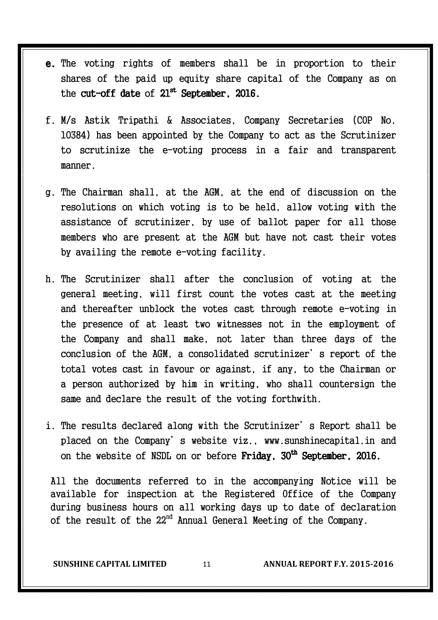- e. The voting rights of members shall be in proportion to their shares of the paid up equity share capital of the Company as on the cut-off date of  $21^{st}$  September, 2016.
- f. M/s Astik Tripathi & Associates, Company Secretaries (COP No. 10384) has been appointed by the Company to act as the Scrutinizer to scrutinize the e-voting process in a fair and transparent manner.
- g. The Chairman shall, at the AGM, at the end of discussion on the resolutions on which voting is to be held, allow voting with the assistance of scrutinizer, by use of ballot paper for all those members who are present at the AGM but have not cast their votes by availing the remote e-voting facility.
- h. The Scrutinizer shall after the conclusion of voting at the general meeting, will first count the votes cast at the meeting and thereafter unblock the votes cast through remote e-voting in the presence of at least two witnesses not in the employment of the Company and shall make, not later than three days of the conclusion of the AGM, a consolidated scrutinizer's report of the total votes cast in favour or against, if any, to the Chairman or a person authorized by him in writing, who shall countersign the same and declare the result of the voting forthwith.
- i. The results declared along with the Scrutinizer's Report shall be placed on the Company's website viz., www.sunshinecapital.in and on the website of NSDL on or before **Friday, 30<sup>th</sup> September, 2016.**

All the documents referred to in the accompanying Notice will be available for inspection at the Registered Office of the Company during business hours on all working days up to date of declaration of the result of the 22<sup>nd</sup> Annual General Meeting of the Company.

**SUNSHINE CAPITAL LIMITED** 11 **ANNUAL REPORT F.Y. 2015-2016**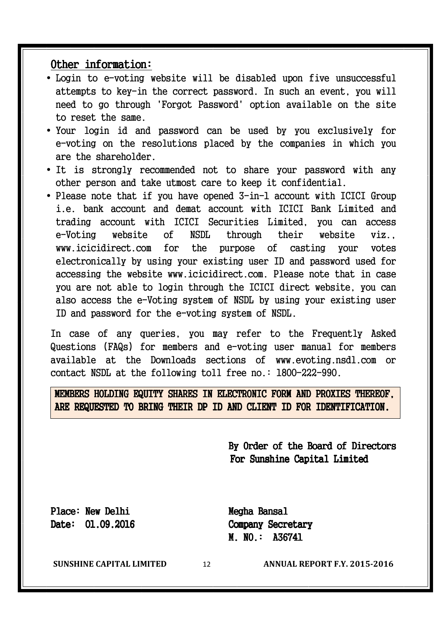#### Other information:

- Login to e-voting website will be disabled upon five unsuccessful attempts to key-in the correct password. In such an event, you will need to go through 'Forgot Password' option available on the site to reset the same.
- Your login id and password can be used by you exclusively for e-voting on the resolutions placed by the companies in which you are the shareholder.
- It is strongly recommended not to share your password with any other person and take utmost care to keep it confidential.
- Please note that if you have opened 3-in-1 account with ICICI Group i.e. bank account and demat account with ICICI Bank Limited and trading account with ICICI Securities Limited, you can access e-Voting website of NSDL through their website viz., www.icicidirect.com for the purpose of casting your votes electronically by using your existing user ID and password used for accessing the website www.icicidirect.com. Please note that in case you are not able to login through the ICICI direct website, you can also access the e-Voting system of NSDL by using your existing user ID and password for the e-voting system of NSDL.

In case of any queries, you may refer to the Frequently Asked Questions (FAQs) for members and e-voting user manual for members available at the Downloads sections of www.evoting.nsdl.com or contact NSDL at the following toll free no.: 1800-222-990.

MEMBERS HOLDING EQUITY SHARES IN ELECTRONIC FORM AND PROXIES THEREOF, ARE REQUESTED TO BRING THEIR DP ID AND CLIENT ID FOR IDENTIFICATION.

> By Order of the Board of Directors For Sunshine Capital Limited

Place: New Delhi Megha Bansal

in the contract of the contract of the contract of the contract of the contract of the contract of the contract of the contract of the contract of the contract of the contract of the contract of the contract of the contrac

Date:  $01.09.2016$  Company Secretary  $M. N0.$ : A36741

**SUNSHINE CAPITAL LIMITED** 12 **ANNUAL REPORT F.Y. 2015-2016**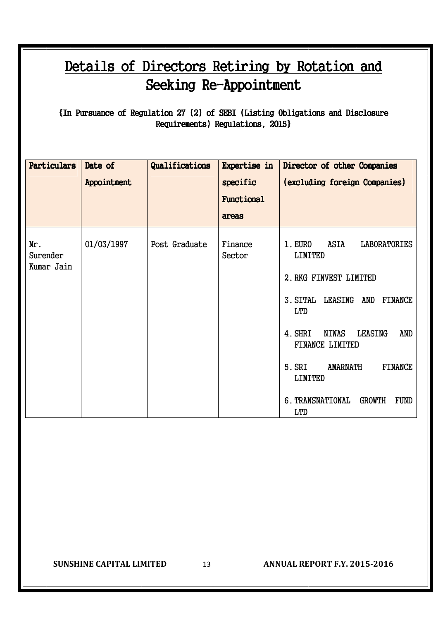### Details of Directors Retiring by Rotation and Seeking Re-Appointment

 ${In Pursuance of Regulation 27 (2) of SEBI (Listing Obligations and Disclosure)$ Requirements) Regulations, 2015}

| Particulars                   | Date of<br>Appointment | Qualifications | Expertise in<br>specific<br>Functional<br>areas | Director of other Companies<br>(excluding foreign Companies)                                                                                                                                                                                                                                                                                     |
|-------------------------------|------------------------|----------------|-------------------------------------------------|--------------------------------------------------------------------------------------------------------------------------------------------------------------------------------------------------------------------------------------------------------------------------------------------------------------------------------------------------|
| Mr.<br>Surender<br>Kumar Jain | 01/03/1997             | Post Graduate  | Finance<br>Sector                               | ASIA<br>1. EURO<br><b>LABORATORIES</b><br><b>LIMITED</b><br>2. RKG FINVEST LIMITED<br>3. SITAL LEASING<br>AND<br>FINANCE<br><b>LTD</b><br>4. SHRI<br><b>NIWAS</b><br><b>LEASING</b><br>AND<br>FINANCE LIMITED<br>5. SRI<br><b>AMARNATH</b><br><b>FINANCE</b><br><b>LIMITED</b><br><b>FUND</b><br>6. TRANSNATIONAL<br><b>GROWTH</b><br><b>LTD</b> |

**SUNSHINE CAPITAL LIMITED** 13 **ANNUAL REPORT F.Y. 2015-2016**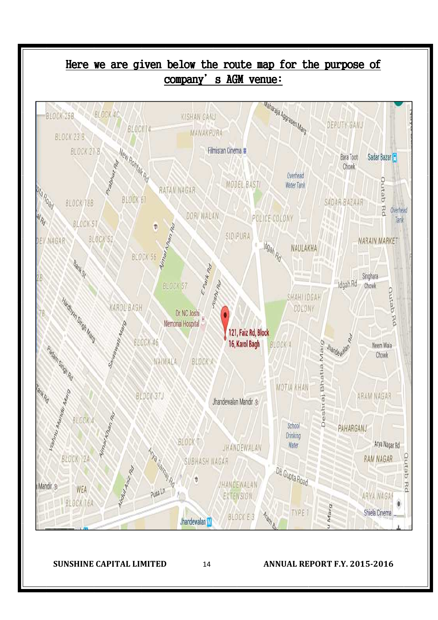

**SUNSHINE CAPITAL LIMITED** 14 **ANNUAL REPORT F.Y. 2015-2016**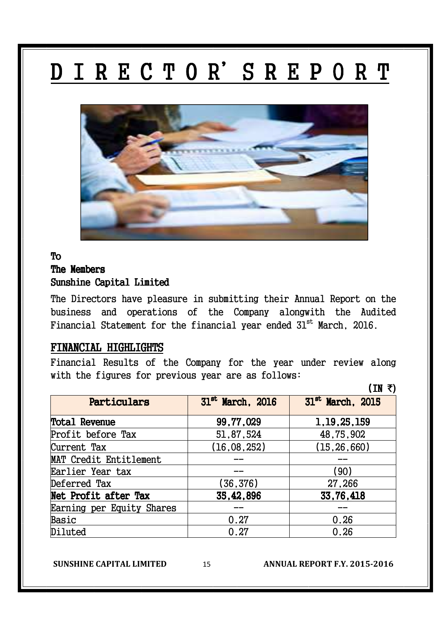## DIRECTOR'S REPORT



#### To The Members Sunshine Capital Limited

The Directors have pleasure in submitting their Annual Report on the business and operations of the Company alongwith the Audited Financial Statement for the financial year ended 31<sup>st</sup> March, 2016.

#### FINANCIAL HIGHLIGHTS

Financial Results of the Company for the year under review along with the figures for previous year are as follows:

|                           | 1 TM /                       |                              |
|---------------------------|------------------------------|------------------------------|
| Particulars               | 31 <sup>st</sup> March, 2016 | 31 <sup>st</sup> March, 2015 |
| <b>Total Revenue</b>      | 99,77,029                    | 1, 19, 25, 159               |
| Profit before Tax         | 51,87,524                    | 48,75,902                    |
| Current Tax               | (16,08,252)                  | (15, 26, 660)                |
| MAT Credit Entitlement    |                              |                              |
| Earlier Year tax          |                              | (90)                         |
| Deferred Tax              | (36,376)                     | 27,266                       |
| Net Profit after Tax      | 35,42,896                    | 33,76,418                    |
| Earning per Equity Shares |                              |                              |
| Basic                     | 0.27                         | 0.26                         |
| Diluted                   | 0.27                         | 0.26                         |

**SUNSHINE CAPITAL LIMITED** 15 **ANNUAL REPORT F.Y. 2015-2016** 

 $(IN \tmathcal{F})$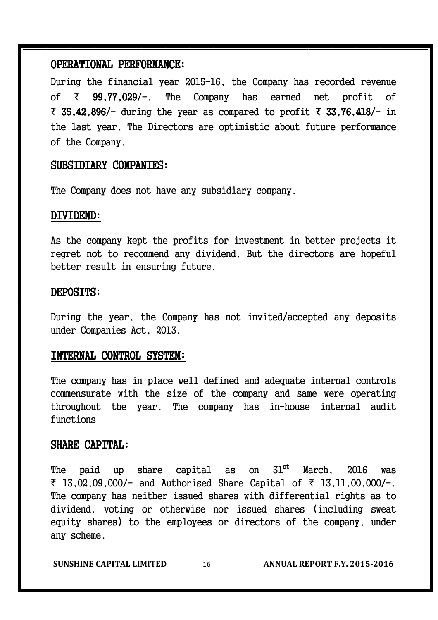#### OPERATIONAL PERFORMANCE:

During the financial year 2015-16, the Company has recorded revenue of  $\bar{\tau}$  99.77.029/-. The Company has earned net profit of ₹ 35,42,896/- during the year as compared to profit ₹ 33,76,418/- in the last year. The Directors are optimistic about future performance of the Company.

#### SUBSIDIARY COMPANIES:

The Company does not have any subsidiary company.

#### DIVIDEND:

As the company kept the profits for investment in better projects it regret not to recommend any dividend. But the directors are hopeful better result in ensuring future.

#### DEPOSITS:

During the year, the Company has not invited/accepted any deposits under Companies Act, 2013.

#### INTERNAL CONTROL SYSTEM:

The company has in place well defined and adequate internal controls commensurate with the size of the company and same were operating throughout the year. The company has in-house internal audit functions

#### SHARE CAPITAL:

The paid up share capital as on 31 $^{\rm{st}}$  March, 2016 was  $\bar{x}$  13,02,09,000/- and Authorised Share Capital of  $\bar{x}$  13,11,00,000/-. The company has neither issued shares with differential rights as to dividend, voting or otherwise nor issued shares (including sweat equity shares) to the employees or directors of the company, under any scheme.

**SUNSHINE CAPITAL LIMITED** 16 **ANNUAL REPORT F.Y. 2015-2016**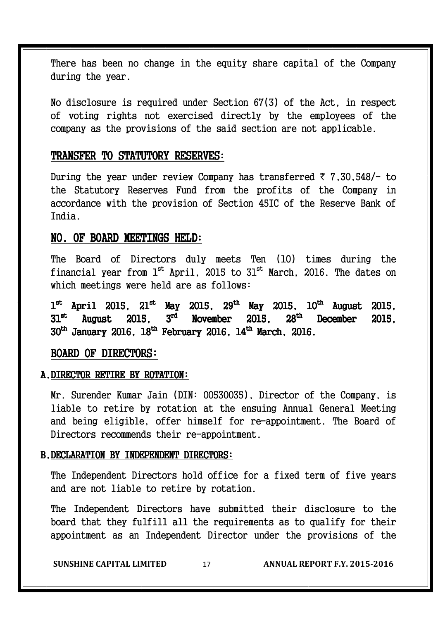There has been no change in the equity share capital of the Company during the year.

No disclosure is required under Section 67(3) of the Act, in respect of voting rights not exercised directly by the employees of the company as the provisions of the said section are not applicable.

#### TRANSFER TO STATUTORY RESERVES:

During the year under review Company has transferred  $\bar{\tau}$  7.30.548/- to the Statutory Reserves Fund from the profits of the Company in accordance with the provision of Section 45IC of the Reserve Bank of India.

#### NO. OF BOARD MEETINGS HELD:

The Board of Directors duly meets Ten (10) times during the financial year from  $l^{st}$  April, 2015 to  $31^{st}$  March, 2016. The dates on which meetings were held are as follows:

 $1^{\rm st}$  April 2015, 21 $^{\rm st}$  May 2015, 29 $^{\rm th}$  May 2015, 10 $^{\rm th}$  August 2015,  $31^{\rm st}$ August  $2015$ ,  $3<sup>rd</sup>$ November 2015,  $28<sup>th</sup>$ December 2015,  $30^{\rm th}$  January 2016,  $18^{\rm th}$  February 2016,  $14^{\rm th}$  March, 2016.

#### BOARD OF DIRECTORS:

#### A. DIRECTOR RETIRE BY ROTATION:

Mr. Surender Kumar Jain (DIN: 00530035), Director of the Company, is liable to retire by rotation at the ensuing Annual General Meeting and being eligible, offer himself for re-appointment. The Board of Directors recommends their re-appointment.

#### B. DECLARATION BY INDEPENDENT DIRECTORS:

The Independent Directors hold office for a fixed term of five years and are not liable to retire by rotation.

The Independent Directors have submitted their disclosure to the board that they fulfill all the requirements as to qualify for their appointment as an Independent Director under the provisions of the

**SUNSHINE CAPITAL LIMITED** 17 **ANNUAL REPORT F.Y. 2015-2016**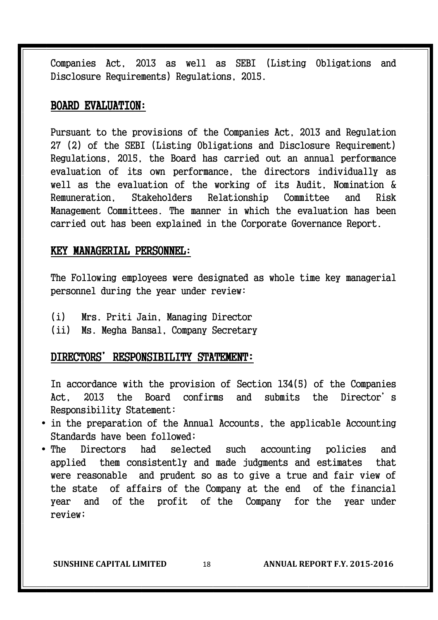Companies Act, 2013 as well as SEBI (Listing Obligations and Disclosure Requirements) Regulations, 2015.

#### BOARD EVALUATION:

Pursuant to the provisions of the Companies Act, 2013 and Regulation 27 (2) of the SEBI (Listing Obligations and Disclosure Requirement) Regulations, 2015, the Board has carried out an annual performance evaluation of its own performance, the directors individually as well as the evaluation of the working of its Audit, Nomination & Remuneration, Stakeholders Relationship Committee and Risk Management Committees. The manner in which the evaluation has been carried out has been explained in the Corporate Governance Report.

#### KEY MANAGERIAL PERSONNEL:

The Following employees were designated as whole time key managerial personnel during the year under review:

- (i) Mrs. Priti Jain, Managing Director
- (ii) Ms. Megha Bansal, Company Secretary

#### DIRECTORS' RESPONSIBILITY STATEMENT:

In accordance with the provision of Section 134(5) of the Companies Act, 2013 the Board confirms and submits the Director's Responsibility Statement:

- in the preparation of the Annual Accounts, the applicable Accounting Standards have been followed;
- The Directors had selected such accounting policies and applied them consistently and made judgments and estimates that were reasonable and prudent so as to give a true and fair view of the state of affairs of the Company at the end of the financial year and of the profit of the Company for the year under review;

**SUNSHINE CAPITAL LIMITED** 18 **ANNUAL REPORT F.Y. 2015-2016**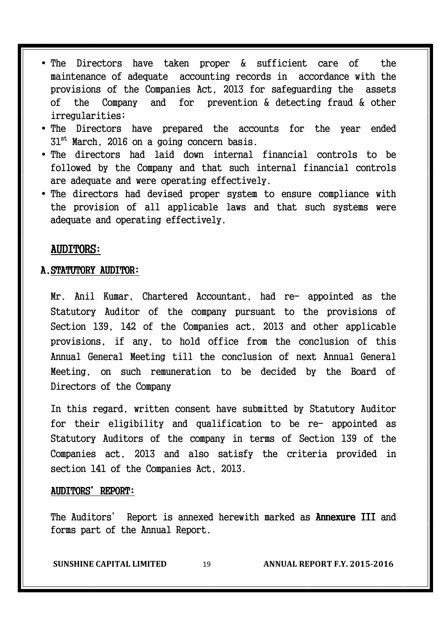- The Directors have taken proper & sufficient care of the maintenance of adequate accounting records in accordance with the provisions of the Companies Act, 2013 for safeguarding the assets of the Company and for prevention & detecting fraud & other irregularities;
- The Directors have prepared the accounts for the year ended  $31<sup>st</sup>$  March, 2016 on a going concern basis.
- The directors had laid down internal financial controls to be followed by the Company and that such internal financial controls are adequate and were operating effectively.
- The directors had devised proper system to ensure compliance with the provision of all applicable laws and that such systems were adequate and operating effectively.

#### **AUDITORS:**

#### A. STATUTORY AUDITOR:

Mr. Anil Kumar, Chartered Accountant, had re- appointed as the Statutory Auditor of the company pursuant to the provisions of Section 139, 142 of the Companies act, 2013 and other applicable provisions, if any, to hold office from the conclusion of this Annual General Meeting till the conclusion of next Annual General Meeting, on such remuneration to be decided by the Board of Directors of the Company

In this regard, written consent have submitted by Statutory Auditor for their eligibility and qualification to be re- appointed as Statutory Auditors of the company in terms of Section 139 of the Companies act, 2013 and also satisfy the criteria provided in section 141 of the Companies Act, 2013.

#### AUDITORS' REPORT:

The Auditors' Report is annexed herewith marked as **Annexure III** and forms part of the Annual Report.

**SUNSHINE CAPITAL LIMITED** 19 **ANNUAL REPORT F.Y. 2015-2016**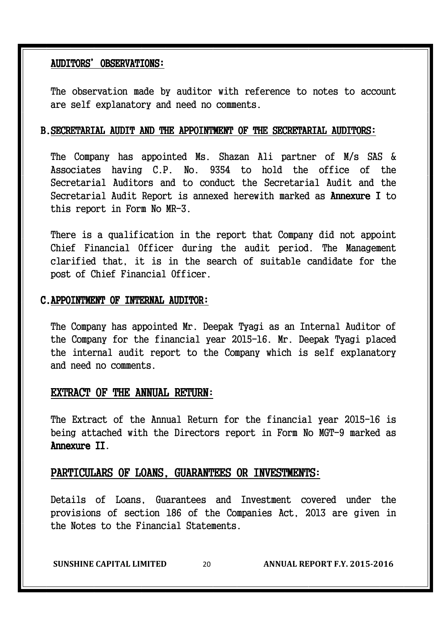#### AUDITORS' AUDITORS'OBSERVATIONS: OBSERVATIONS:

The observation made by auditor with reference to notes to account are self explanatory and need no comments.

#### B.SECRETARIAL AUDIT AND THE APPOINTMENT OF THE SECRETARIAL AUDITORS:

The Company has appointed Ms. Shazan Ali partner of M/s SAS & Associates having C.P. No. 9354 to hold the office of the Secretarial Auditors and to conduct the Secretarial Audit and the Secretarial Audit Report is annexed herewith marked as Annexure I to this report in Form No MR-3.

There is a qualification in the report that Company did not appoint Chief Financial Officer during the audit period. The Management clarified that, it is in the search of suitable candidate for the post of Chief Financial Officer.

#### C.APPOINTMENT OF INTERNAL AUDITOR:

The Company has appointed Mr. Deepak Tyagi as an Internal Auditor of the Company for the financial year 2015-16. Mr. Deepak Tyagi placed the internal audit report to the Company which is self explanatory and need no comments.

#### EXTRACT OF THE ANNUAL RETURN:

The Extract of the Annual Return for the financial year 2015-16 is being attached with the Directors report in Form No MGT-9 marked as Annexure II.

#### PARTICULARS OF LOANS, GUARANTEES OR INVESTMENTS:

Details of Loans, Guarantees and Investment covered under the provisions of section 186 of the Companies Act, 2013 are given in the Notes to the Financial Statements.

**SUNSHINE CAPITAL LIMITED** 20 **ANNUAL REPORT F.Y. 2015-2016**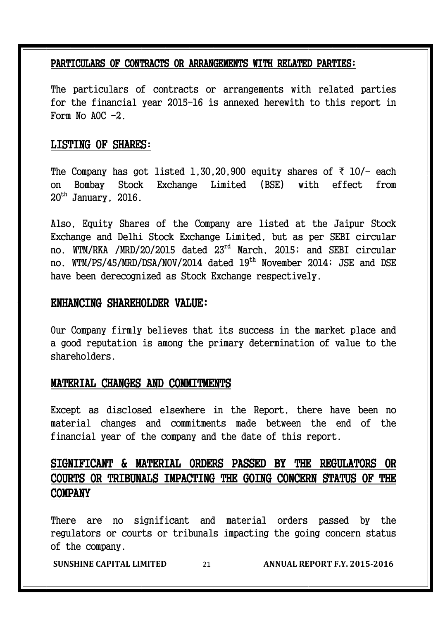#### PARTICULARS OF CONTRACTS OR ARRANGEMENTS WITH RELATED PARTIES:

The particulars of contracts or arrangements with related parties for the financial year 2015-16 is annexed herewith to this report in Form No  $AOC -2$ .

#### LISTING OF SHARES:

The Company has got listed 1,30,20,900 equity shares of  $\bar{\tau}$  10/- each on Bombay Stock Exchange Limited (BSE) with effect from  $20<sup>th</sup>$  January, 2016.

Also, Equity Shares of the Company are listed at the Jaipur Stock Exchange and Delhi Stock Exchange Limited, but as per SEBI circular no. WTM/RKA /MRD/20/2015 dated 23rd March, 2015; and SEBI circular no. WTM/PS/45/MRD/DSA/NOV/2014 dated 19<sup>th</sup> November 2014; JSE and DSE have been derecognized as Stock Exchange respectively.

#### ENHANCING SHAREHOLDER VALUE:

Our Company firmly believes that its success in the market place and a good reputation is among the primary determination of value to the shareholders.

#### MATERIAL CHANGES AND COMMITMENTS

Except as disclosed elsewhere in the Report, there have been no material changes and commitments made between the end of the financial year of the company and the date of this report.

#### SIGNIFICANT & MATERIAL ORDERS PASSED BY THE REGULATORS OR COURTS OR TRIBUNALS IMPACTING THE GOING CONCERN STATUS OF THE COMPANY

There are no significant and material orders passed by the regulators or courts or tribunals impacting the going concern status of the company.

**SUNSHINE CAPITAL LIMITED** 21 **ANNUAL REPORT F.Y. 2015-2016**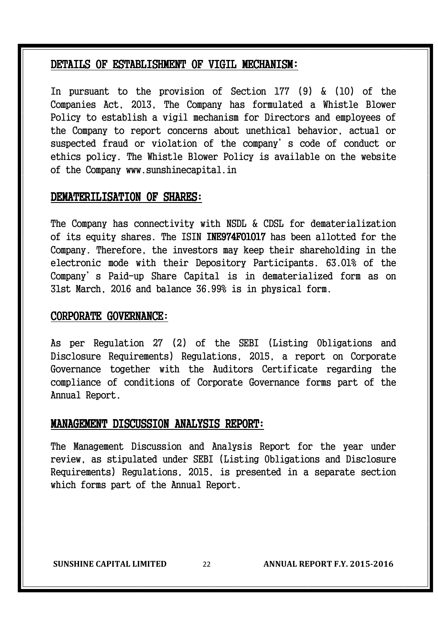#### DETAILS OF ESTABLISHMENT OF VIGIL MECHANISM:

In pursuant to the provision of Section 177 (9) & (10) of the Companies Act, 2013, The Company has formulated a Whistle Blower Policy to establish a vigil mechanism for Directors and employees of the Company to report concerns about unethical behavior, actual or suspected fraud or violation of the company's code of conduct or ethics policy. The Whistle Blower Policy is available on the website of the Company www.sunshinecapital.in

#### DEMATERILISATION OF SHARES:

The Company has connectivity with NSDL & CDSL for dematerialization of its equity shares. The ISIN INE974F01017 has been allotted for the Company. Therefore, the investors may keep their shareholding in the electronic mode with their Depository Participants. 63.01% of the Company's Paid-up Share Capital is in dematerialized form as on 31st March, 2016 and balance 36.99% is in physical form.

#### CORPORATE GOVERNANCE:

As per Regulation 27 (2) of the SEBI (Listing Obligations and Disclosure Requirements) Regulations, 2015, a report on Corporate Governance together with the Auditors Certificate regarding the compliance of conditions of Corporate Governance forms part of the Annual Report.

#### MANAGEMENT DISCUSSION ANALYSIS REPORT:

The Management Discussion and Analysis Report for the year under review, as stipulated under SEBI (Listing Obligations and Disclosure Requirements) Regulations, 2015, is presented in a separate section which forms part of the Annual Report.

**SUNSHINE CAPITAL LIMITED** 22 **ANNUAL REPORT F.Y. 2015-2016**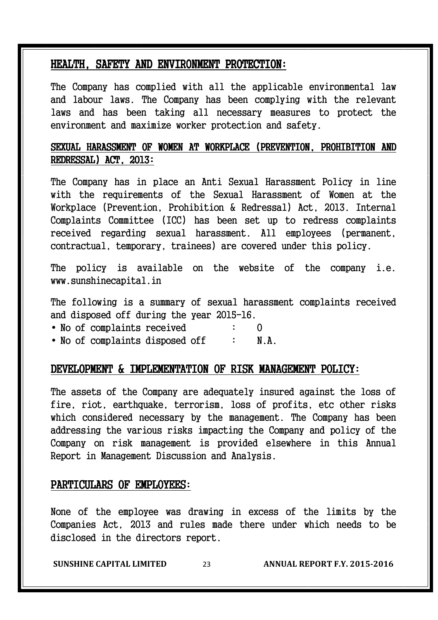#### HEALTH, SAFETY AND ENVIRONMENT PROTECTION:

The Company has complied with all the applicable environmental law and labour laws. The Company has been complying with the relevant laws and has been taking all necessary measures to protect the environment and maximize worker protection and safety.

#### SEXUAL HARASSMENT OF WOMEN AT WORKPLACE (PREVENTION, PROHIBITION AND  $REDRESSAL)$   $ACT.$   $2013:$

The Company has in place an Anti Sexual Harassment Policy in line with the requirements of the Sexual Harassment of Women at the Workplace (Prevention, Prohibition & Redressal) Act, 2013. Internal Complaints Committee (ICC) has been set up to redress complaints received regarding sexual harassment. All employees (permanent, contractual, temporary, trainees) are covered under this policy.

The policy is available on the website of the company i.e. www.sunshinecapital.in

The following is a summary of sexual harassment complaints received and disposed off during the year 2015-16.

- No of complaints received : 0
- No of complaints disposed off : N.A.

#### DEVELOPMENT & IMPLEMENTATION OF RISK MANAGEMENT POLICY:

The assets of the Company are adequately insured against the loss of fire, riot, earthquake, terrorism, loss of profits, etc other risks which considered necessary by the management. The Company has been addressing the various risks impacting the Company and policy of the Company on risk management is provided elsewhere in this Annual Report in Management Discussion and Analysis.

#### PARTICULARS OF EMPLOYEES:

None of the employee was drawing in excess of the limits by the Companies Act, 2013 and rules made there under which needs to be disclosed in the directors report.

**SUNSHINE CAPITAL LIMITED** 23 **ANNUAL REPORT F.Y. 2015-2016**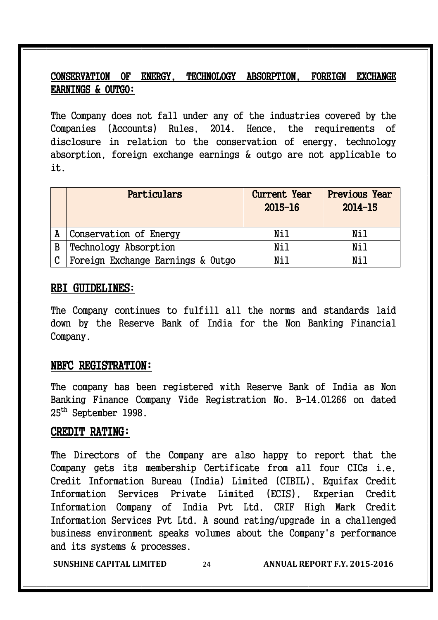#### CONSERVATION OF ENERGY, TECHNOLOGY ABSORPTION, FOREIGN EXCHANGE EARNINGS & OUTGO: EARNINGS & OUTGO:

The Company does not fall under any of the industries covered by the Companies (Accounts) Rules, 2014. Hence, the requirements of disclosure in relation to the conservation of energy, technology absorption, foreign exchange earnings & outgo are not applicable to it.

|               | Particulars                       | <b>Current Year</b><br>$2015 - 16$ | <b>Previous Year</b><br>$2014 - 15$ |
|---------------|-----------------------------------|------------------------------------|-------------------------------------|
|               | Conservation of Energy            | Nil                                | Nil                                 |
| B             | Technology Absorption             | Nil                                | Nil                                 |
| $\mathcal{C}$ | Foreign Exchange Earnings & Outgo | Nil                                | Nil                                 |

#### RBI GUIDELINES:

The Company continues to fulfill all the norms and standards laid down by the Reserve Bank of India for the Non Banking Financial Company.

#### NBFC REGISTRATION:

The company has been registered with Reserve Bank of India as Non Banking Finance Company Vide Registration No. B-14.01266 on dated 25th September 1998.

#### CREDIT RATING:

The Directors of the Company are also happy to report that the Company gets its membership Certificate from all four CICs i.e, Credit Information Bureau (India) Limited (CIBIL), Equifax Credit Information Services Private Limited (ECIS), Experian Credit Information Company of India Pvt Ltd, CRIF High Mark Credit Information Services Pvt Ltd. A sound rating/upgrade in a challenged business environment speaks volumes about the Company's performance and its systems & processes.

**SUNSHINE CAPITAL LIMITED** 24 **ANNUAL REPORT F.Y. 2015-2016**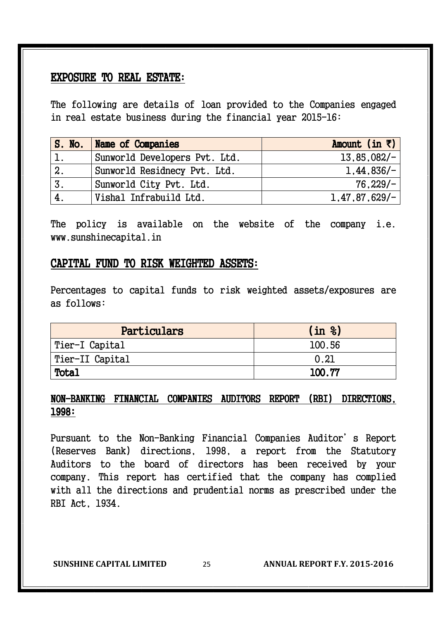#### EXPOSURE TO REAL ESTATE:

The following are details of loan provided to the Companies engaged in real estate business during the financial year 2015-16:

|    | S. No.   Name of Companies    | Amount (in $\bar{z}$ ) |
|----|-------------------------------|------------------------|
|    | Sunworld Developers Pvt. Ltd. | $13,85,082/-$          |
| 2. | Sunworld Residnecy Pvt. Ltd.  | $1,44,836/-$           |
| 3. | Sunworld City Pvt. Ltd.       | $76,229/-$             |
| 4. | Vishal Infrabuild Ltd.        | $1,47,87,629/-$        |

The policy is available on the website of the company i.e. www.sunshinecapital.in

#### CAPITAL FUND TO RISK WEIGHTED ASSETS:

Percentages to capital funds to risk weighted assets/exposures are as follows:

| Particulars     | (in 8) |
|-----------------|--------|
| Tier-I Capital  | 100.56 |
| Tier-II Capital | 0.21   |
| Total           | 100.77 |

#### NON-BANKING FINANCIAL COMPANIES AUDITORS REPORT (RBI) DIRECTIONS, 1998:

Pursuant to the Non-Banking Financial Companies Auditor's Report (Reserves Bank) directions, 1998, a report from the Statutory Auditors to the board of directors has been received by your company. This report has certified that the company has complied with all the directions and prudential norms as prescribed under the RBI Act, 1934.

**SUNSHINE CAPITAL LIMITED** 25 **ANNUAL REPORT F.Y. 2015-2016**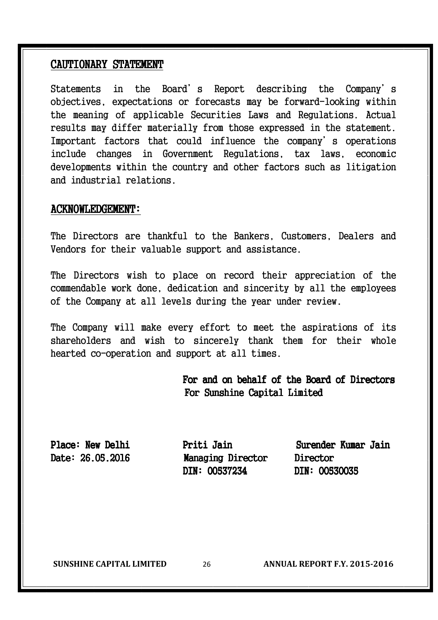#### CAUTIONARY STATEMENT

Statements in the Board's Report describing the Company's objectives, expectations or forecasts may be forward-looking within the meaning of applicable Securities Laws and Regulations. Actual results may differ materially from those expressed in the statement. Important factors that could influence the company's operations include changes in Government Regulations, tax laws, economic developments within the country and other factors such as litigation and industrial relations.

#### ACKNOWLEDGEMENT: ACKNOWLEDGEMENT:

The Directors are thankful to the Bankers, Customers, Dealers and Vendors for their valuable support and assistance.

The Directors wish to place on record their appreciation of the commendable work done, dedication and sincerity by all the employees of the Company at all levels during the year under review.

The Company will make every effort to meet the aspirations of its shareholders and wish to sincerely thank them for their whole hearted co-operation and support at all times.

#### For and on behalf of the Board of Directors For Sunshine Capital Limited

Date: 26.05.2016 Managing Director Director DIN: 00537234 DIN: 00530035

Place: New Delhi New Priti Jain Surender Kumar Jain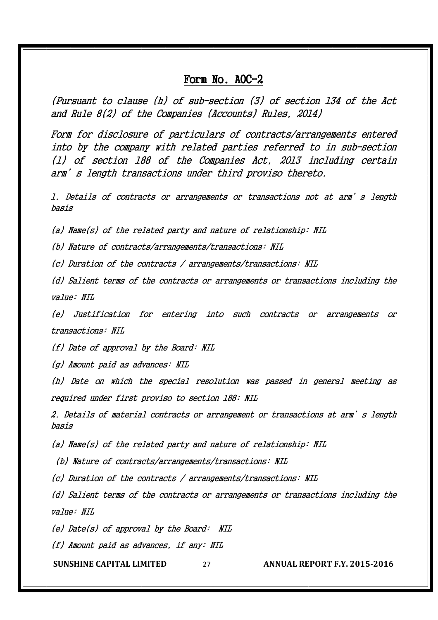#### Form  $No. AOC-2$

(Pursuant to clause (h) of sub-section (3) of section 134 of the Act and Rule 8(2) of the Companies (Accounts) Rules, 2014)

Form for disclosure of particulars of contracts/arrangements entered into by the company with related parties referred to in sub-section (1) of section 188 of the Companies Act, 2013 including certain arm's length transactions under third proviso thereto.

1. Details of contracts or arrangements or transactions not at arm's length basis

(a) Name(s) of the related party and nature of relationship: NIL

(b) Nature of contracts/arrangements/transactions: NIL

(c) Duration of the contracts / arrangements/transactions: NIL

(d) Salient terms of the contracts or arrangements or transactions including the value: NIL

(e) Justification for entering into such contracts or arrangements or transactions: NIL

(f) Date of approval by the Board: NIL

(g) Amount paid as advances: NIL

(h) Date on which the special resolution was passed in general meeting as required under first proviso to section 188: NIL

2. Details of material contracts or arrangement or transactions at arm's length basis

(a) Name(s) of the related party and nature of relationship: NIL

(b) Nature of contracts/arrangements/transactions: NIL

(c) Duration of the contracts / arrangements/transactions: NIL

(d) Salient terms of the contracts or arrangements or transactions including the value: NIL

(e) Date(s) of approval by the Board: NIL

(f) Amount paid as advances, if any: NIL

**SUNSHINE CAPITAL LIMITED** 27 **ANNUAL REPORT F.Y. 2015-2016**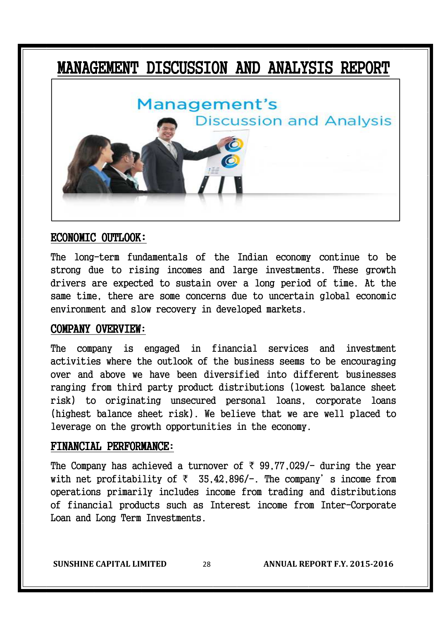### MANAGEMENT DISCUSSION AND ANALYSIS REPORT



#### ECONOMIC OUTLOOK:

The long-term fundamentals of the Indian economy continue to be strong due to rising incomes and large investments. These growth drivers are expected to sustain over a long period of time. At the same time, there are some concerns due to uncertain global economic environment and slow recovery in developed markets.

#### COMPANY OVERVIEW:

The company is engaged in financial services and investment activities where the outlook of the business seems to be encouraging over and above we have been diversified into different businesses ranging from third party product distributions (lowest balance sheet risk) to originating unsecured personal loans, corporate loans (highest balance sheet risk). We believe that we are well placed to leverage on the growth opportunities in the economy.

#### FINANCIAL PERFORMANCE:

The Company has achieved a turnover of  $\bar{\tau}$  99,77,029/- during the year with net profitability of  $\bar{\zeta}$  35,42,896/-. The company's income from operations primarily includes income from trading and distributions of financial products such as Interest income from Inter-Corporate Loan and Long Term Investments.

**SUNSHINE CAPITAL LIMITED** 28 **ANNUAL REPORT F.Y. 2015-2016**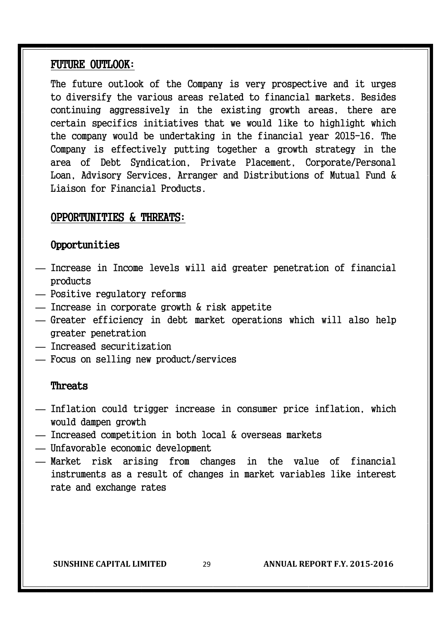#### FUTURE OUTLOOK:

The future outlook of the Company is very prospective and it urges to diversify the various areas related to financial markets. Besides continuing aggressively in the existing growth areas, there are certain specifics initiatives that we would like to highlight which the company would be undertaking in the financial year 2015-16. The Company is effectively putting together a growth strategy in the area of Debt Syndication, Private Placement, Corporate/Personal Loan, Advisory Services, Arranger and Distributions of Mutual Fund & Liaison for Financial Products.

#### OPPORTUNITIES & THREATS:

#### Opportunities

- **—** Increase in Income levels will aid greater penetration of financial products
- **—** Positive regulatory reforms
- **—** Increase in corporate growth & risk appetite
- **—** Greater efficiency in debt market operations which will also help greater penetration
- **—** Increased securitization
- **—** Focus on selling new product/services

#### Threats

- **—** Inflation could trigger increase in consumer price inflation, which would dampen growth
- **—** Increased competition in both local & overseas markets
- **—** Unfavorable economic development
- **—** Market risk arising from changes in the value of financial instruments as a result of changes in market variables like interest rate and exchange rates

**SUNSHINE CAPITAL LIMITED** 29 **ANNUAL REPORT F.Y. 2015-2016**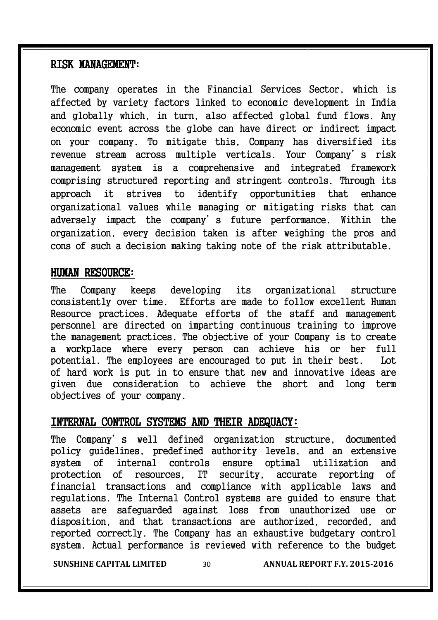#### RISK MANAGEMENT:

The company operates in the Financial Services Sector, which is affected by variety factors linked to economic development in India and globally which, in turn, also affected global fund flows. Any economic event across the globe can have direct or indirect impact on your company. To mitigate this, Company has diversified its revenue stream across multiple verticals. Your Company's risk management system is a comprehensive and integrated framework comprising structured reporting and stringent controls. Through its approach it strives to identify opportunities that enhance organizational values while managing or mitigating risks that can adversely impact the company's future performance. Within the organization, every decision taken is after weighing the pros and cons of such a decision making taking note of the risk attributable.

#### HUMAN RESOURCE:

The Company keeps developing its organizational structure consistently over time. Efforts are made to follow excellent Human Resource practices. Adequate efforts of the staff and management personnel are directed on imparting continuous training to improve the management practices. The objective of your Company is to create a workplace where every person can achieve his or her full potential. The employees are encouraged to put in their best. Lot of hard work is put in to ensure that new and innovative ideas are given due consideration to achieve the short and long term objectives of your company.

#### INTERNAL CONTROL SYSTEMS AND THEIR ADEQUACY:

The Company's well defined organization structure, documented policy guidelines, predefined authority levels, and an extensive system of internal controls ensure optimal utilization and protection of resources, IT security, accurate reporting of financial transactions and compliance with applicable laws and regulations. The Internal Control systems are guided to ensure that assets are safeguarded against loss from unauthorized use or disposition, and that transactions are authorized, recorded, and reported correctly. The Company has an exhaustive budgetary control system. Actual performance is reviewed with reference to the budget

**SUNSHINE CAPITAL LIMITED** 30 **ANNUAL REPORT F.Y. 2015-2016**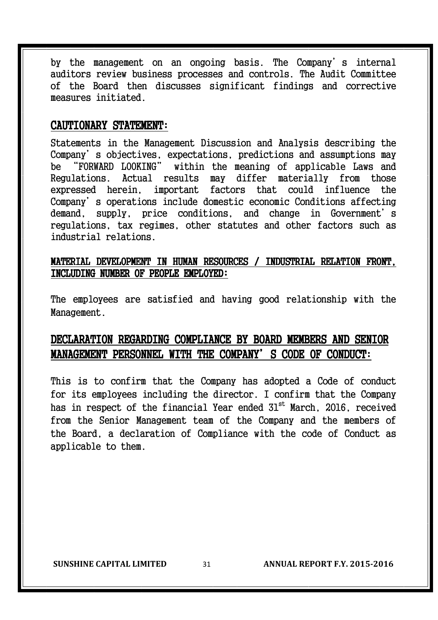by the management on an ongoing basis. The Company's internal auditors review business processes and controls. The Audit Committee of the Board then discusses significant findings and corrective measures initiated.

#### CAUTIONARY STATEMENT:

Statements in the Management Discussion and Analysis describing the Company's objectives, expectations, predictions and assumptions may be "FORWARD LOOKING" within the meaning of applicable Laws and Regulations. Actual results may differ materially from those expressed herein, important factors that could influence the Company's operations include domestic economic Conditions affecting demand, supply, price conditions, and change in Government's regulations, tax regimes, other statutes and other factors such as industrial relations.

#### MATERIAL DEVELOPMENT IN HUMAN RESOURCES / INDUSTRIAL RELATION FRONT, INCLUDING NUMBER OF PEOPLE EMPLOYED: EMPLOYED:

The employees are satisfied and having good relationship with the Management.

#### DECLARATION REGARDING COMPLIANCE BY BOARD MEMBERS AND SENIOR MANAGEMENT PERSONNEL WITH THE COMPANY'S CODE OF CONDUCT:

This is to confirm that the Company has adopted a Code of conduct for its employees including the director. I confirm that the Company has in respect of the financial Year ended  $31<sup>st</sup>$  March, 2016, received from the Senior Management team of the Company and the members of the Board, a declaration of Compliance with the code of Conduct as applicable to them.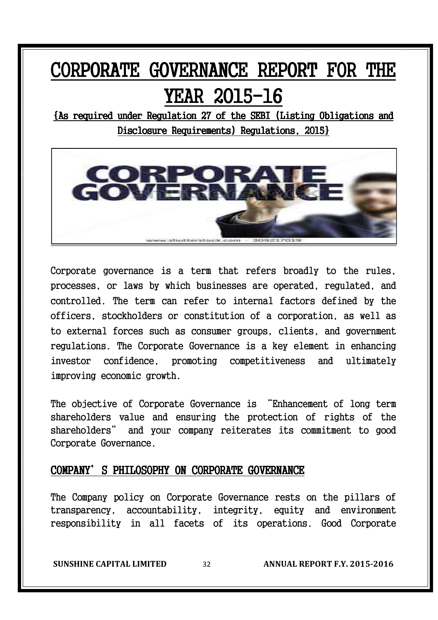### CORPORATE GOVERNANCE REPORT FOR THE YEAR 2015-16

{As required under Regulation 27 of the SEBI (Listing Obligations and Disclosure Requirements) Regulations, 2015}



Corporate governance is a term that refers broadly to the rules, processes, or laws by which businesses are operated, regulated, and controlled. The term can refer to internal factors defined by the officers, stockholders or constitution of a corporation, as well as to external forces such as consumer groups, clients, and government regulations. The Corporate Governance is a key element in enhancing investor confidence, promoting competitiveness and ultimately improving economic growth.

The objective of Corporate Governance is "Enhancement of long term shareholders value and ensuring the protection of rights of the shareholders" and your company reiterates its commitment to good Corporate Governance.

#### COMPANY'S PHILOSOPHY ON CORPORATE GOVERNANCE

The Company policy on Corporate Governance rests on the pillars of transparency, accountability, integrity, equity and environment responsibility in all facets of its operations. Good Corporate

**SUNSHINE CAPITAL LIMITED** 32 **ANNUAL REPORT F.Y. 2015-2016**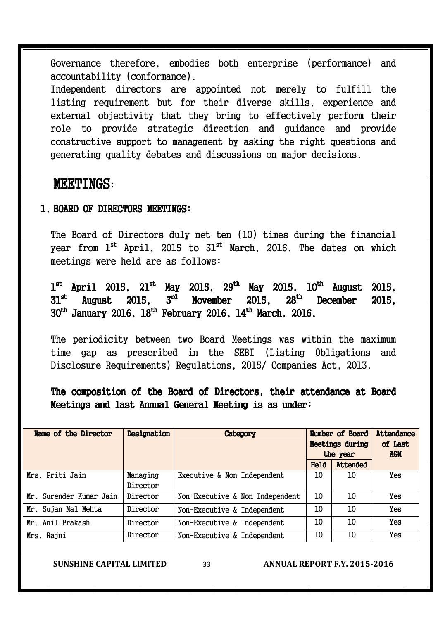Governance therefore, embodies both enterprise (performance) and accountability (conformance).

Independent directors are appointed not merely to fulfill the listing requirement but for their diverse skills, experience and external objectivity that they bring to effectively perform their role to provide strategic direction and guidance and provide constructive support to management by asking the right questions and generating quality debates and discussions on major decisions.

#### MEETINGS:

#### 1. BOARD OF DIRECTORS MEETINGS:

The Board of Directors duly met ten (10) times during the financial year from  $1^{st}$  April, 2015 to  $31^{st}$  March, 2016. The dates on which meetings were held are as follows:

 $1^{\text{st}}$  April 2015,  $21^{\text{st}}$  May 2015,  $29^{\text{th}}$  May 2015,  $10^{\text{th}}$  August 2015,  $31^\mathrm{st}$  August 2015, 3<sup>rd</sup> November 2015, 28<sup>th</sup>  $28<sup>th</sup>$  December 2015.  $30^{\rm th}$  January 2016,  $18^{\rm th}$  February 2016,  $14^{\rm th}$  March, 2016.

The periodicity between two Board Meetings was within the maximum time gap as prescribed in the SEBI (Listing Obligations and Disclosure Requirements) Regulations, 2015/ Companies Act, 2013.

The composition of the Board of Directors, their attendance at Board Meetings and last Annual General Meeting is as under:

| Name of the Director    | Designation | Category                        | Number of Board<br><b>Meetings during</b><br>the year |          | Attendance<br>of Last<br><b>AGM</b> |
|-------------------------|-------------|---------------------------------|-------------------------------------------------------|----------|-------------------------------------|
|                         |             |                                 | Held                                                  | Attended |                                     |
| Mrs. Priti Jain         | Managing    | Executive & Non Independent     | 10                                                    | 10       | Yes                                 |
|                         | Director    |                                 |                                                       |          |                                     |
| Mr. Surender Kumar Jain | Director    | Non-Executive & Non Independent | 10                                                    | 10       | Yes                                 |
| Mr. Sujan Mal Mehta     | Director    | Non-Executive & Independent     | 10                                                    | 10       | Yes                                 |
| Mr. Anil Prakash        | Director    | Non-Executive & Independent     | 10                                                    | 10       | Yes                                 |
| Mrs. Rajni              | Director    | Non-Executive & Independent     | 10                                                    | 10       | Yes                                 |

**SUNSHINE CAPITAL LIMITED** 33 **ANNUAL REPORT F.Y. 2015-2016**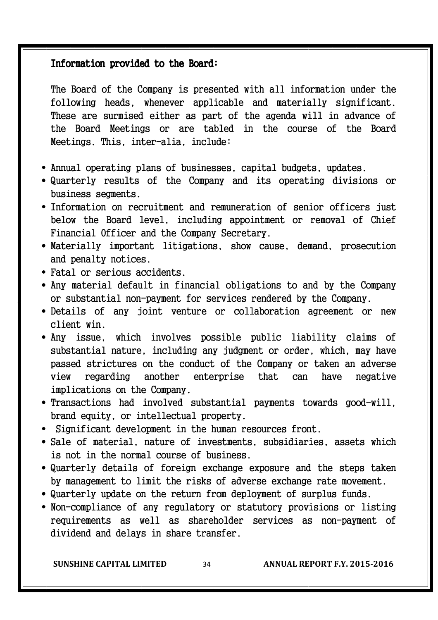#### Information provided to the Board:

The Board of the Company is presented with all information under the following heads, whenever applicable and materially significant. These are surmised either as part of the agenda will in advance of the Board Meetings or are tabled in the course of the Board Meetings. This, inter-alia, include:

- Annual operating plans of businesses, capital budgets, updates.
- Quarterly results of the Company and its operating divisions or business segments.
- Information on recruitment and remuneration of senior officers just below the Board level, including appointment or removal of Chief Financial Officer and the Company Secretary.
- Materially important litigations, show cause, demand, prosecution and penalty notices.
- Fatal or serious accidents.
- Any material default in financial obligations to and by the Company or substantial non-payment for services rendered by the Company.
- Details of any joint venture or collaboration agreement or new client win.
- Any issue, which involves possible public liability claims of substantial nature, including any judgment or order, which, may have passed strictures on the conduct of the Company or taken an adverse view regarding another enterprise that can have negative implications on the Company.
- Transactions had involved substantial payments towards good-will, brand equity, or intellectual property.
- Significant development in the human resources front.
- Sale of material, nature of investments, subsidiaries, assets which is not in the normal course of business.
- Quarterly details of foreign exchange exposure and the steps taken by management to limit the risks of adverse exchange rate movement.
- Quarterly update on the return from deployment of surplus funds.
- Non-compliance of any regulatory or statutory provisions or listing requirements as well as shareholder services as non-payment of dividend and delays in share transfer.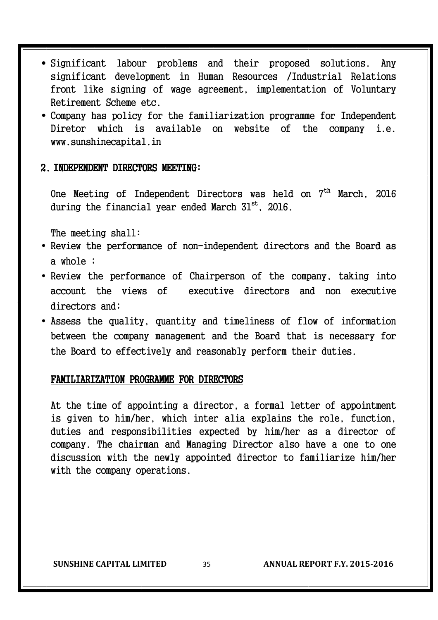- Significant labour problems and their proposed solutions. Any significant development in Human Resources /Industrial Relations front like signing of wage agreement, implementation of Voluntary Retirement Scheme etc.
- Company has policy for the familiarization programme for Independent Diretor which is available on website of the company i.e. www.sunshinecapital.in

#### 2. INDEPENDENT DIRECTORS MEETING:

One Meeting of Independent Directors was held on 7<sup>th</sup> March. 2016 during the financial year ended March  $31<sup>st</sup>$ , 2016.

The meeting shall:

- Review the performance of non-independent directors and the Board as a whole ;
- Review the performance of Chairperson of the company, taking into account the views of executive directors and non executive directors and;
- Assess the quality, quantity and timeliness of flow of information between the company management and the Board that is necessary for the Board to effectively and reasonably perform their duties.

#### FAMILIARIZATION PROGRAMME FOR DIRECTORS

At the time of appointing a director, a formal letter of appointment is given to him/her, which inter alia explains the role, function, duties and responsibilities expected by him/her as a director of company. The chairman and Managing Director also have a one to one discussion with the newly appointed director to familiarize him/her with the company operations.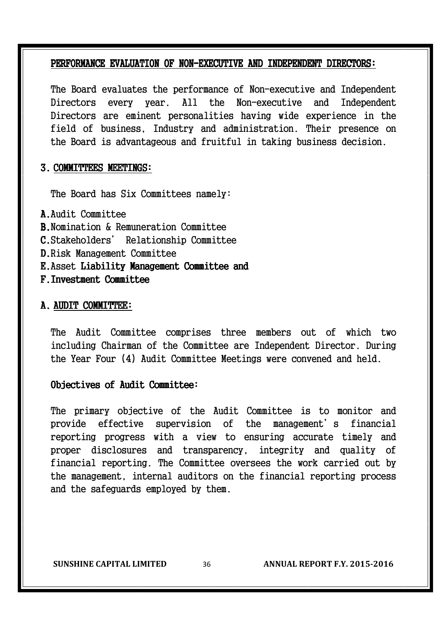#### PERFORMANCE EVALUATION OF NON-EXECUTIVE AND INDEPENDENT DIRECTORS:

The Board evaluates the performance of Non-executive and Independent Directors every year. All the Non-executive and Independent Directors are eminent personalities having wide experience in the field of business, Industry and administration. Their presence on the Board is advantageous and fruitful in taking business decision.

#### 3. COMMITTEES MEETINGS:

The Board has Six Committees namely:

A.Audit Committee B.Nomination & Remuneration Committee C.Stakeholders' Relationship Committee D.Risk Management Committee E. Asset Liability Management Committee and F. Investment Committee

## A. AUDIT COMMITTEE:

The Audit Committee comprises three members out of which two including Chairman of the Committee are Independent Director. During the Year Four (4) Audit Committee Meetings were convened and held.

## Objectives of Audit Committee:

The primary objective of the Audit Committee is to monitor and provide effective supervision of the management's financial reporting progress with a view to ensuring accurate timely and proper disclosures and transparency, integrity and quality of financial reporting. The Committee oversees the work carried out by the management, internal auditors on the financial reporting process and the safeguards employed by them.

**SUNSHINE CAPITAL LIMITED** 36 **ANNUAL REPORT F.Y. 2015-2016**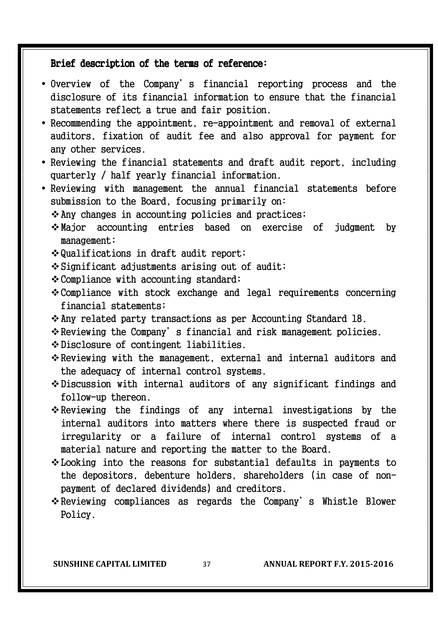## Brief description of the terms of reference:

- Overview of the Company's financial reporting process and the disclosure of its financial information to ensure that the financial statements reflect a true and fair position.
- Recommending the appointment, re-appointment and removal of external auditors, fixation of audit fee and also approval for payment for any other services.
- Reviewing the financial statements and draft audit report, including quarterly / half yearly financial information.
- Reviewing with management the annual financial statements before submission to the Board, focusing primarily on:
	- $\lozenge$  Any changes in accounting policies and practices;
	- Major accounting entries based on exercise of judgment by management;
	- Qualifications in draft audit report;
	- Significant adjustments arising out of audit;
	- Compliance with accounting standard;
	- Compliance with stock exchange and legal requirements concerning financial statements;
	- Any related party transactions as per Accounting Standard 18.
	- \* Reviewing the Company's financial and risk management policies.
	- Disclosure of contingent liabilities.
	- $\div$  Reviewing with the management, external and internal auditors and the adequacy of internal control systems.
	- Discussion with internal auditors of any significant findings and follow-up thereon.
	- $\div$  Reviewing the findings of any internal investigations by the internal auditors into matters where there is suspected fraud or irregularity or a failure of internal control systems of a material nature and reporting the matter to the Board.
	- Looking into the reasons for substantial defaults in payments to the depositors, debenture holders, shareholders (in case of nonpayment of declared dividends) and creditors.
	- $\cdot$  Reviewing compliances as regards the Company's Whistle Blower Policy.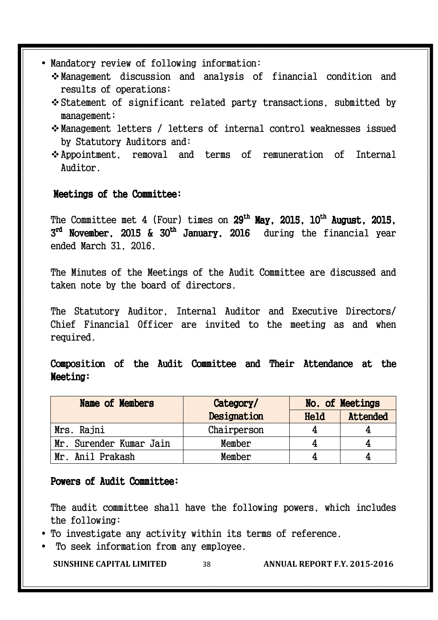- Mandatory review of following information:
	- Management discussion and analysis of financial condition and results of operations;
	- Statement of significant related party transactions, submitted by management;
	- Management letters / letters of internal control weaknesses issued by Statutory Auditors and:
	- Appointment, removal and terms of remuneration of Internal Auditor.

## Meetings of the Committee:

The Committee met 4 (Four) times on 29<sup>th</sup> May, 2015, 10<sup>th</sup> August, 2015,  $3^{\text{rd}}$  November, 2015 & 30<sup>th</sup> January, 2016  $\,$  during the financial year ended March 31, 2016.

The Minutes of the Meetings of the Audit Committee are discussed and taken note by the board of directors.

The Statutory Auditor, Internal Auditor and Executive Directors/ Chief Financial Officer are invited to the meeting as and when required.

Composition of the Audit Committee and Their Attendance at the Meeting:

| <b>Name of Members</b>  | Category/   |      | No. of Meetings |
|-------------------------|-------------|------|-----------------|
|                         | Designation | Held | Attended        |
| Mrs. Rajni              | Chairperson |      |                 |
| Mr. Surender Kumar Jain | Member      |      |                 |
| Mr. Anil Prakash        | Member      |      |                 |

## Powers of Audit Committee:

The audit committee shall have the following powers, which includes the following:

- To investigate any activity within its terms of reference.
- To seek information from any employee.

**SUNSHINE CAPITAL LIMITED** 38 **ANNUAL REPORT F.Y. 2015-2016**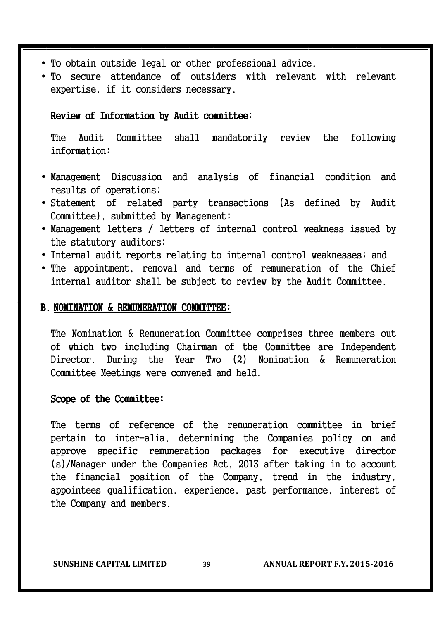- To obtain outside legal or other professional advice.
- To secure attendance of outsiders with relevant with relevant expertise, if it considers necessary.

## Review of Information by Audit committee:

The Audit Committee shall mandatorily review the following information:

- Management Discussion and analysis of financial condition and results of operations;
- Statement of related party transactions (As defined by Audit Committee), submitted by Management;
- Management letters / letters of internal control weakness issued by the statutory auditors;
- Internal audit reports relating to internal control weaknesses; and
- The appointment, removal and terms of remuneration of the Chief internal auditor shall be subject to review by the Audit Committee.

## B. NOMINATION & REMUNERATION COMMITTEE:

The Nomination & Remuneration Committee comprises three members out of which two including Chairman of the Committee are Independent Director. During the Year Two (2) Nomination & Remuneration Committee Meetings were convened and held.

#### Scope of the Committee:

The terms of reference of the remuneration committee in brief pertain to inter-alia, determining the Companies policy on and approve specific remuneration packages for executive director (s)/Manager under the Companies Act, 2013 after taking in to account the financial position of the Company, trend in the industry, appointees qualification, experience, past performance, interest of the Company and members.

**SUNSHINE CAPITAL LIMITED** 39 **ANNUAL REPORT F.Y. 2015-2016**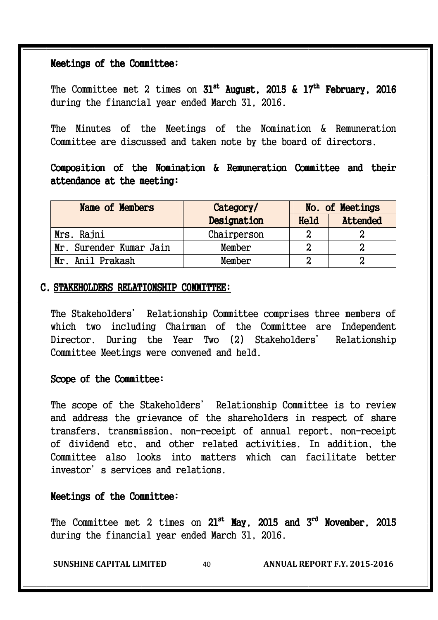#### Meetings of the Committee:

The Committee met 2 times on  $31^\text{st}$  August, 2015 & 17<sup>th</sup> February, 2016 during the financial year ended March 31, 2016.

The Minutes of the Meetings of the Nomination & Remuneration Committee are discussed and taken note by the board of directors.

Composition of the Nomination & Remuneration Committee and their attendance at the meeting:

| Name of Members         | No. of Meetings<br>Category/ |      |          |
|-------------------------|------------------------------|------|----------|
|                         | Designation                  | Held | Attended |
| Mrs. Rajni              | Chairperson                  | 2    |          |
| Mr. Surender Kumar Jain | Member                       |      |          |
| Mr. Anil Prakash        | Member                       | ი    |          |

#### C. STAKEHOLDERS RELATIONSHIP COMMITTEE:

The Stakeholders' Relationship Committee comprises three members of which two including Chairman of the Committee are Independent Director. During the Year Two (2) Stakeholders' Relationship Committee Meetings were convened and held.

## Scope of the Committee:

The scope of the Stakeholders' Relationship Committee is to review and address the grievance of the shareholders in respect of share transfers, transmission, non-receipt of annual report, non-receipt of dividend etc, and other related activities. In addition, the Committee also looks into matters which can facilitate better investor's services and relations.

## Meetings of the Committee:

The Committee met 2 times on  $21^\text{st}$  May, 2015 and  $3^\text{rd}$  November, 2015 during the financial year ended March 31, 2016.

**SUNSHINE CAPITAL LIMITED** 40 **ANNUAL REPORT F.Y. 2015-2016**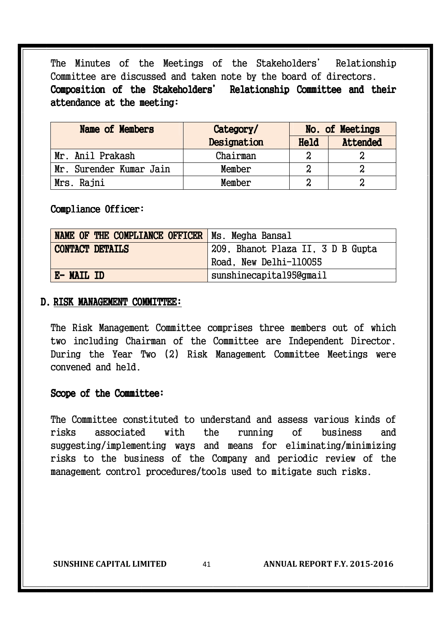The Minutes of the Meetings of the Stakeholders' Relationship Committee are discussed and taken note by the board of directors. Composition of the Stakeholders' Relationship Committee and their attendance at the meeting:

| Name of Members         | Category/   | No. of Meetings |          |
|-------------------------|-------------|-----------------|----------|
|                         | Designation | Held            | Attended |
| Mr. Anil Prakash        | Chairman    |                 |          |
| Mr. Surender Kumar Jain | Member      |                 |          |
| Mrs. Rajni              | Member      |                 |          |

#### Compliance Officer:

| <b>NAME OF THE COMPLIANCE OFFICER   Ms. Megha Bansal</b> |                                   |  |
|----------------------------------------------------------|-----------------------------------|--|
| <b>CONTACT DETAILS</b>                                   | 209, Bhanot Plaza II, 3 D B Gupta |  |
|                                                          | Road, New Delhi-110055            |  |
| E-MAIL ID                                                | sunshinecapital95@gmail           |  |

#### D. RISK MANAGEMENT COMMITTEE:

The Risk Management Committee comprises three members out of which two including Chairman of the Committee are Independent Director. During the Year Two (2) Risk Management Committee Meetings were convened and held.

#### Scope of the Committee:

The Committee constituted to understand and assess various kinds of risks associated with the running of business and suggesting/implementing ways and means for eliminating/minimizing risks to the business of the Company and periodic review of the management control procedures/tools used to mitigate such risks.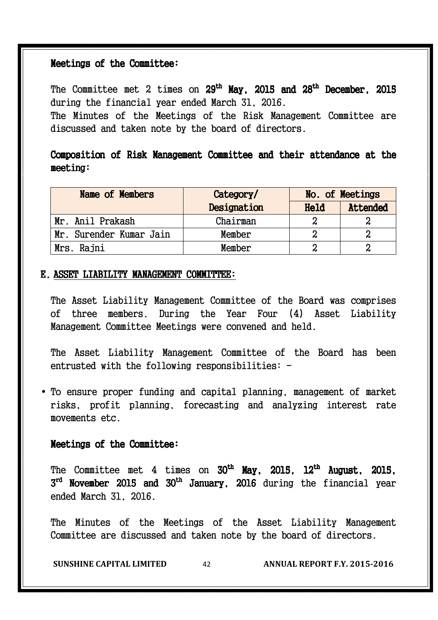#### Meetings of the Committee:

The Committee met 2 times on  $29^\text{th}$  May, 2015 and  $28^\text{th}$  December, 2015 during the financial year ended March 31, 2016. The Minutes of the Meetings of the Risk Management Committee are

discussed and taken note by the board of directors.

## Composition of Risk Management Committee and their attendance at the meeting: meeting:

| Name of Members         | Category/   |      | No. of Meetings |
|-------------------------|-------------|------|-----------------|
|                         | Designation | Held | Attended        |
| Mr. Anil Prakash        | Chairman    |      | N               |
| Mr. Surender Kumar Jain | Member      |      |                 |
| Mrs. Rajni              | Member      |      |                 |

#### E. ASSET LIABILITY MANAGEMENT COMMITTEE:

The Asset Liability Management Committee of the Board was comprises of three members. During the Year Four (4) Asset Liability Management Committee Meetings were convened and held.

The Asset Liability Management Committee of the Board has been entrusted with the following responsibilities: -

• To ensure proper funding and capital planning, management of market risks, profit planning, forecasting and analyzing interest rate movements etc.

#### Meetings of the Committee:

The Committee met 4 times on 30<sup>th</sup> May, 2015, 12<sup>th</sup> August, 2015,  $3^{\text{rd}}$  November 2015 and 30<sup>th</sup> January, 2016 during the financial year ended March 31, 2016.

The Minutes of the Meetings of the Asset Liability Management Committee are discussed and taken note by the board of directors.

**SUNSHINE CAPITAL LIMITED** 42 **ANNUAL REPORT F.Y. 2015-2016**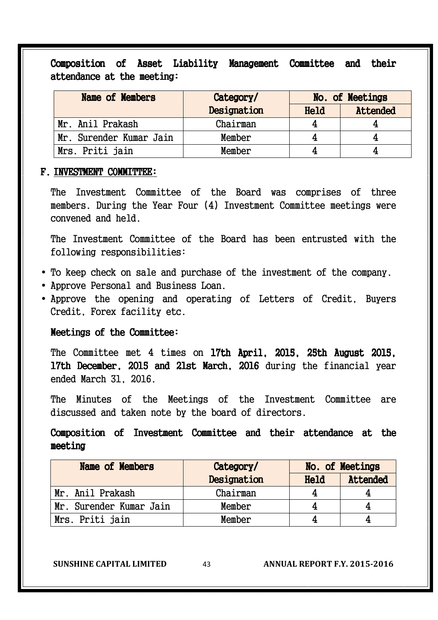Composition of Asset Liability Management Committee and their attendance at the meeting:

| <b>Name of Members</b>  | Category/   | No. of Meetings |          |
|-------------------------|-------------|-----------------|----------|
|                         | Designation | Held            | Attended |
| Mr. Anil Prakash        | Chairman    |                 |          |
| Mr. Surender Kumar Jain | Member      |                 |          |
| Mrs. Priti jain         | Member      |                 |          |

#### F. INVESTMENT COMMITTEE:

The Investment Committee of the Board was comprises of three members. During the Year Four (4) Investment Committee meetings were convened and held.

The Investment Committee of the Board has been entrusted with the following responsibilities:

- To keep check on sale and purchase of the investment of the company.
- Approve Personal and Business Loan.
- Approve the opening and operating of Letters of Credit, Buyers Credit, Forex facility etc.

#### Meetings of the Committee:

The Committee met 4 times on 17th April, 2015, 25th August 2015, 17th December, 2015 and 21st March, 2016 during the financial year ended March 31, 2016.

The Minutes of the Meetings of the Investment Committee are discussed and taken note by the board of directors.

## Composition of Investment Committee and their attendance at the meeting

| Name of Members         | Category/   |      | No. of Meetings |
|-------------------------|-------------|------|-----------------|
|                         | Designation | Held | Attended        |
| Mr. Anil Prakash        | Chairman    |      |                 |
| Mr. Surender Kumar Jain | Member      |      |                 |
| Mrs. Priti jain         | Member      |      |                 |

**SUNSHINE CAPITAL LIMITED** 43 **ANNUAL REPORT F.Y. 2015-2016**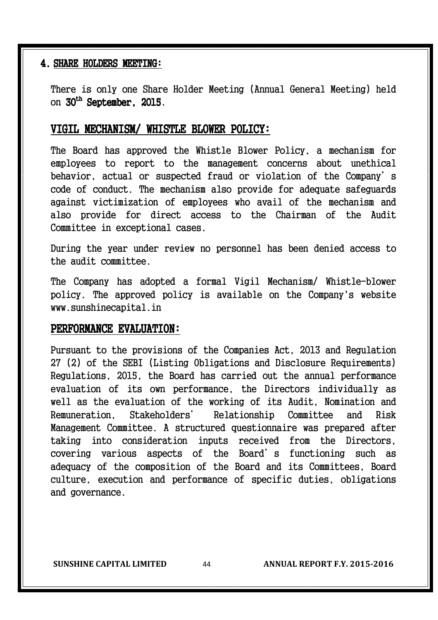#### 4. SHARE HOLDERS MEETING:

There is only one Share Holder Meeting (Annual General Meeting) held on 30<sup>th</sup> September, 2015.

#### VIGIL MECHANISM/ WHISTLE BLOWER POLICY:

The Board has approved the Whistle Blower Policy, a mechanism for employees to report to the management concerns about unethical behavior, actual or suspected fraud or violation of the Company's code of conduct. The mechanism also provide for adequate safeguards against victimization of employees who avail of the mechanism and also provide for direct access to the Chairman of the Audit Committee in exceptional cases.

During the year under review no personnel has been denied access to the audit committee.

The Company has adopted a formal Vigil Mechanism/ Whistle-blower policy. The approved policy is available on the Company's website www.sunshinecapital.in

#### PERFORMANCE EVALUATION:

Pursuant to the provisions of the Companies Act, 2013 and Regulation 27 (2) of the SEBI (Listing Obligations and Disclosure Requirements) Regulations, 2015, the Board has carried out the annual performance evaluation of its own performance, the Directors individually as well as the evaluation of the working of its Audit, Nomination and Remuneration, Stakeholders' Relationship Committee and Risk Management Committee. A structured questionnaire was prepared after taking into consideration inputs received from the Directors, covering various aspects of the Board's functioning such as adequacy of the composition of the Board and its Committees, Board culture, execution and performance of specific duties, obligations and governance.

**SUNSHINE CAPITAL LIMITED** 44 **ANNUAL REPORT F.Y. 2015-2016**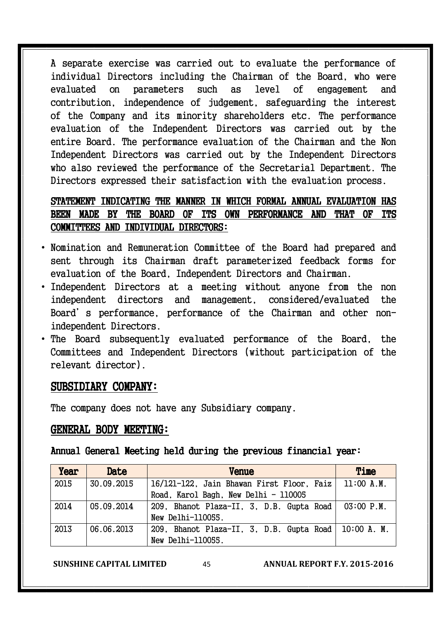A separate exercise was carried out to evaluate the performance of individual Directors including the Chairman of the Board, who were evaluated on parameters such as level of engagement and contribution, independence of judgement, safeguarding the interest of the Company and its minority shareholders etc. The performance evaluation of the Independent Directors was carried out by the entire Board. The performance evaluation of the Chairman and the Non Independent Directors was carried out by the Independent Directors who also reviewed the performance of the Secretarial Department. The Directors expressed their satisfaction with the evaluation process.

## STATEMENT INDICATING THE MANNER IN WHICH FORMAL ANNUAL EVALUATION HAS BEEN MADE BY THE BOARD OF ITS OWN PERFORMANCE AND THAT OF ITS COMMITTEES AND INDIVIDUAL DIRECTORS:

- Nomination and Remuneration Committee of the Board had prepared and sent through its Chairman draft parameterized feedback forms for evaluation of the Board, Independent Directors and Chairman.
- Independent Directors at a meeting without anyone from the non independent directors and management, considered/evaluated the Board's performance, performance of the Chairman and other nonindependent Directors.
- The Board subsequently evaluated performance of the Board, the Committees and Independent Directors (without participation of the relevant director).

## SUBSIDIARY COMPANY:

The company does not have any Subsidiary company.

## GENERAL BODY MEETING:

Annual General Meeting held during the previous financial year:

| Year | Date       | <b>Venue</b>                                          | Time           |
|------|------------|-------------------------------------------------------|----------------|
| 2015 | 30.09.2015 | 16/121-122, Jain Bhawan First Floor, Faiz             | 11:00 A.M.     |
|      |            | Road, Karol Bagh, New Delhi - 110005                  |                |
| 2014 | 05.09.2014 | 209, Bhanot Plaza-II, 3, D.B. Gupta Road              | $03:00$ $P.M.$ |
|      |            | New Delhi-110055.                                     |                |
| 2013 | 06.06.2013 | 209, Bhanot Plaza-II, 3, D.B. Gupta Road   10:00 A.M. |                |
|      |            | New Delhi-110055.                                     |                |

**SUNSHINE CAPITAL LIMITED** 45 **ANNUAL REPORT F.Y. 2015-2016**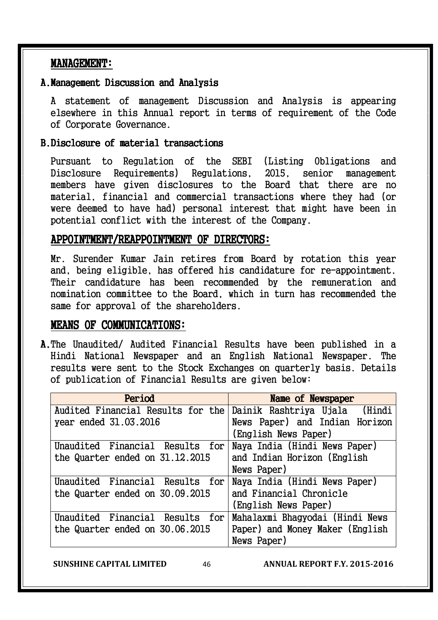## MANAGEMENT: MANAGEMENT:

## A.Management Discussion and Analysis

A statement of management Discussion and Analysis is appearing elsewhere in this Annual report in terms of requirement of the Code of Corporate Governance.

## B.Disclosure of material transactions

Pursuant to Regulation of the SEBI (Listing Obligations and Disclosure Requirements) Regulations, 2015, senior management members have given disclosures to the Board that there are no material, financial and commercial transactions where they had (or were deemed to have had) personal interest that might have been in potential conflict with the interest of the Company.

## APPOINTMENT/REAPPOINTMENT OF DIRECTORS:

Mr. Surender Kumar Jain retires from Board by rotation this year and, being eligible, has offered his candidature for re-appointment. Their candidature has been recommended by the remuneration and nomination committee to the Board, which in turn has recommended the same for approval of the shareholders.

## MEANS OF COMMUNICATIONS:

A.The Unaudited/ Audited Financial Results have been published in a Hindi National Newspaper and an English National Newspaper. The results were sent to the Stock Exchanges on quarterly basis. Details of publication of Financial Results are given below:

| Period                            | Name of Newspaper               |  |  |
|-----------------------------------|---------------------------------|--|--|
| Audited Financial Results for the | Dainik Rashtriya Ujala (Hindi   |  |  |
| year ended 31.03.2016             | News Paper) and Indian Horizon  |  |  |
|                                   | (English News Paper)            |  |  |
| Unaudited Financial Results for   | Naya India (Hindi News Paper)   |  |  |
| the Quarter ended on 31.12.2015   | and Indian Horizon (English     |  |  |
|                                   | News Paper)                     |  |  |
| Unaudited Financial Results for   | Naya India (Hindi News Paper)   |  |  |
| the Quarter ended on 30.09.2015   | and Financial Chronicle         |  |  |
|                                   | (English News Paper)            |  |  |
| Unaudited Financial Results for   | Mahalaxmi Bhagyodai (Hindi News |  |  |
| the Quarter ended on 30.06.2015   | Paper) and Money Maker (English |  |  |
|                                   | News Paper)                     |  |  |

**SUNSHINE CAPITAL LIMITED** 46 **ANNUAL REPORT F.Y. 2015-2016**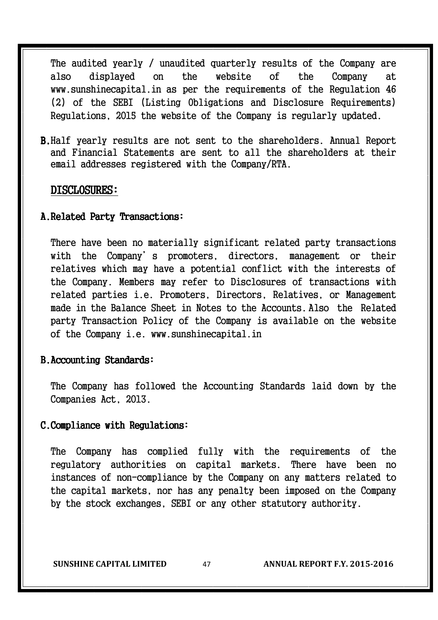The audited yearly / unaudited quarterly results of the Company are also displayed on the website of the Company at www.sunshinecapital.in as per the requirements of the Regulation 46 (2) of the SEBI (Listing Obligations and Disclosure Requirements) Regulations, 2015 the website of the Company is regularly updated.

B.Half yearly results are not sent to the shareholders. Annual Report and Financial Statements are sent to all the shareholders at their email addresses registered with the Company/RTA.

### DISCLOSURES:

#### A. Related Party Transactions:

There have been no materially significant related party transactions with the Company's promoters, directors, management or their relatives which may have a potential conflict with the interests of the Company. Members may refer to Disclosures of transactions with related parties i.e. Promoters, Directors, Relatives, or Management made in the Balance Sheet in Notes to the Accounts. Also the Related party Transaction Policy of the Company is available on the website of the Company i.e. www.sunshinecapital.in

## B.Accounting Standards:

The Company has followed the Accounting Standards laid down by the Companies Act, 2013.

#### C. Compliance with Regulations:

The Company has complied fully with the requirements of the regulatory authorities on capital markets. There have been no instances of non-compliance by the Company on any matters related to the capital markets, nor has any penalty been imposed on the Company by the stock exchanges, SEBI or any other statutory authority.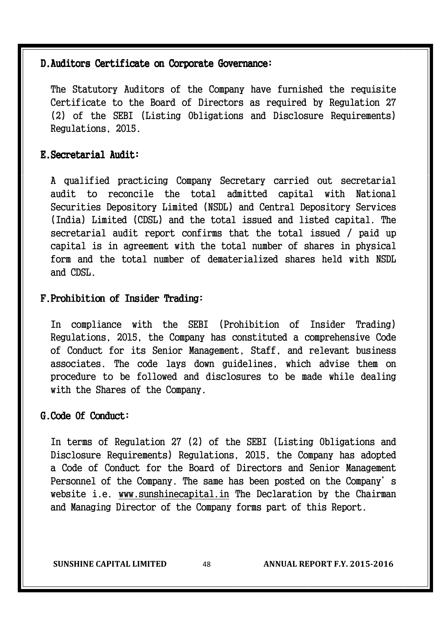## D. Auditors Certificate on Corporate Governance:

The Statutory Auditors of the Company have furnished the requisite Certificate to the Board of Directors as required by Regulation 27 (2) of the SEBI (Listing Obligations and Disclosure Requirements) Regulations, 2015.

## E. Secretarial Audit:

A qualified practicing Company Secretary carried out secretarial audit to reconcile the total admitted capital with National Securities Depository Limited (NSDL) and Central Depository Services (India) Limited (CDSL) and the total issued and listed capital. The secretarial audit report confirms that the total issued / paid up capital is in agreement with the total number of shares in physical form and the total number of dematerialized shares held with NSDL and CDSL.

## F. Prohibition of Insider Trading:

In compliance with the SEBI (Prohibition of Insider Trading) Regulations, 2015, the Company has constituted a comprehensive Code of Conduct for its Senior Management, Staff, and relevant business associates. The code lays down guidelines, which advise them on procedure to be followed and disclosures to be made while dealing with the Shares of the Company.

## G. Code Of Conduct:

In terms of Regulation 27 (2) of the SEBI (Listing Obligations and Disclosure Requirements) Regulations, 2015, the Company has adopted a Code of Conduct for the Board of Directors and Senior Management Personnel of the Company. The same has been posted on the Company's website i.e. www.sunshinecapital.in The Declaration by the Chairman and Managing Director of the Company forms part of this Report.

**SUNSHINE CAPITAL LIMITED** 48 **ANNUAL REPORT F.Y. 2015-2016**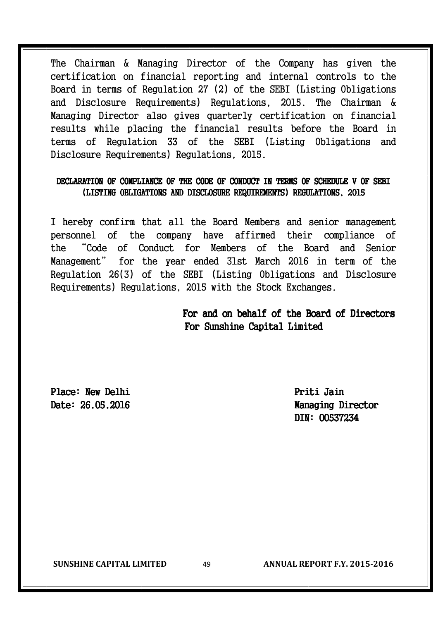The Chairman & Managing Director of the Company has given the certification on financial reporting and internal controls to the Board in terms of Regulation 27 (2) of the SEBI (Listing Obligations and Disclosure Requirements) Regulations, 2015. The Chairman & Managing Director also gives quarterly certification on financial results while placing the financial results before the Board in terms of Regulation 33 of the SEBI (Listing Obligations and Disclosure Requirements) Regulations, 2015.

## DECLARATION OF COMPLIANCE OF THE CODE OF CONDUCT IN TERMS OF SCHEDULE V OF SEBI (LISTING OBLIGATIONS AND DISCLOSURE REQUIREMENTS) REGULATIONS, 2015

I hereby confirm that all the Board Members and senior management personnel of the company have affirmed their compliance of the "Code of Conduct for Members of the Board and Senior Management" for the year ended 31st March 2016 in term of the Regulation 26(3) of the SEBI (Listing Obligations and Disclosure Requirements) Regulations, 2015 with the Stock Exchanges.

## For and on behalf of the Board of Directors For Sunshine Capital Limited

Place: New Delhi Priti Jain

Date: 26.05.2016 Date: 26.05.2016 DIN: 00537234

**SUNSHINE CAPITAL LIMITED** 49 **ANNUAL REPORT F.Y. 2015-2016**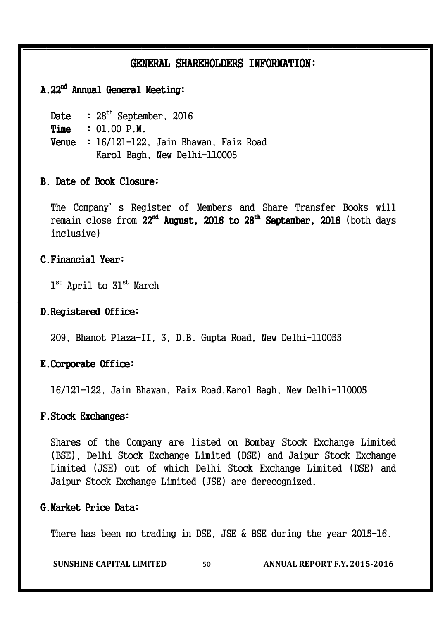## GENERAL SHAREHOLDERS INFORMATION:

## A.22<sup>nd</sup> Annual General Meeting:

Date :  $28<sup>th</sup>$  September, 2016

Time : 01.00 P.M.

Venue :16/121-122, Jain Bhawan, Faiz Road Karol Bagh, New Delhi-110005

## B. Date of Book Closure:

The Company's Register of Members and Share Transfer Books will remain close from 22<sup>nd</sup> August, 2016 to 28<sup>th</sup> September, 2016 (both days inclusive)

#### C. Financial Year:

 $1^{\rm st}$  April to  $31^{\rm st}$  March

## D. Registered Office:

209, Bhanot Plaza-II, 3, D.B. Gupta Road, New Delhi-110055

## E. Corporate Office:

16/121-122, Jain Bhawan, Faiz Road,Karol Bagh, New Delhi-110005

## F. Stock Exchanges:

Shares of the Company are listed on Bombay Stock Exchange Limited (BSE), Delhi Stock Exchange Limited (DSE) and Jaipur Stock Exchange Limited (JSE) out of which Delhi Stock Exchange Limited (DSE) and Jaipur Stock Exchange Limited (JSE) are derecognized.

## G.Market Price Data:

There has been no trading in DSE, JSE & BSE during the year 2015-16.

**SUNSHINE CAPITAL LIMITED** 50 **ANNUAL REPORT F.Y. 2015-2016**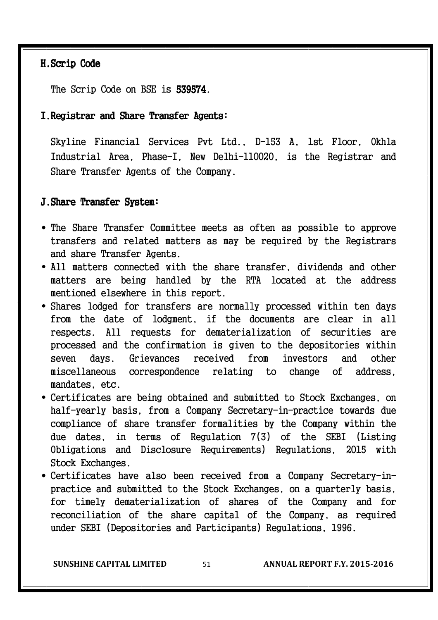## H.Scrip Code

The Scrip Code on BSE is 539574.

#### I. Registrar and Share Transfer Agents:

Skyline Financial Services Pvt Ltd., D-153 A, 1st Floor, Okhla Industrial Area, Phase-I, New Delhi-110020, is the Registrar and Share Transfer Agents of the Company.

## J. Share Transfer System:

- The Share Transfer Committee meets as often as possible to approve transfers and related matters as may be required by the Registrars and share Transfer Agents.
- All matters connected with the share transfer, dividends and other matters are being handled by the RTA located at the address mentioned elsewhere in this report.
- Shares lodged for transfers are normally processed within ten days from the date of lodgment, if the documents are clear in all respects. All requests for dematerialization of securities are processed and the confirmation is given to the depositories within seven days. Grievances received from investors and other miscellaneous correspondence relating to change of address, mandates, etc.
- Certificates are being obtained and submitted to Stock Exchanges, on half-yearly basis, from a Company Secretary-in-practice towards due compliance of share transfer formalities by the Company within the due dates, in terms of Regulation 7(3) of the SEBI (Listing Obligations and Disclosure Requirements) Regulations, 2015 with Stock Exchanges.
- Certificates have also been received from a Company Secretary-inpractice and submitted to the Stock Exchanges, on a quarterly basis, for timely dematerialization of shares of the Company and for reconciliation of the share capital of the Company, as required under SEBI (Depositories and Participants) Regulations, 1996.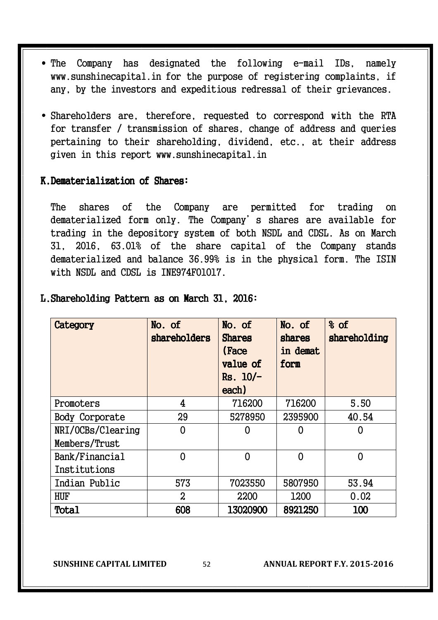- The Company has designated the following e-mail IDs, namely www.sunshinecapital.in for the purpose of registering complaints, if any, by the investors and expeditious redressal of their grievances.
- Shareholders are, therefore, requested to correspond with the RTA for transfer / transmission of shares, change of address and queries pertaining to their shareholding, dividend, etc., at their address given in this report www.sunshinecapital.in

#### K.Dematerialization of Shares:

The shares of the Company are permitted for trading on dematerialized form only. The Company's shares are available for trading in the depository system of both NSDL and CDSL. As on March 31, 2016, 63.01% of the share capital of the Company stands dematerialized and balance 36.99% is in the physical form. The ISIN with NSDL and CDSL is INE974F01017.

| Category          | No. of<br>shareholders | No. of<br><b>Shares</b><br>(Face<br>value of<br>$Rs. 10/-$<br>each) | No. of<br>shares<br>in demat<br>form | % of<br>shareholding |
|-------------------|------------------------|---------------------------------------------------------------------|--------------------------------------|----------------------|
| Promoters         | 4                      | 716200                                                              | 716200                               | 5.50                 |
| Body Corporate    | 29                     | 5278950                                                             | 2395900                              | 40.54                |
| NRI/OCBs/Clearing | 0                      |                                                                     | 0                                    |                      |
| Members/Trust     |                        |                                                                     |                                      |                      |
| Bank/Financial    | $\Omega$               | $\overline{0}$                                                      | 0                                    | 0                    |
| Institutions      |                        |                                                                     |                                      |                      |
| Indian Public     | 573                    | 7023550                                                             | 5807950                              | 53.94                |
| <b>HUF</b>        | $\boldsymbol{S}$       | 2200                                                                | 1200                                 | 0.02                 |
| Total             | 608                    | 13020900                                                            | 8921250                              | 100                  |

#### L. Shareholding Pattern as on March 31, 2016:

**SUNSHINE CAPITAL LIMITED** 52 **ANNUAL REPORT F.Y. 2015-2016**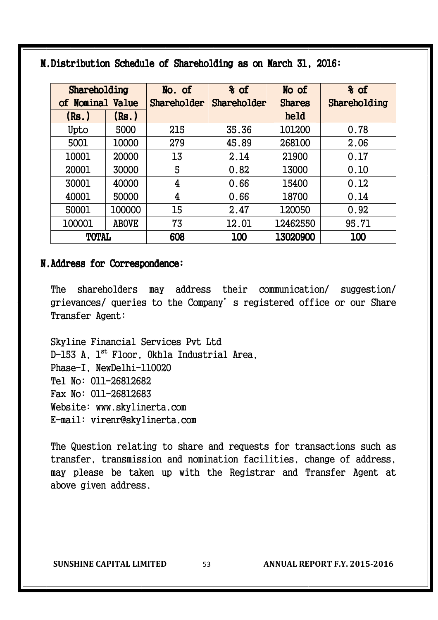| Shareholding<br>of Nominal Value |              | No. of<br>Shareholder   | % of<br>Shareholder | No of<br><b>Shares</b> | % of<br>Shareholding |
|----------------------------------|--------------|-------------------------|---------------------|------------------------|----------------------|
| (Rs.)                            | (Rs.)        |                         |                     | held                   |                      |
| Upto                             | 5000         | 215                     | 35.36               | 101200                 | 0.78                 |
| 5001                             | 10000        | 279                     | 45.89               | 268100                 | 2.06                 |
| 10001                            | 20000        | 13                      | 2.14                | 21900                  | 0.17                 |
| 20001                            | 30000        | 5                       | 0.82                | 13000                  | 0.10                 |
| 30001                            | 40000        | $\overline{4}$          | 0.66                | 15400                  | 0.12                 |
| 40001                            | 50000        | $\overline{\mathbf{4}}$ | 0.66                | 18700                  | 0.14                 |
| 50001                            | 100000       | 15                      | 2.47                | 120050                 | 0.92                 |
| 100001                           | <b>ABOVE</b> | 73                      | 12.01               | 12462550               | 95.71                |
| <b>TOTAL</b>                     |              | 608                     | 100                 | 13020900               | 100                  |

M.Distribution Schedule of Shareholding as on March 31, 2016:

## N. Address for Correspondence:

The shareholders may address their communication/ suggestion/ grievances/ queries to the Company's registered office or our Share Transfer Agent:

Skyline Financial Services Pvt Ltd D-153 A, 1<sup>st</sup> Floor, Okhla Industrial Area, Phase-I, NewDelhi-110020 Tel No: 011-26812682 Fax No: 011-26812683 Website: www.skylinerta.com E-mail: virenr@skylinerta.com

The Question relating to share and requests for transactions such as transfer, transmission and nomination facilities, change of address, may please be taken up with the Registrar and Transfer Agent at above given address.

**SUNSHINE CAPITAL LIMITED** 53 **ANNUAL REPORT F.Y. 2015-2016**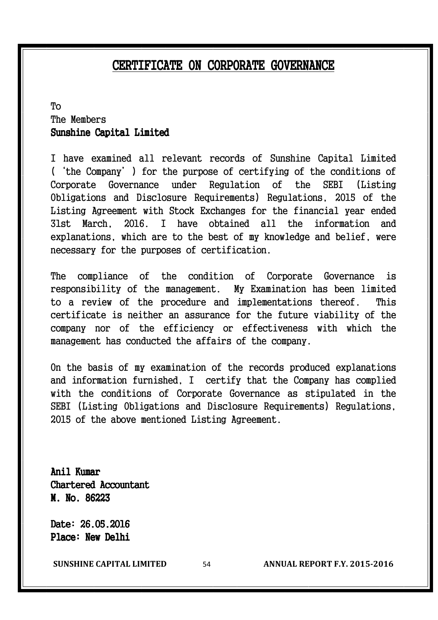# CERTIFICATE ON CORPORATE GOVERNANCE

## To The Members Sunshine Capital Limited

I have examined all relevant records of Sunshine Capital Limited ('the Company') for the purpose of certifying of the conditions of Corporate Governance under Regulation of the SEBI (Listing Obligations and Disclosure Requirements) Regulations, 2015 of the Listing Agreement with Stock Exchanges for the financial year ended 31st March, 2016. I have obtained all the information and explanations, which are to the best of my knowledge and belief, were necessary for the purposes of certification.

The compliance of the condition of Corporate Governance is responsibility of the management. My Examination has been limited to a review of the procedure and implementations thereof. This certificate is neither an assurance for the future viability of the company nor of the efficiency or effectiveness with which the management has conducted the affairs of the company.

On the basis of my examination of the records produced explanations and information furnished, I certify that the Company has complied with the conditions of Corporate Governance as stipulated in the SEBI (Listing Obligations and Disclosure Requirements) Regulations, 2015 of the above mentioned Listing Agreement.

Anil Kumar Chartered Accountant M. No. 86223

Date: 26.05.2016 Place: New Delhi

**SUNSHINE CAPITAL LIMITED** 54 **ANNUAL REPORT F.Y. 2015-2016**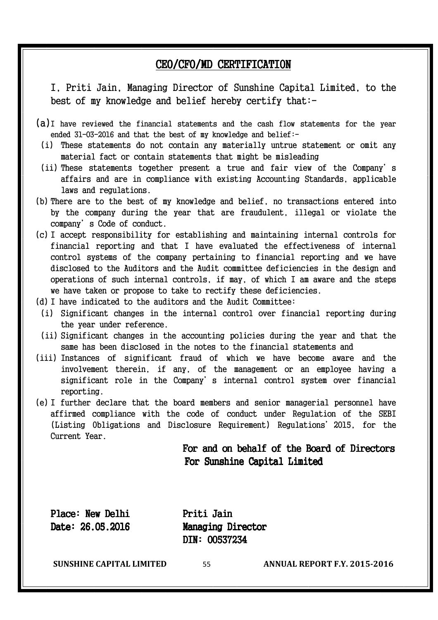# CEO/CFO/MD CERTIFICATION

I, Priti Jain, Managing Director of Sunshine Capital Limited, to the best of my knowledge and belief hereby certify that:-

- (a) I have reviewed the financial statements and the cash flow statements for the year ended 31-03-2016 and that the best of my knowledge and belief:-
	- (i) These statements do not contain any materially untrue statement or omit any material fact or contain statements that might be misleading
	- (ii) These statements together present a true and fair view of the Company's affairs and are in compliance with existing Accounting Standards, applicable laws and regulations.
- (b) There are to the best of my knowledge and belief, no transactions entered into by the company during the year that are fraudulent, illegal or violate the company's Code of conduct.
- (c) I accept responsibility for establishing and maintaining internal controls for financial reporting and that I have evaluated the effectiveness of internal control systems of the company pertaining to financial reporting and we have disclosed to the Auditors and the Audit committee deficiencies in the design and operations of such internal controls, if may, of which I am aware and the steps we have taken or propose to take to rectify these deficiencies.
- (d) I have indicated to the auditors and the Audit Committee:
- (i) Significant changes in the internal control over financial reporting during the year under reference.
- (ii) Significant changes in the accounting policies during the year and that the same has been disclosed in the notes to the financial statements and
- (iii) Instances of significant fraud of which we have become aware and the involvement therein, if any, of the management or an employee having a significant role in the Company's internal control system over financial reporting.
- (e) I further declare that the board members and senior managerial personnel have affirmed compliance with the code of conduct under Regulation of the SEBI (Listing Obligations and Disclosure Requirement) Regulations'2015, for the Current Year.

For and on behalf of the Board of Directors For Sunshine Capital Limited

Place: New Delhi Priti Jain

Date: 26.05.2016 Managing Director DIN: 00537234

**SUNSHINE CAPITAL LIMITED** 55 **ANNUAL REPORT F.Y. 2015-2016**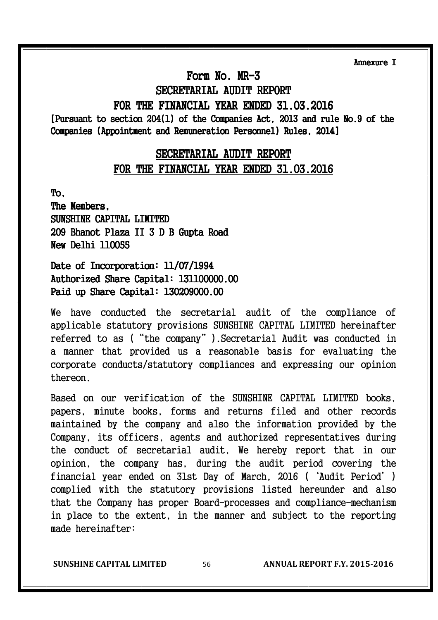Annexure I I

## Form No.  $MR-3$

# SECRETARIAL AUDIT REPORT

## FOR THE FINANCIAL YEAR ENDED 31.03.2016

[Pursuant to section 204(1) of the Companies Act, 2013 and rule No.9 of the Companies (Appointment and Remuneration Personnel) Rules, 2014]

## SECRETARIAL AUDIT REPORT FOR THE FINANCIAL YEAR ENDED 31.03.2016

To,

The Members, SUNSHINE CAPITAL LIMITED 209 Bhanot Plaza II 3 D B Gupta Road New Delhi 110055

## Date of Incorporation: 11/07/1994 Authorized Share Capital: 131100000.00 Paid up Share Capital: 130209000.00

We have conducted the secretarial audit of the compliance of applicable statutory provisions SUNSHINE CAPITAL LIMITED hereinafter referred to as ("the company").Secretarial Audit was conducted in a manner that provided us a reasonable basis for evaluating the corporate conducts/statutory compliances and expressing our opinion thereon.

Based on our verification of the SUNSHINE CAPITAL LIMITED books, papers, minute books, forms and returns filed and other records maintained by the company and also the information provided by the Company, its officers, agents and authorized representatives during the conduct of secretarial audit, We hereby report that in our opinion, the company has, during the audit period covering the financial year ended on 31st Day of March, 2016 ('Audit Period') complied with the statutory provisions listed hereunder and also that the Company has proper Board-processes and compliance-mechanism in place to the extent, in the manner and subject to the reporting made hereinafter:

**SUNSHINE CAPITAL LIMITED** 56 **ANNUAL REPORT F.Y. 2015-2016**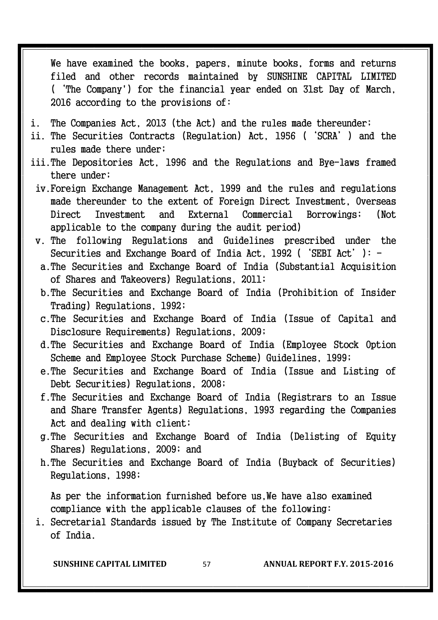We have examined the books, papers, minute books, forms and returns filed and other records maintained by SUNSHINE CAPITAL LIMITED ('The Company') for the financial year ended on 31st Day of March, 2016 according to the provisions of:

- i. The Companies Act, 2013 (the Act) and the rules made thereunder;
- ii. The Securities Contracts (Regulation) Act, 1956 ('SCRA') and the rules made there under;
- iii. The Depositories Act, 1996 and the Regulations and Bye-laws framed there under;
	- iv. Foreign Exchange Management Act, 1999 and the rules and regulations made thereunder to the extent of Foreign Direct Investment, Overseas Direct Investment and External Commercial Borrowings; (Not applicable to the company during the audit period)
	- v. The following Regulations and Guidelines prescribed under the Securities and Exchange Board of India Act, 1992 ('SEBI Act'):
		- a. The Securities and Exchange Board of India (Substantial Acquisition of Shares and Takeovers) Regulations, 2011;
		- b. The Securities and Exchange Board of India (Prohibition of Insider Trading) Regulations, 1992;
		- c. The Securities and Exchange Board of India (Issue of Capital and Disclosure Requirements) Regulations, 2009;
		- d. The Securities and Exchange Board of India (Employee Stock Option Scheme and Employee Stock Purchase Scheme) Guidelines, 1999;
		- e. The Securities and Exchange Board of India (Issue and Listing of Debt Securities) Regulations, 2008;
		- f. The Securities and Exchange Board of India (Registrars to an Issue and Share Transfer Agents) Regulations, 1993 regarding the Companies Act and dealing with client;
		- g. The Securities and Exchange Board of India (Delisting of Equity Shares) Regulations, 2009; and
		- h. The Securities and Exchange Board of India (Buyback of Securities) Regulations, 1998;

As per the information furnished before us. We have also examined compliance with the applicable clauses of the following:

i. Secretarial Standards issued by The Institute of Company Secretaries of India.

**SUNSHINE CAPITAL LIMITED** 57 **ANNUAL REPORT F.Y. 2015-2016**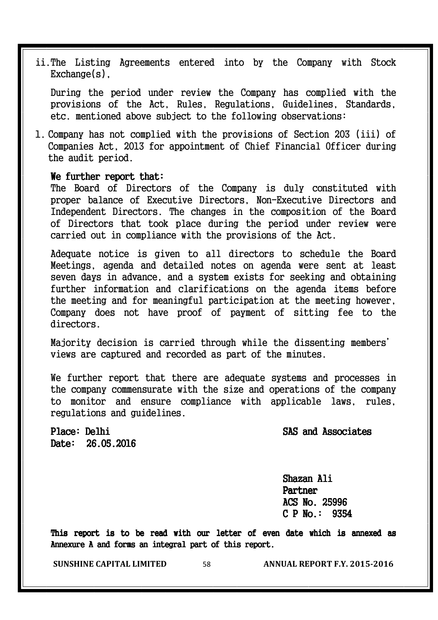ii. The Listing Agreements entered into by the Company with Stock  $Exchange(s)$ .

During the period under review the Company has complied with the provisions of the Act, Rules, Regulations, Guidelines, Standards, etc. mentioned above subject to the following observations:

1. Company has not complied with the provisions of Section 203 (iii) of Companies Act, 2013 for appointment of Chief Financial Officer during the audit period.

#### We further report that:

The Board of Directors of the Company is duly constituted with proper balance of Executive Directors, Non-Executive Directors and Independent Directors. The changes in the composition of the Board of Directors that took place during the period under review were carried out in compliance with the provisions of the Act.

Adequate notice is given to all directors to schedule the Board Meetings, agenda and detailed notes on agenda were sent at least seven days in advance, and a system exists for seeking and obtaining further information and clarifications on the agenda items before the meeting and for meaningful participation at the meeting however, Company does not have proof of payment of sitting fee to the directors.

Majority decision is carried through while the dissenting members' views are captured and recorded as part of the minutes.

We further report that there are adequate systems and processes in the company commensurate with the size and operations of the company to monitor and ensure compliance with applicable laws, rules, regulations and guidelines.

Place: Delhi SAS and Associates

Date: 26.05.2016

Shazan Ali Partner ACS No. 25996  $C$  P No.: 9354

This report is to be read with our letter of even date which is annexed as Annexure A and forms an integral part of this report.

**SUNSHINE CAPITAL LIMITED** 58 **ANNUAL REPORT F.Y. 2015-2016**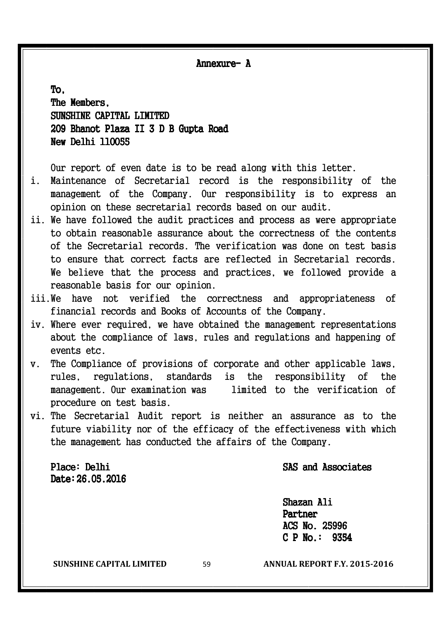Annexure- A

To, The Members, SUNSHINE CAPITAL LIMITED 209 Bhanot Plaza II 3 D B Gupta Road New Delhi 110055

Our report of even date is to be read along with this letter.

- i. Maintenance of Secretarial record is the responsibility of the management of the Company. Our responsibility is to express an opinion on these secretarial records based on our audit.
- ii. We have followed the audit practices and process as were appropriate to obtain reasonable assurance about the correctness of the contents of the Secretarial records. The verification was done on test basis to ensure that correct facts are reflected in Secretarial records. We believe that the process and practices, we followed provide a reasonable basis for our opinion.
- iii. We have not verified the correctness and appropriateness of financial records and Books of Accounts of the Company.
- iv. Where ever required, we have obtained the management representations about the compliance of laws, rules and regulations and happening of events etc.
- v. The Compliance of provisions of corporate and other applicable laws, rules, regulations, standards is the responsibility of the management. Our examination was limited to the verification of procedure on test basis.
- vi. The Secretarial Audit report is neither an assurance as to the future viability nor of the efficacy of the effectiveness with which the management has conducted the affairs of the Company.

Date: 26.05.2016

## Place: Delhi SAS and Associates

Shazan Ali Partner ACS No. 25996  $C$  P No.: 9354

**SUNSHINE CAPITAL LIMITED** 59 **ANNUAL REPORT F.Y. 2015-2016**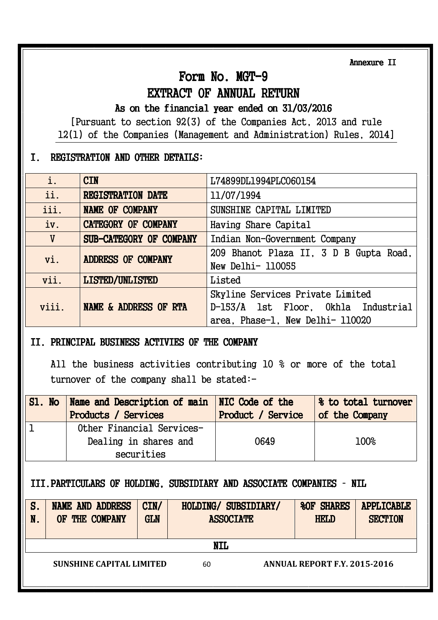Annexure II

# Form No. MGT-9

## EXTRACT OF ANNUAL RETURN

## As on the financial year ended on  $31/03/2016$

[Pursuant to section 92(3) of the Companies Act, 2013 and rule 12(1) of the Companies (Management and Administration) Rules, 2014]

## I. REGISTRATION AND OTHER DETAILS: DETAILS:

| i.    | <b>CIN</b>                 | L74899DL1994PLC060154                                                   |  |
|-------|----------------------------|-------------------------------------------------------------------------|--|
| ii.   | <b>REGISTRATION DATE</b>   | 11/07/1994                                                              |  |
| iii.  | <b>NAME OF COMPANY</b>     | SUNSHINE CAPITAL LIMITED                                                |  |
| iv.   | <b>CATEGORY OF COMPANY</b> | Having Share Capital                                                    |  |
| V     | SUB-CATEGORY OF COMPANY    | Indian Non-Government Company                                           |  |
| vi.   | ADDRESS OF COMPANY         | 209 Bhanot Plaza II, 3 D B Gupta Road,<br>New Delhi- 110055             |  |
| vii.  | <b>LISTED/UNLISTED</b>     | Listed                                                                  |  |
| viii. | NAME & ADDRESS OF RTA      | Skyline Services Private Limited<br>D-153/A lst Floor, Okhla Industrial |  |
|       |                            | area, Phase-1, New Delhi- 110020                                        |  |

## II. PRINCIPAL BUSINESS ACTIVIES OF THE COMPANY

All the business activities contributing 10 % or more of the total turnover of the company shall be stated:-

| S1. No Name and Description of main NIC Code of the<br><b>Products / Services</b> | Product / Service | 8 to total turnover<br>of the Company |
|-----------------------------------------------------------------------------------|-------------------|---------------------------------------|
| Other Financial Services-                                                         |                   |                                       |
| Dealing in shares and                                                             | 0649              | 100%                                  |
| securities                                                                        |                   |                                       |

## III. PARTICULARS OF HOLDING, SUBSIDIARY AND ASSOCIATE COMPANIES - NIL

| S.<br>N. | <b>NAME AND ADDRESS</b><br>THE COMPANY<br>0F                          | CIN/<br><b>GLN</b> | HOLDING/ SUBSIDIARY/<br><b>ASSOCIATE</b> | <b>%OF SHARES</b><br><b>HELD</b> | <b>APPLICABLE</b><br><b>SECTION</b> |  |  |
|----------|-----------------------------------------------------------------------|--------------------|------------------------------------------|----------------------------------|-------------------------------------|--|--|
|          |                                                                       |                    | <b>NIL</b>                               |                                  |                                     |  |  |
|          | <b>ANNUAL REPORT F.Y. 2015-2016</b><br>SUNSHINE CAPITAL LIMITED<br>60 |                    |                                          |                                  |                                     |  |  |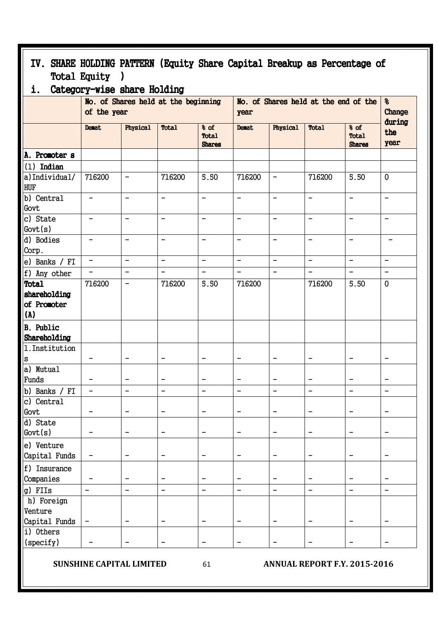| IV. SHARE HOLDING PATTERN (Equity Share Capital Breakup as Percentage of |                                                    |                                               |                                               |                                              |                          |                          |                                        |                                       |                          |
|--------------------------------------------------------------------------|----------------------------------------------------|-----------------------------------------------|-----------------------------------------------|----------------------------------------------|--------------------------|--------------------------|----------------------------------------|---------------------------------------|--------------------------|
|                                                                          | <b>Total Equity</b><br><u>)</u>                    |                                               |                                               |                                              |                          |                          |                                        |                                       |                          |
| i.                                                                       | Category-wise share Holding                        |                                               |                                               |                                              |                          |                          |                                        |                                       |                          |
|                                                                          | No. of Shares held at the beginning<br>of the year |                                               |                                               | No. of Shares held at the end of the<br>year |                          |                          |                                        | 옹<br>Change                           |                          |
|                                                                          | Demat                                              | Physical                                      | <b>Total</b>                                  | % of<br><b>Total</b><br><b>Shares</b>        | <b>Demat</b>             | Physical                 | <b>Total</b>                           | % of<br><b>Total</b><br><b>Shares</b> | during<br>the<br>year    |
| A. Promoter s                                                            |                                                    |                                               |                                               |                                              |                          |                          |                                        |                                       |                          |
| $(1)$ Indian                                                             |                                                    |                                               |                                               |                                              |                          |                          |                                        |                                       |                          |
| a)Individual/<br>HUF                                                     | 716200                                             | $\overline{\phantom{0}}$                      | 716200                                        | 5.50                                         | 716200                   | $\overline{\phantom{a}}$ | 716200                                 | 5.50                                  | $\mathbf 0$              |
| b) Central<br>Govt                                                       | $\qquad \qquad -$                                  | $\qquad \qquad -$                             | $\overline{\phantom{0}}$                      | $\qquad \qquad -$                            | $\qquad \qquad -$        | $\qquad \qquad -$        | $\qquad \qquad -$                      | $\qquad \qquad -$                     | $\qquad \qquad -$        |
| c) State<br>Govt(s)                                                      |                                                    | $\qquad \qquad -$                             | $\qquad \qquad -$                             | $\qquad \qquad -$                            | $\qquad \qquad -$        | $\overline{\phantom{0}}$ | $\qquad \qquad -$                      | $\qquad \qquad -$                     | $\overline{\phantom{m}}$ |
| d) Bodies<br>Corp.                                                       |                                                    | $\overline{\phantom{0}}$                      | $\overline{\phantom{0}}$                      | $\overline{\phantom{0}}$                     | $\overline{\phantom{0}}$ |                          |                                        | $\overline{\phantom{0}}$              |                          |
| e) Banks / FI                                                            | $\qquad \qquad -$                                  | $\qquad \qquad -$                             | $\blacksquare$                                | $\blacksquare$                               | $\qquad \qquad -$        | $\qquad \qquad -$        | $\overline{\phantom{a}}$               | $\qquad \qquad -$                     | $\overline{\phantom{a}}$ |
| f) Any other                                                             |                                                    | $\qquad \qquad -$                             | $\qquad \qquad -$                             | $\overline{\phantom{a}}$                     | $\qquad \qquad -$        | $\overline{\phantom{m}}$ | $\qquad \qquad -$                      | $\overline{\phantom{a}}$              | $\overline{\phantom{m}}$ |
| <b>Total</b>                                                             | 716200                                             | $\qquad \qquad -$                             | 716200                                        | 5.50                                         | 716200                   |                          | 716200                                 | 5.50                                  | $\mathbf 0$              |
| shareholding<br>of Promoter<br>(A)                                       |                                                    |                                               |                                               |                                              |                          |                          |                                        |                                       |                          |
| <b>B.</b> Public<br>Shareholding                                         |                                                    |                                               |                                               |                                              |                          |                          |                                        |                                       |                          |
| 1. Institution                                                           |                                                    |                                               |                                               |                                              |                          |                          |                                        |                                       |                          |
| S                                                                        |                                                    | -                                             | $\overline{\phantom{0}}$                      | $\overline{\phantom{0}}$                     | $\qquad \qquad$          |                          |                                        | $\qquad \qquad$                       |                          |
| a) Mutual                                                                |                                                    |                                               |                                               |                                              |                          |                          |                                        |                                       |                          |
| Funds                                                                    |                                                    | $\overline{\phantom{m}}$                      |                                               |                                              | $\overline{\phantom{m}}$ |                          |                                        |                                       |                          |
| b) Banks / FI<br>c) Central                                              |                                                    | -                                             |                                               |                                              | -                        |                          |                                        |                                       |                          |
| Govt                                                                     |                                                    | $\qquad \qquad \blacksquare$                  | -                                             |                                              | $\qquad \qquad -$        |                          | $\qquad \qquad -$                      |                                       |                          |
| d) State                                                                 |                                                    |                                               |                                               |                                              |                          |                          |                                        |                                       |                          |
| Govt(s)                                                                  |                                                    | $\qquad \qquad -$                             | -                                             |                                              | $\qquad \qquad -$        | $\qquad \qquad -$        | $\overline{\phantom{m}}$               | $\qquad \qquad$                       | $\overline{\phantom{0}}$ |
| e) Venture<br>Capital Funds                                              | $\qquad \qquad -$                                  | $\qquad \qquad -$                             | $\overline{\phantom{0}}$                      | $\qquad \qquad -$                            | $\overline{\phantom{0}}$ |                          | $\qquad \qquad -$                      | $\overline{\phantom{0}}$              |                          |
| f) Insurance                                                             |                                                    |                                               |                                               |                                              |                          |                          |                                        |                                       |                          |
| Companies                                                                |                                                    |                                               |                                               |                                              |                          |                          |                                        |                                       |                          |
| g) FIIs<br>h) Foreign<br>Venture                                         | $\overline{\phantom{0}}$                           | $\qquad \qquad -$<br>$\overline{\phantom{m}}$ | $\qquad \qquad -$<br>$\overline{\phantom{0}}$ | $\qquad \qquad -$<br>$\qquad \qquad -$       | $\qquad \qquad -$        | $\overline{\phantom{a}}$ | $\qquad \qquad -$<br>$\qquad \qquad -$ | $\qquad \qquad -$                     | $\overline{\phantom{m}}$ |
| Capital Funds<br>i) Others                                               |                                                    |                                               |                                               |                                              | $\qquad \qquad$          |                          |                                        |                                       |                          |
| (specify)                                                                |                                                    | $\qquad \qquad -$                             | -                                             | $\overline{\phantom{a}}$                     | $\qquad \qquad -$        |                          | $\qquad \qquad -$                      | $\qquad \qquad -$                     | $\qquad \qquad -$        |

**SUNSHINE CAPITAL LIMITED** 61 **ANNUAL REPORT F.Y. 2015-2016**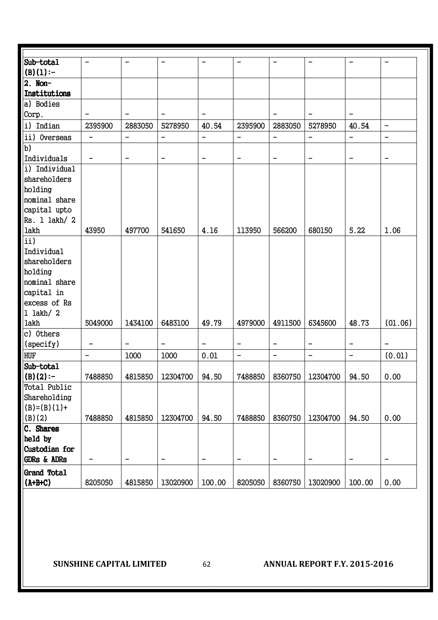| Sub-total              | $\overline{\phantom{0}}$ | $\overline{\phantom{0}}$ |                          |                              |                          | $\overline{\phantom{0}}$ |                          |                          | $\overline{\phantom{0}}$     |
|------------------------|--------------------------|--------------------------|--------------------------|------------------------------|--------------------------|--------------------------|--------------------------|--------------------------|------------------------------|
| (B)(1):                |                          |                          |                          |                              |                          |                          |                          |                          |                              |
| $2.$ Non-              |                          |                          |                          |                              |                          |                          |                          |                          |                              |
| Institutions           |                          |                          |                          |                              |                          |                          |                          |                          |                              |
| a) Bodies              |                          |                          |                          |                              |                          |                          |                          |                          |                              |
| Corp.                  | $\overline{\phantom{0}}$ | $\overline{\phantom{0}}$ | -                        | $\qquad \qquad -$            |                          | $\overline{\phantom{m}}$ | $\overline{\phantom{0}}$ | $\qquad \qquad -$        |                              |
| i) Indian              | 2395900                  | 2883050                  | 5278950                  | 40.54                        | 2395900                  | 2883050                  | 5278950                  | 40.54                    | $\qquad \qquad -$            |
| ii) Overseas           | $\overline{\phantom{m}}$ | $\qquad \qquad -$        | $\overline{\phantom{0}}$ | $\qquad \qquad -$            | $\qquad \qquad -$        | $\overline{\phantom{a}}$ | $\qquad \qquad -$        | $\qquad \qquad -$        | $\overline{\phantom{0}}$     |
| $\overline{b}$         |                          |                          |                          |                              |                          |                          |                          |                          |                              |
| Individuals            | $\overline{\phantom{m}}$ | $\qquad \qquad -$        | -                        | $\overline{\phantom{0}}$     | $\overline{\phantom{m}}$ | $\overline{\phantom{m}}$ | $\qquad \qquad -$        | $\qquad \qquad -$        | $\qquad \qquad -$            |
| i) Individual          |                          |                          |                          |                              |                          |                          |                          |                          |                              |
| shareholders           |                          |                          |                          |                              |                          |                          |                          |                          |                              |
| holding                |                          |                          |                          |                              |                          |                          |                          |                          |                              |
| nominal share          |                          |                          |                          |                              |                          |                          |                          |                          |                              |
| capital upto           |                          |                          |                          |                              |                          |                          |                          |                          |                              |
| Rs. 1 lakh/2           |                          |                          |                          |                              |                          |                          |                          |                          |                              |
| lakh                   | 43950                    | 497700                   | 541650                   | 4.16                         | 113950                   | 566200                   | 680150                   | 5.22                     | 1.06                         |
| ii)                    |                          |                          |                          |                              |                          |                          |                          |                          |                              |
| Individual             |                          |                          |                          |                              |                          |                          |                          |                          |                              |
| shareholders           |                          |                          |                          |                              |                          |                          |                          |                          |                              |
| holding                |                          |                          |                          |                              |                          |                          |                          |                          |                              |
| nominal share          |                          |                          |                          |                              |                          |                          |                          |                          |                              |
| capital in             |                          |                          |                          |                              |                          |                          |                          |                          |                              |
| excess of Rs           |                          |                          |                          |                              |                          |                          |                          |                          |                              |
| $1$ lakh/ $2$          |                          |                          |                          |                              |                          |                          |                          |                          |                              |
| lakh                   | 5049000                  | 1434100                  | 6483100                  | 49.79                        | 4979000                  | 4911500                  | 6345600                  | 48.73                    | (01.06)                      |
| c) Others              |                          |                          |                          |                              |                          |                          |                          |                          |                              |
| (specify)              |                          | $\qquad \qquad -$        | $\qquad \qquad -$        | $\qquad \qquad -$            | $\qquad \qquad -$        | $\overline{\phantom{a}}$ | -                        | $\qquad \qquad -$        | $\qquad \qquad -$            |
| <b>HUF</b>             | $\overline{\phantom{0}}$ | 1000                     | 1000                     | 0.01                         | $\qquad \qquad -$        | $\qquad \qquad -$        | -                        | $\overline{\phantom{0}}$ | (0.01)                       |
| Sub-total              |                          |                          |                          |                              |                          |                          |                          |                          |                              |
| (B)(2):                | 7488850                  | 4815850                  | 12304700                 | 94.50                        | 7488850                  | 8360750                  | 12304700                 | 94.50                    | 0.00                         |
| <b>Total Public</b>    |                          |                          |                          |                              |                          |                          |                          |                          |                              |
| Shareholding           |                          |                          |                          |                              |                          |                          |                          |                          |                              |
| $(B)=(B)(1)+$          |                          |                          |                          |                              |                          |                          |                          |                          |                              |
| (B)(2)                 | 7488850                  | 4815850                  | 12304700                 | 94.50                        | 7488850                  | 8360750                  | 12304700                 | 94.50                    | 0.00                         |
| C. Shares              |                          |                          |                          |                              |                          |                          |                          |                          |                              |
| held by                |                          |                          |                          |                              |                          |                          |                          |                          |                              |
| Custodian for          |                          |                          |                          |                              |                          |                          |                          |                          |                              |
| <b>GDRs &amp; ADRs</b> | -                        | $\qquad \qquad -$        | $\overline{\phantom{m}}$ | $\qquad \qquad \blacksquare$ | -                        | $\overline{\phantom{a}}$ | -                        | $\overline{\phantom{a}}$ | $\qquad \qquad \blacksquare$ |
| Grand Total            |                          |                          |                          |                              |                          |                          |                          |                          |                              |
| $(A+B+C)$              | 8205050                  | 4815850                  | 13020900                 | 100.00                       | 8205050                  | 8360750                  | 13020900                 | 100.00                   | 0.00                         |
|                        |                          |                          |                          |                              |                          |                          |                          |                          |                              |

**SUNSHINE CAPITAL LIMITED** 62 **ANNUAL REPORT F.Y. 2015-2016**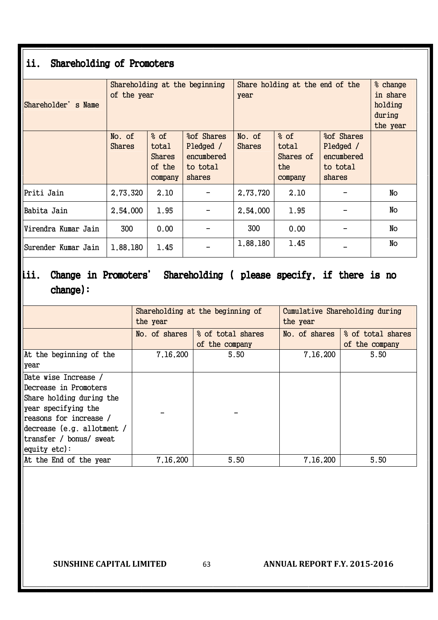# ii. Shareholding of Promoters

| Shareholder's Name  | of the year             |                                                     | Shareholding at the beginning                                | Share holding at the end of the<br>year | % change<br>in share<br>holding<br>during<br>the year |  |    |
|---------------------|-------------------------|-----------------------------------------------------|--------------------------------------------------------------|-----------------------------------------|-------------------------------------------------------|--|----|
|                     | No. of<br><b>Shares</b> | % of<br>total<br><b>Shares</b><br>of the<br>company | % of Shares<br>Pledged /<br>encumbered<br>to total<br>shares | No. of<br><b>Shares</b>                 |                                                       |  |    |
| Priti Jain          | 2,73,320                | 2.10                                                |                                                              | 2,73,720                                | 2.10                                                  |  | No |
| Babita Jain         | 2,54,000                | 1.95                                                |                                                              | 2,54,000                                | 1.95                                                  |  | No |
| Virendra Kumar Jain | 300                     | 0.00                                                |                                                              | 300                                     | 0.00                                                  |  | No |
| Surender Kumar Jain | 1,88,180                | 1.45                                                |                                                              | 1,88,180                                | 1.45                                                  |  | No |

# iii. Change in Promoters' Shareholding ( please specify, if there is no change): change):

|                            | the year      | Shareholding at the beginning of | Cumulative Shareholding during<br>the year |                   |  |
|----------------------------|---------------|----------------------------------|--------------------------------------------|-------------------|--|
|                            | No. of shares | % of total shares                | No. of shares                              | % of total shares |  |
|                            |               | of the company                   |                                            | of the company    |  |
| At the beginning of the    | 7,16,200      | 5.50                             | 7,16,200                                   | 5.50              |  |
| year                       |               |                                  |                                            |                   |  |
| Date wise Increase /       |               |                                  |                                            |                   |  |
| Decrease in Promoters      |               |                                  |                                            |                   |  |
| Share holding during the   |               |                                  |                                            |                   |  |
| year specifying the        |               |                                  |                                            |                   |  |
| reasons for increase /     |               |                                  |                                            |                   |  |
| decrease (e.g. allotment / |               |                                  |                                            |                   |  |
| transfer / bonus/ sweat    |               |                                  |                                            |                   |  |
| $\sqrt{equity}$ etc):      |               |                                  |                                            |                   |  |
| At the End of the year     | 7,16,200      | 5.50                             | 7,16,200                                   | 5.50              |  |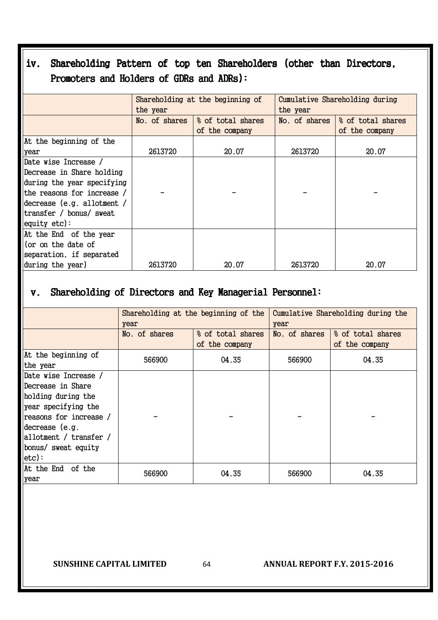# iv. Shareholding Pattern of top ten Shareholders (other than Directors, Promoters and Holders of GDRs and ADRs):

|                            | the year      | Shareholding at the beginning of | Cumulative Shareholding during<br>the year |                   |  |
|----------------------------|---------------|----------------------------------|--------------------------------------------|-------------------|--|
|                            | No. of shares | % of total shares                | No. of shares                              | % of total shares |  |
|                            |               | of the company                   |                                            | of the company    |  |
| At the beginning of the    |               |                                  |                                            |                   |  |
| year                       | 2613720       | 20.07                            | 2613720                                    | 20.07             |  |
| Date wise Increase /       |               |                                  |                                            |                   |  |
| Decrease in Share holding  |               |                                  |                                            |                   |  |
| during the year specifying |               |                                  |                                            |                   |  |
| the reasons for increase / |               |                                  |                                            |                   |  |
| decrease (e.g. allotment / |               |                                  |                                            |                   |  |
| transfer / bonus/ sweat    |               |                                  |                                            |                   |  |
| equity $etc$ ):            |               |                                  |                                            |                   |  |
| At the End of the year     |               |                                  |                                            |                   |  |
| (or on the date of         |               |                                  |                                            |                   |  |
| separation, if separated   |               |                                  |                                            |                   |  |
| during the year)           | 2613720       | 20.07                            | 2613720                                    | 20.07             |  |

# v. Shareholding of Directors and Key Managerial Personnel:

|                                                                                                                                                                                                          | year          | Shareholding at the beginning of the | Cumulative Shareholding during the<br>year |                                     |  |
|----------------------------------------------------------------------------------------------------------------------------------------------------------------------------------------------------------|---------------|--------------------------------------|--------------------------------------------|-------------------------------------|--|
|                                                                                                                                                                                                          | No. of shares | % of total shares<br>of the company  | No. of shares                              | % of total shares<br>of the company |  |
| At the beginning of<br>the year                                                                                                                                                                          | 566900        | 04.35                                | 566900                                     | 04.35                               |  |
| Date wise Increase /<br> Decrease in Share <br>holding during the<br>year specifying the<br>reasons for increase /<br>decrease (e.g.<br>allotment / transfer /<br>bonus/ sweat equity<br>$ etc\rangle$ : |               |                                      |                                            |                                     |  |
| At the End of the<br>year                                                                                                                                                                                | 566900        | 04.35                                | 566900                                     | 04.35                               |  |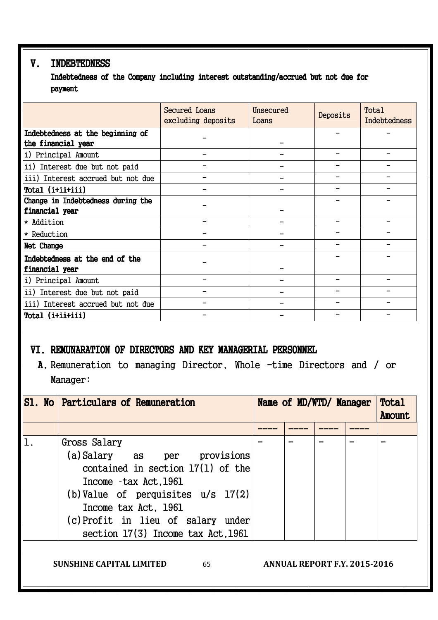## V. INDEBTEDNESS

Indebtedness of the Company including interest outstanding/accrued but not due for payment

|                                   | Secured Loans<br>excluding deposits | Unsecured<br>Loans | Deposits | Total<br>Indebtedness |
|-----------------------------------|-------------------------------------|--------------------|----------|-----------------------|
| Indebtedness at the beginning of  |                                     |                    |          |                       |
| the financial year                |                                     |                    |          |                       |
| i) Principal Amount               |                                     |                    |          |                       |
| ii) Interest due but not paid     |                                     |                    |          |                       |
| iii) Interest accrued but not due |                                     |                    |          |                       |
| Total (i+ii+iii)                  |                                     |                    |          |                       |
| Change in Indebtedness during the |                                     |                    |          |                       |
| financial year                    |                                     |                    |          |                       |
| * Addition                        |                                     |                    |          |                       |
| * Reduction                       |                                     |                    |          |                       |
| Net Change                        |                                     |                    |          |                       |
| Indebtedness at the end of the    |                                     |                    |          |                       |
| financial year                    |                                     |                    |          |                       |
| i) Principal Amount               |                                     |                    |          |                       |
| ii) Interest due but not paid     |                                     |                    |          |                       |
| iii) Interest accrued but not due |                                     |                    |          |                       |
| Total (i+ii+iii)                  |                                     |                    |          |                       |

## VI. REMUNARATION OF DIRECTORS AND KEY MANAGERIAL PERSONNEL

A. Remuneration to managing Director, Whole -time Directors and / or Manager:

| <b>S1. No Particulars of Remuneration</b>                                                                                                                                                                                                               | Name of MD/WTD/ Manager |  |  |  | Total<br>Amount |
|---------------------------------------------------------------------------------------------------------------------------------------------------------------------------------------------------------------------------------------------------------|-------------------------|--|--|--|-----------------|
|                                                                                                                                                                                                                                                         |                         |  |  |  |                 |
| Gross Salary<br>(a) Salary as per provisions<br>contained in section $17(1)$ of the<br>Income -tax Act.1961<br>(b) Value of perquisites $u/s$ 17(2)<br>Income tax Act, 1961<br>(c) Profit in lieu of salary under<br>section 17(3) Income tax Act, 1961 |                         |  |  |  |                 |

**SUNSHINE CAPITAL LIMITED** 65 **ANNUAL REPORT F.Y. 2015-2016**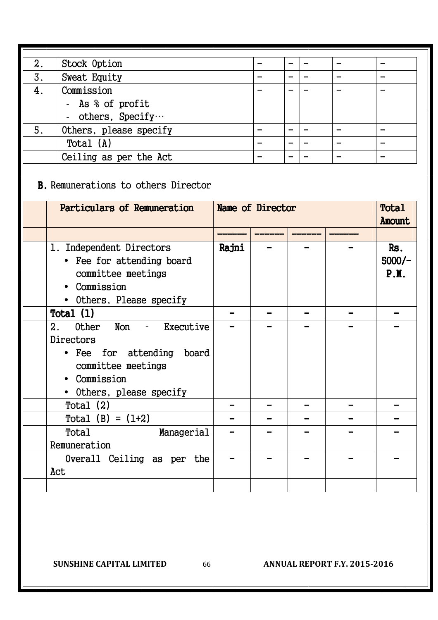| 2. | Stock Option           |  |   |   |
|----|------------------------|--|---|---|
| 3. | <b>Sweat Equity</b>    |  |   |   |
| 4. | Commission             |  |   |   |
|    | - As % of profit       |  |   |   |
|    | - others, $Specificy$  |  |   |   |
| 5. | Others, please specify |  |   |   |
|    | Total (A)              |  | - | - |
|    | Ceiling as per the Act |  |   |   |

B. Remunerations to others Director

| Particulars of Remuneration                                                                                                                |       | Name of Director |  |  |                         |  |
|--------------------------------------------------------------------------------------------------------------------------------------------|-------|------------------|--|--|-------------------------|--|
|                                                                                                                                            |       |                  |  |  |                         |  |
| 1. Independent Directors<br>• Fee for attending board<br>committee meetings<br>• Commission<br>• Others, Please specify                    | Rajni |                  |  |  | Rs.<br>$5000/-$<br>P.M. |  |
| Total $(1)$                                                                                                                                |       |                  |  |  |                         |  |
| Other Non - Executive<br>2.<br>Directors<br>• Fee for attending<br>board<br>committee meetings<br>• Commission<br>• Others, please specify |       |                  |  |  |                         |  |
| Total $(2)$                                                                                                                                |       |                  |  |  |                         |  |
| Total $(B) = (1+2)$                                                                                                                        |       |                  |  |  |                         |  |
| Total<br>Managerial<br>Remuneration                                                                                                        |       |                  |  |  |                         |  |
| Overall Ceiling as per the<br>Act                                                                                                          |       |                  |  |  |                         |  |
|                                                                                                                                            |       |                  |  |  |                         |  |

**SUNSHINE CAPITAL LIMITED** 66 **ANNUAL REPORT F.Y. 2015-2016**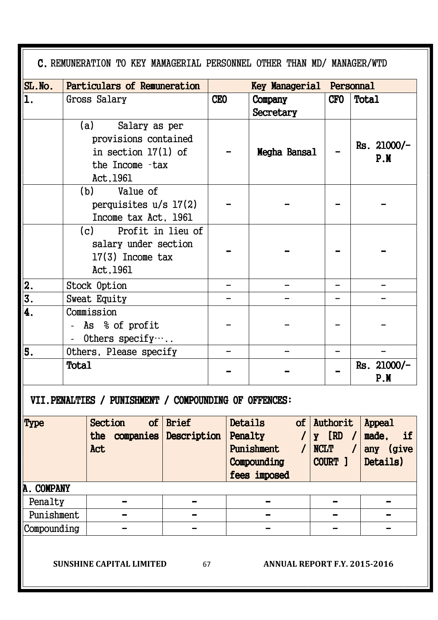|             |                        | C. REMUNERATION TO KEY MAMAGERIAL PERSONNEL OTHER THAN MD/ MANAGER/WTD                             |                          |                                 |  |                                                                 |                      |                          |                                                                   |                                                |                    |  |
|-------------|------------------------|----------------------------------------------------------------------------------------------------|--------------------------|---------------------------------|--|-----------------------------------------------------------------|----------------------|--------------------------|-------------------------------------------------------------------|------------------------------------------------|--------------------|--|
| $SL$ . No.  |                        | Particulars of Remuneration                                                                        |                          | <b>Key Managerial Personnal</b> |  |                                                                 |                      |                          |                                                                   |                                                |                    |  |
| 1.          |                        | Gross Salary                                                                                       |                          | <b>CEO</b>                      |  | Company<br>Secretary                                            |                      |                          | <b>CFO</b>                                                        | Total                                          |                    |  |
|             |                        | (a) Salary as per<br>provisions contained<br>in section $17(1)$ of<br>the Income -tax<br>Act, 1961 |                          |                                 |  | Megha Bansal                                                    |                      |                          |                                                                   |                                                | Rs. 21000/-<br>P.M |  |
|             |                        | (b) Value of<br>perquisites $u/s$ 17(2)<br>Income tax Act, 1961                                    |                          |                                 |  |                                                                 |                      |                          |                                                                   |                                                |                    |  |
|             |                        | (c) Profit in lieu of<br>salary under section<br>$17(3)$ Income tax<br>Act, 1961                   |                          |                                 |  |                                                                 |                      |                          |                                                                   |                                                |                    |  |
| 2.          |                        | Stock Option                                                                                       |                          |                                 |  |                                                                 |                      | -                        |                                                                   |                                                |                    |  |
| 3.          |                        | Sweat Equity                                                                                       |                          |                                 |  |                                                                 |                      |                          |                                                                   |                                                |                    |  |
| 4.          |                        | Commission<br>- As % of profit<br>- Others specify $\cdots$ .                                      |                          |                                 |  |                                                                 |                      |                          |                                                                   |                                                |                    |  |
| 5.          | Others, Please specify |                                                                                                    |                          |                                 |  |                                                                 |                      |                          |                                                                   |                                                |                    |  |
|             | <b>Total</b>           |                                                                                                    |                          |                                 |  |                                                                 |                      |                          | $Rs. 21000/-$<br>P.M                                              |                                                |                    |  |
|             |                        | VII. PENALTIES / PUNISHMENT / COMPOUNDING OF OFFENCES:                                             |                          |                                 |  |                                                                 |                      |                          |                                                                   |                                                |                    |  |
| <b>Type</b> |                        | <b>Section</b><br>the companies Description<br>Act                                                 | of $ $ Brief             |                                 |  | Details<br>Penalty<br>Punishment<br>Compounding<br>fees imposed | $\prime$<br>$\prime$ | <b>NCLT</b>              | $of$ Authorit<br>$y$ [RD /<br>$\overline{\phantom{a}}$<br>COURT 1 | Appeal<br>made,<br>if<br>any (give<br>Details) |                    |  |
| A. COMPANY  |                        |                                                                                                    |                          |                                 |  |                                                                 |                      |                          |                                                                   |                                                |                    |  |
| Penalty     |                        |                                                                                                    | $\overline{\phantom{0}}$ |                                 |  | $\overline{\phantom{0}}$                                        |                      | $\overline{\phantom{0}}$ |                                                                   |                                                |                    |  |
| Punishment  |                        |                                                                                                    | $\overline{\phantom{0}}$ |                                 |  | $\rightarrow$                                                   |                      |                          |                                                                   |                                                |                    |  |
| Compounding |                        |                                                                                                    |                          |                                 |  |                                                                 |                      |                          |                                                                   |                                                |                    |  |
|             |                        | <b>SUNSHINE CAPITAL LIMITED</b>                                                                    | 67                       |                                 |  | <b>ANNUAL REPORT F.Y. 2015-2016</b>                             |                      |                          |                                                                   |                                                |                    |  |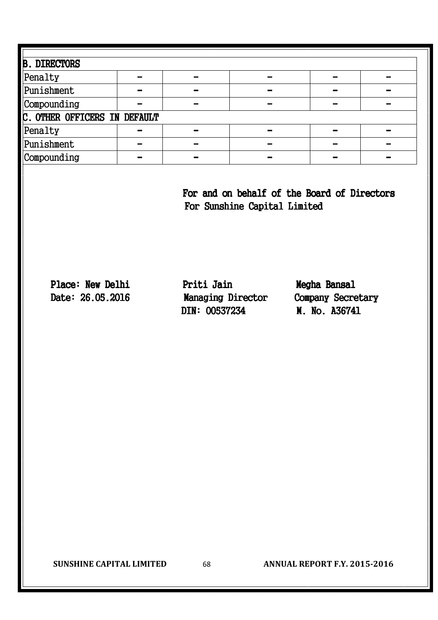| <b>B. DIRECTORS</b>          |  |  |  |  |  |  |  |  |  |
|------------------------------|--|--|--|--|--|--|--|--|--|
| Penalty                      |  |  |  |  |  |  |  |  |  |
| Punishment                   |  |  |  |  |  |  |  |  |  |
| Compounding                  |  |  |  |  |  |  |  |  |  |
| C. OTHER OFFICERS IN DEFAULT |  |  |  |  |  |  |  |  |  |
| Penalty                      |  |  |  |  |  |  |  |  |  |
| Punishment                   |  |  |  |  |  |  |  |  |  |
| Compounding                  |  |  |  |  |  |  |  |  |  |

For and on behalf of the Board of Directors For Sunshine Capital Limited

Place: New Delhi Priti Jain Priese Megha Bansal Date: 26.05.2016 Managing Director Company Secretary DIN: 00537234 M. No. A36741

**SUNSHINE CAPITAL LIMITED** 68 **ANNUAL REPORT F.Y. 2015-2016**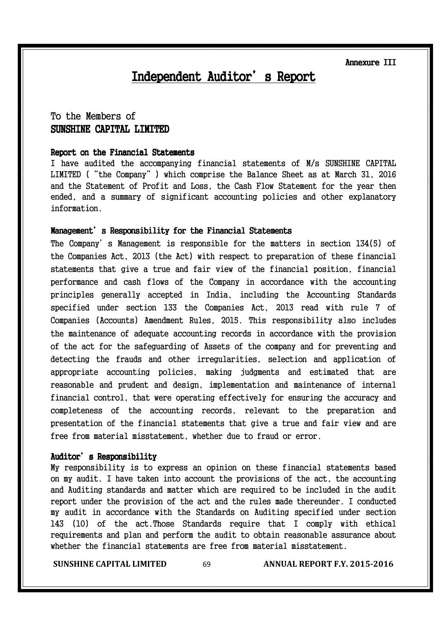Annexure III

# Independent Auditor's Report

## To the Members of SUNSHINE CAPITAL LIMITED

#### Report on the Financial Statements

I have audited the accompanying financial statements of M/s SUNSHINE CAPITAL LIMITED ("the Company") which comprise the Balance Sheet as at March 31, 2016 and the Statement of Profit and Loss, the Cash Flow Statement for the year then ended, and a summary of significant accounting policies and other explanatory information.

#### Management's Responsibility for the Financial Statements

The Company's Management is responsible for the matters in section 134(5) of the Companies Act, 2013 (the Act) with respect to preparation of these financial statements that give a true and fair view of the financial position, financial performance and cash flows of the Company in accordance with the accounting principles generally accepted in India, including the Accounting Standards specified under section 133 the Companies Act, 2013 read with rule 7 of Companies (Accounts) Amendment Rules, 2015. This responsibility also includes the maintenance of adequate accounting records in accordance with the provision of the act for the safeguarding of Assets of the company and for preventing and detecting the frauds and other irregularities, selection and application of appropriate accounting policies, making judgments and estimated that are reasonable and prudent and design, implementation and maintenance of internal financial control, that were operating effectively for ensuring the accuracy and completeness of the accounting records, relevant to the preparation and presentation of the financial statements that give a true and fair view and are free from material misstatement, whether due to fraud or error.

#### Auditor's Responsibility

My responsibility is to express an opinion on these financial statements based on my audit. I have taken into account the provisions of the act, the accounting and Auditing standards and matter which are required to be included in the audit report under the provision of the act and the rules made thereunder. I conducted my audit in accordance with the Standards on Auditing specified under section 143 (10) of the act.Those Standards require that I comply with ethical requirements and plan and perform the audit to obtain reasonable assurance about whether the financial statements are free from material misstatement.

**SUNSHINE CAPITAL LIMITED** 69 **ANNUAL REPORT F.Y. 2015-2016**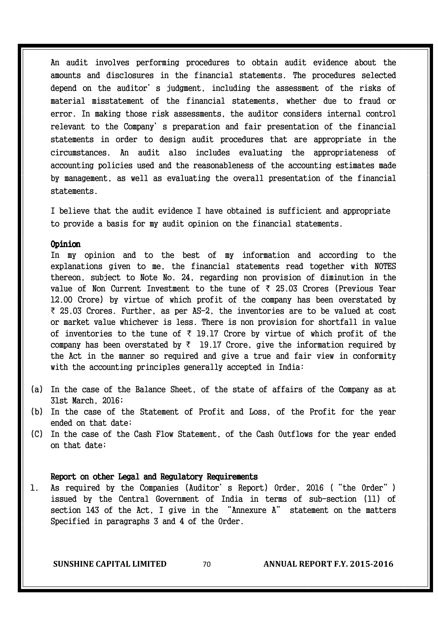An audit involves performing procedures to obtain audit evidence about the amounts and disclosures in the financial statements. The procedures selected depend on the auditor's judgment, including the assessment of the risks of material misstatement of the financial statements, whether due to fraud or error. In making those risk assessments, the auditor considers internal control relevant to the Company's preparation and fair presentation of the financial statements in order to design audit procedures that are appropriate in the circumstances. An audit also includes evaluating the appropriateness of accounting policies used and the reasonableness of the accounting estimates made by management, as well as evaluating the overall presentation of the financial statements.

I believe that the audit evidence I have obtained is sufficient and appropriate to provide a basis for my audit opinion on the financial statements.

#### Opinion

In my opinion and to the best of my information and according to the explanations given to me, the financial statements read together with NOTES thereon, subject to Note No. 24, regarding non provision of diminution in the value of Non Current Investment to the tune of  $\bar{\tau}$  25.03 Crores (Previous Year 12.00 Crore) by virtue of which profit of the company has been overstated by  $\bar{\tau}$  25.03 Crores. Further, as per AS-2, the inventories are to be valued at cost or market value whichever is less. There is non provision for shortfall in value of inventories to the tune of  $\bar{\tau}$  19.17 Crore by virtue of which profit of the company has been overstated by  $\bar{\tau}$  19.17 Crore, give the information required by the Act in the manner so required and give a true and fair view in conformity with the accounting principles generally accepted in India:

- (a) In the case of the Balance Sheet, of the state of affairs of the Company as at 31st March, 2016;
- (b) In the case of the Statement of Profit and Loss, of the Profit for the year ended on that date;
- (C) In the case of the Cash Flow Statement, of the Cash Outflows for the year ended on that date;

#### Report on other Legal and Regulatory Requirements

1. As required by the Companies (Auditor's Report) Order, 2016 ("the Order") issued by the Central Government of India in terms of sub-section (11) of section 143 of the Act, I give in the "Annexure A" statement on the matters Specified in paragraphs 3 and 4 of the Order.

**SUNSHINE CAPITAL LIMITED** 70 **ANNUAL REPORT F.Y. 2015-2016**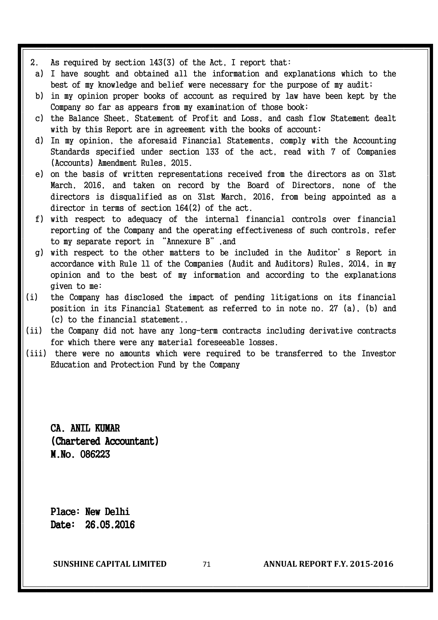- 2. As required by section 143(3) of the Act, I report that:
- a) I have sought and obtained all the information and explanations which to the best of my knowledge and belief were necessary for the purpose of my audit;
- b) in my opinion proper books of account as required by law have been kept by the Company so far as appears from my examination of those book;
- c) the Balance Sheet, Statement of Profit and Loss, and cash flow Statement dealt with by this Report are in agreement with the books of account;
- d) In my opinion, the aforesaid Financial Statements, comply with the Accounting Standards specified under section 133 of the act, read with 7 of Companies (Accounts) Amendment Rules, 2015.
- e) on the basis of written representations received from the directors as on 31st March, 2016, and taken on record by the Board of Directors, none of the directors is disqualified as on 31st March, 2016, from being appointed as a director in terms of section 164(2) of the act.
- f) with respect to adequacy of the internal financial controls over financial reporting of the Company and the operating effectiveness of such controls, refer to my separate report in "Annexure B",and
- g) with respect to the other matters to be included in the Auditor's Report in accordance with Rule 11 of the Companies (Audit and Auditors) Rules, 2014, in my opinion and to the best of my information and according to the explanations given to me:
- (i) the Company has disclosed the impact of pending litigations on its financial position in its Financial Statement as referred to in note no. 27 (a), (b) and (c) to the financial statement..
- (ii) the Company did not have any long-term contracts including derivative contracts for which there were any material foreseeable losses.
- (iii) there were no amounts which were required to be transferred to the Investor Education and Protection Fund by the Company

CA. ANIL KUMAR (Chartered Accountant) M.No. 086223 M.No.

Place: New Delhi Date: 26.05.2016

**SUNSHINE CAPITAL LIMITED** 71 **ANNUAL REPORT F.Y. 2015-2016**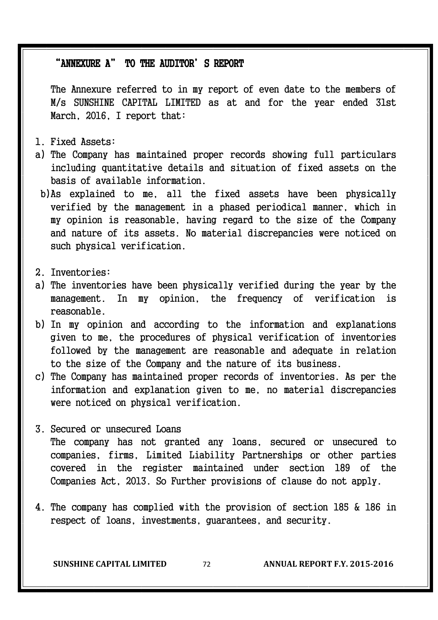#### "ANNEXURE A" TO THE AUDITOR' S REPORT

The Annexure referred to in my report of even date to the members of M/s SUNSHINE CAPITAL LIMITED as at and for the year ended 31st March, 2016, I report that:

- 1. Fixed Assets:
- a) The Company has maintained proper records showing full particulars including quantitative details and situation of fixed assets on the basis of available information.
- b) As explained to me, all the fixed assets have been physically verified by the management in a phased periodical manner, which in my opinion is reasonable, having regard to the size of the Company and nature of its assets. No material discrepancies were noticed on such physical verification.
- 2. Inventories:
- a) The inventories have been physically verified during the year by the management. In my opinion, the frequency of verification is reasonable.
- b) In my opinion and according to the information and explanations given to me, the procedures of physical verification of inventories followed by the management are reasonable and adequate in relation to the size of the Company and the nature of its business.
- c) The Company has maintained proper records of inventories. As per the information and explanation given to me, no material discrepancies were noticed on physical verification.
- 3. Secured or unsecured Loans The company has not granted any loans, secured or unsecured to companies, firms, Limited Liability Partnerships or other parties covered in the register maintained under section 189 of the Companies Act, 2013. So Further provisions of clause do not apply.
- 4. The company has complied with the provision of section 185 & 186 in respect of loans, investments, guarantees, and security.

**SUNSHINE CAPITAL LIMITED** 72 **ANNUAL REPORT F.Y. 2015-2016**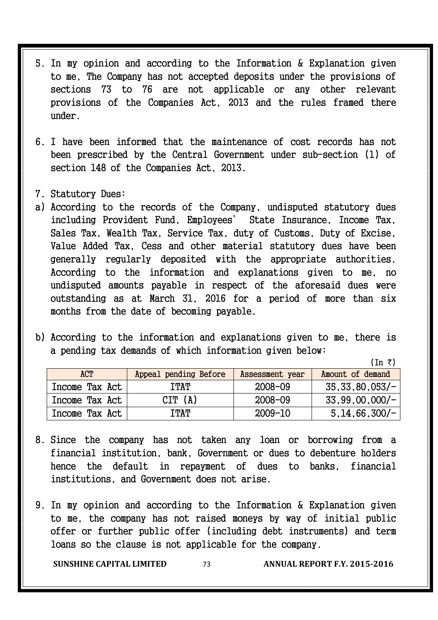- 5. In my opinion and according to the Information & Explanation given to me, The Company has not accepted deposits under the provisions of sections 73 to 76 are not applicable or any other relevant provisions of the Companies Act, 2013 and the rules framed there under.
- 6. I have been informed that the maintenance of cost records has not been prescribed by the Central Government under sub-section (1) of section 148 of the Companies Act, 2013.
- 7. Statutory Dues:
- a) According to the records of the Company, undisputed statutory dues including Provident Fund, Employees' State Insurance, Income Tax, Sales Tax, Wealth Tax, Service Tax, duty of Customs, Duty of Excise, Value Added Tax, Cess and other material statutory dues have been generally regularly deposited with the appropriate authorities. According to the information and explanations given to me, no undisputed amounts payable in respect of the aforesaid dues were outstanding as at March 31, 2016 for a period of more than six months from the date of becoming payable.
- b) According to the information and explanations given to me, there is a pending tax demands of which information given below:

 $(In \; \bar{\tau})$ 

| <b>ACT</b>     | Appeal pending Before | Assessment year | Amount of demand |
|----------------|-----------------------|-----------------|------------------|
| Income Tax Act | <b>ITAT</b>           | 2008-09         | 35,33,80,053/    |
| Income Tax Act | CIT(A)                | $2008 - 09$     | $33,99,00,000/-$ |
| Income Tax Act | TTAT                  | 2009-10         | $5,14,66,300/-$  |

- 8. Since the company has not taken any loan or borrowing from a financial institution, bank, Government or dues to debenture holders hence the default in repayment of dues to banks, financial institutions, and Government does not arise.
- 9. In my opinion and according to the Information & Explanation given to me, the company has not raised moneys by way of initial public offer or further public offer (including debt instruments) and term loans so the clause is not applicable for the company.

**SUNSHINE CAPITAL LIMITED** 73 **ANNUAL REPORT F.Y. 2015-2016**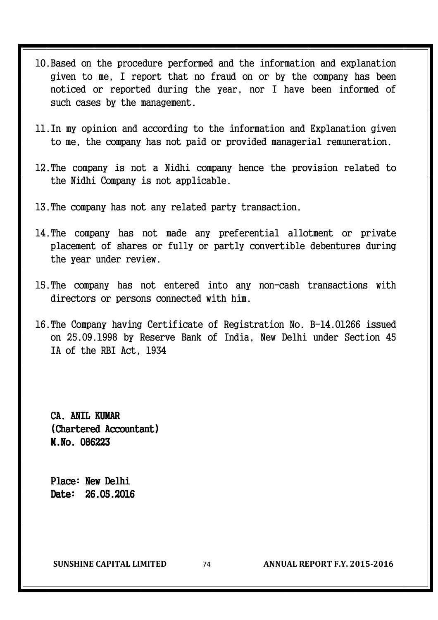- 10. Based on the procedure performed and the information and explanation given to me, I report that no fraud on or by the company has been noticed or reported during the year, nor I have been informed of such cases by the management.
- 11. In my opinion and according to the information and Explanation given to me, the company has not paid or provided managerial remuneration.
- 12. The company is not a Nidhi company hence the provision related to the Nidhi Company is not applicable.
- 13. The company has not any related party transaction.
- 14. The company has not made any preferential allotment or private placement of shares or fully or partly convertible debentures during the year under review.
- 15. The company has not entered into any non-cash transactions with directors or persons connected with him.
- 16. The Company having Certificate of Registration No. B-14.01266 issued on 25.09.1998 by Reserve Bank of India, New Delhi under Section 45 IA of the RBI Act, 1934

CA. ANTI, KIIMAR (Chartered Accountant) M.No. 086223

Place: New Delhi Date: 26.05.2016

**SUNSHINE CAPITAL LIMITED** 74 **ANNUAL REPORT F.Y. 2015-2016**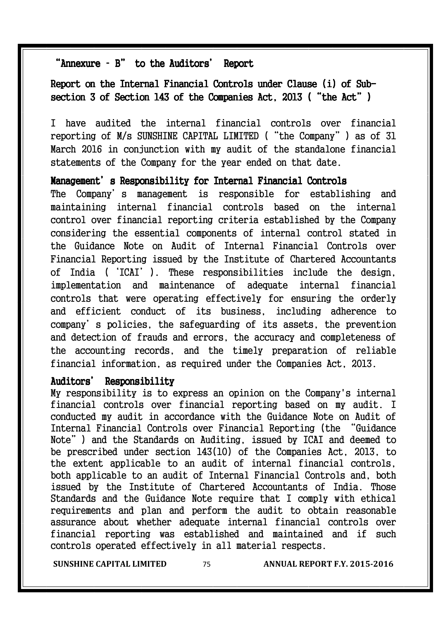#### "Annexure - B" to the Auditors' Report

#### Report on the Internal Financial Controls under Clause (i) of Subsection 3 of Section 143 of the Companies Act, 2013 ("the Act")

I have audited the internal financial controls over financial reporting of M/s SUNSHINE CAPITAL LIMITED ("the Company") as of 31 March 2016 in conjunction with my audit of the standalone financial statements of the Company for the year ended on that date.

#### Management's Responsibility for Internal Financial Controls

The Company's management is responsible for establishing and maintaining internal financial controls based on the internal control over financial reporting criteria established by the Company considering the essential components of internal control stated in the Guidance Note on Audit of Internal Financial Controls over Financial Reporting issued by the Institute of Chartered Accountants of India ('ICAI'). These responsibilities include the design, implementation and maintenance of adequate internal financial controls that were operating effectively for ensuring the orderly and efficient conduct of its business, including adherence to company's policies, the safeguarding of its assets, the prevention and detection of frauds and errors, the accuracy and completeness of the accounting records, and the timely preparation of reliable financial information, as required under the Companies Act, 2013.

#### Auditors' Responsibility

My responsibility is to express an opinion on the Company's internal financial controls over financial reporting based on my audit. I conducted my audit in accordance with the Guidance Note on Audit of Internal Financial Controls over Financial Reporting (the "Guidance Note") and the Standards on Auditing, issued by ICAI and deemed to be prescribed under section 143(10) of the Companies Act, 2013, to the extent applicable to an audit of internal financial controls, both applicable to an audit of Internal Financial Controls and, both issued by the Institute of Chartered Accountants of India. Those Standards and the Guidance Note require that I comply with ethical requirements and plan and perform the audit to obtain reasonable assurance about whether adequate internal financial controls over financial reporting was established and maintained and if such controls operated effectively in all material respects.

**SUNSHINE CAPITAL LIMITED** 75 **ANNUAL REPORT F.Y. 2015-2016**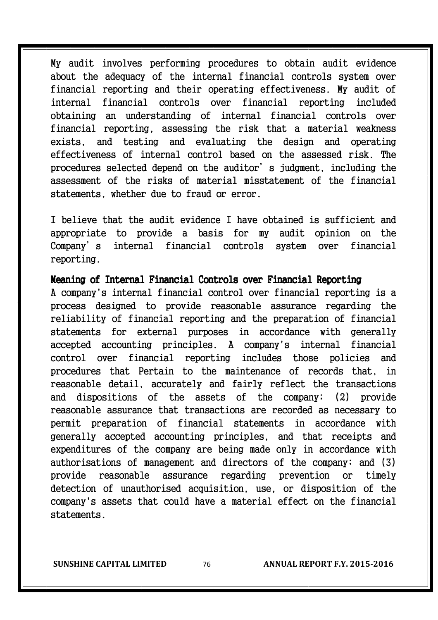My audit involves performing procedures to obtain audit evidence about the adequacy of the internal financial controls system over financial reporting and their operating effectiveness. My audit of internal financial controls over financial reporting included obtaining an understanding of internal financial controls over financial reporting, assessing the risk that a material weakness exists, and testing and evaluating the design and operating effectiveness of internal control based on the assessed risk. The procedures selected depend on the auditor's judgment, including the assessment of the risks of material misstatement of the financial statements, whether due to fraud or error.

I believe that the audit evidence I have obtained is sufficient and appropriate to provide a basis for my audit opinion on the Company's internal financial controls system over financial reporting.

#### Meaning of Internal Financial Controls over Financial Reporting

A company's internal financial control over financial reporting is a process designed to provide reasonable assurance regarding the reliability of financial reporting and the preparation of financial statements for external purposes in accordance with generally accepted accounting principles. A company's internal financial control over financial reporting includes those policies and procedures that Pertain to the maintenance of records that, in reasonable detail, accurately and fairly reflect the transactions and dispositions of the assets of the company; (2) provide reasonable assurance that transactions are recorded as necessary to permit preparation of financial statements in accordance with generally accepted accounting principles, and that receipts and expenditures of the company are being made only in accordance with authorisations of management and directors of the company; and (3) provide reasonable assurance regarding prevention or timely detection of unauthorised acquisition, use, or disposition of the company's assets that could have a material effect on the financial statements.

**SUNSHINE CAPITAL LIMITED** 76 **ANNUAL REPORT F.Y. 2015-2016**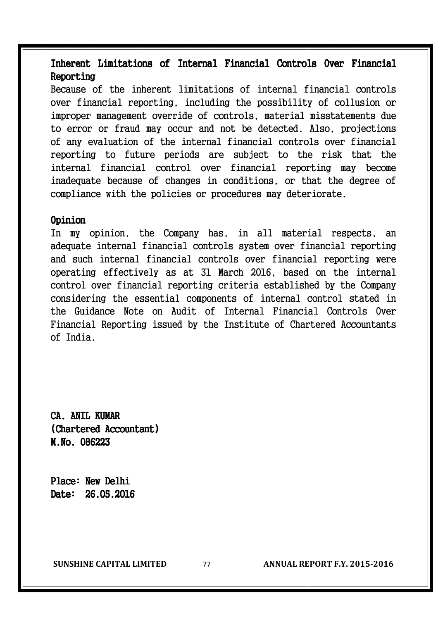#### Inherent Limitations of Internal Financial Controls Over Financial Reporting

Because of the inherent limitations of internal financial controls over financial reporting, including the possibility of collusion or improper management override of controls, material misstatements due to error or fraud may occur and not be detected. Also, projections of any evaluation of the internal financial controls over financial reporting to future periods are subject to the risk that the internal financial control over financial reporting may become inadequate because of changes in conditions, or that the degree of compliance with the policies or procedures may deteriorate.

#### Opinion

In my opinion, the Company has, in all material respects, an adequate internal financial controls system over financial reporting and such internal financial controls over financial reporting were operating effectively as at 31 March 2016, based on the internal control over financial reporting criteria established by the Company considering the essential components of internal control stated in the Guidance Note on Audit of Internal Financial Controls Over Financial Reporting issued by the Institute of Chartered Accountants of India.

CA. ANTI, KIIMAR (Chartered Accountant) M.No. 086223 M.No.

Place: New Delhi Date: 26.05.2016

**SUNSHINE CAPITAL LIMITED** 77 **ANNUAL REPORT F.Y. 2015-2016**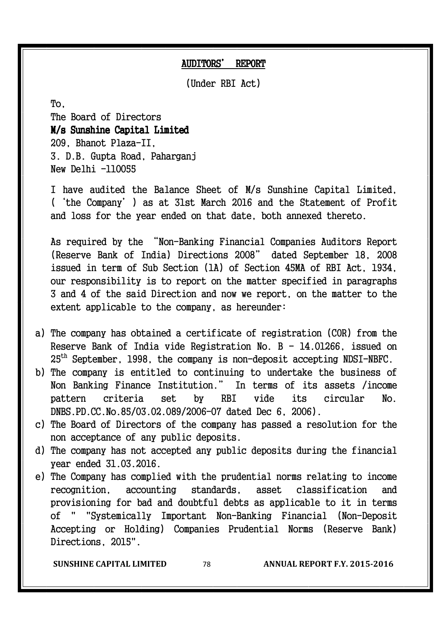#### AUDITORS' REPORT

(Under RBI Act)

 $To.$ 

The Board of Directors M/s Sunshine Capital Limited Limited 209, Bhanot Plaza-II, 3. D.B. Gupta Road, Paharganj New Delhi -110055

 I have audited the Balance Sheet of M/s Sunshine Capital Limited, ('the Company') as at 31st March 2016 and the Statement of Profit and loss for the year ended on that date, both annexed thereto.

 As required by the "Non-Banking Financial Companies Auditors Report (Reserve Bank of India) Directions 2008" dated September 18, 2008 issued in term of Sub Section (1A) of Section 45MA of RBI Act, 1934, our responsibility is to report on the matter specified in paragraphs 3 and 4 of the said Direction and now we report, on the matter to the extent applicable to the company, as hereunder:

- a) The company has obtained a certificate of registration (COR) from the Reserve Bank of India vide Registration No. B - 14.01266, issued on 25th September, 1998, the company is non-deposit accepting NDSI-NBFC.
- b) The company is entitled to continuing to undertake the business of Non Banking Finance Institution." In terms of its assets /income pattern criteria set by RBI vide its circular No. DNBS.PD.CC.No.85/03.02.089/2006-07 dated Dec 6, 2006).
- c) The Board of Directors of the company has passed a resolution for the non acceptance of any public deposits.
- d) The company has not accepted any public deposits during the financial year ended 31.03.2016.
- e) The Company has complied with the prudential norms relating to income recognition, accounting standards, asset classification and provisioning for bad and doubtful debts as applicable to it in terms of " "Systemically Important Non-Banking Financial (Non-Deposit Accepting or Holding) Companies Prudential Norms (Reserve Bank) Directions, 2015".

**SUNSHINE CAPITAL LIMITED** 78 **ANNUAL REPORT F.Y. 2015-2016**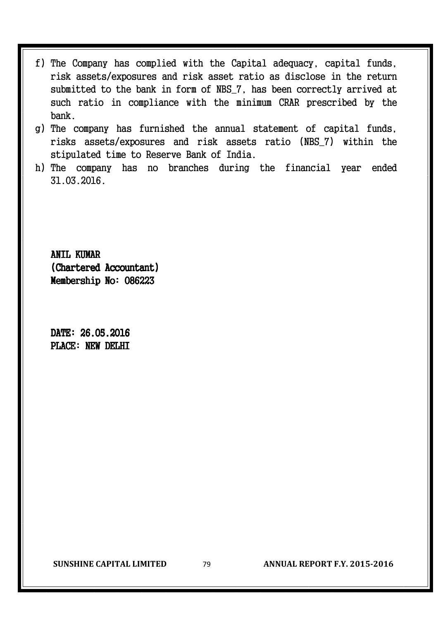- f) The Company has complied with the Capital adequacy, capital funds, risk assets/exposures and risk asset ratio as disclose in the return submitted to the bank in form of NBS\_7, has been correctly arrived at such ratio in compliance with the minimum CRAR prescribed by the bank.
- g) The company has furnished the annual statement of capital funds, risks assets/exposures and risk assets ratio (NBS\_7) within the stipulated time to Reserve Bank of India.
- h) The company has no branches during the financial year ended 31.03.2016.

ANTI, KUMAR (Chartered Accountant) Membership No: 086223

DATE: 26.05.2016 PLACE: NEW DELHI

**SUNSHINE CAPITAL LIMITED** 79 **ANNUAL REPORT F.Y. 2015-2016**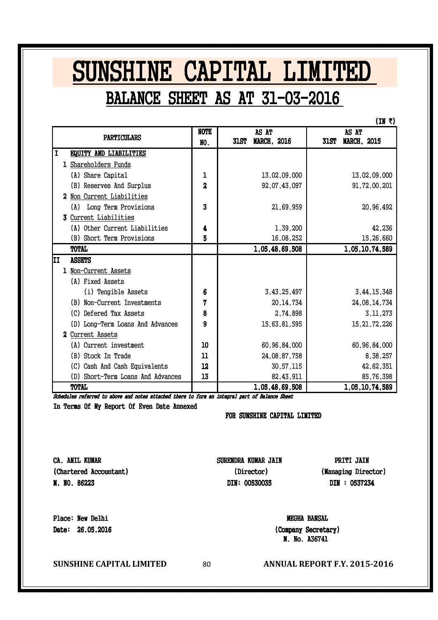## SUNSHINE CAPITAL LIMITED BALANCE SHEET AS AT 31-03-2016

 $(IN<sub>z</sub>)$ 

| <b>PARTICULARS</b>                | <b>NOTE</b><br>NO.      | AS AT<br><b>MARCH, 2016</b><br><b>31ST</b> | AS AT<br><b>MARCH, 2015</b><br><b>31ST</b> |
|-----------------------------------|-------------------------|--------------------------------------------|--------------------------------------------|
| I<br>EQUITY AND LIABILITIES       |                         |                                            |                                            |
| 1 Shareholders Funds              |                         |                                            |                                            |
| (A) Share Capital                 | ı                       | 13,02,09,000                               | 13,02,09,000                               |
| (B) Reserves And Surplus          | $\overline{\mathbf{c}}$ | 92,07,43,097                               | 91,72,00,201                               |
| 2 Non Current Liabilities         |                         |                                            |                                            |
| (A) Long Term Provisions          | 3                       | 21,69,959                                  | 20,96,492                                  |
| 3 Current Liabilities             |                         |                                            |                                            |
| (A) Other Current Liabilities     | 4                       | 1,39,200                                   | 42,236                                     |
| (B) Short Term Provisions         | 5                       | 16,08,252                                  | 15,26,660                                  |
| <b>TOTAL</b>                      |                         | 1,05,48,69,508                             | 1,05,10,74,589                             |
| ΙI<br><b>ASSETS</b>               |                         |                                            |                                            |
| 1 Non-Current Assets              |                         |                                            |                                            |
| (A) Fixed Assets                  |                         |                                            |                                            |
| (i) Tengible Assets               | 6                       | 3,43,25,497                                | 3,44,15,348                                |
| (B) Non-Current Investments       | 7                       | 20, 14, 734                                | 24,08,14,734                               |
| (C) Defered Tax Assets            | 8                       | 2,74,898                                   | 3, 11, 273                                 |
| (D) Long-Term Loans And Advances  | 9                       | 15,63,81,595                               | 15, 21, 72, 226                            |
| 2 Current Assets                  |                         |                                            |                                            |
| (A) Current investment            | 10                      | 60,96,84,000                               | 60, 96, 84, 000                            |
| (B) Stock In Trade                | 11                      | 24,08,87,758                               | 8,38,257                                   |
| (C) Cash And Cash Equivalents     | 12                      | 30,57,115                                  | 42,62,351                                  |
| (D) Short-Term Loans And Advances | 13                      | 82, 43, 911                                | 85,76,398                                  |
| <b>TOTAL</b>                      |                         | 1,05,48,69,508                             | 1,05,10,74,589                             |

Schedules referred to above and notes attached there to form an integral part of Balance Sheet

In Terms Of My Report Of Even Date Annexed

FOR SUNSHINE CAPITAL LIMITED

CA. ANIL KUMAR (Chartered Accountant) M. NO. 86223

SURENDRA KUMAR JAIN (Director)

DIN: 00530035

PRITI JAIN (Managing Director) DIN : 0537234

Place: New Delhi Date: 26.05.2016

**SUNSHINE CAPITAL LIMITED** 80 **ANNUAL REPORT F.Y. 2015-2016** 

M. No. A36741 (Company Secretary)

MEGHA BANSAL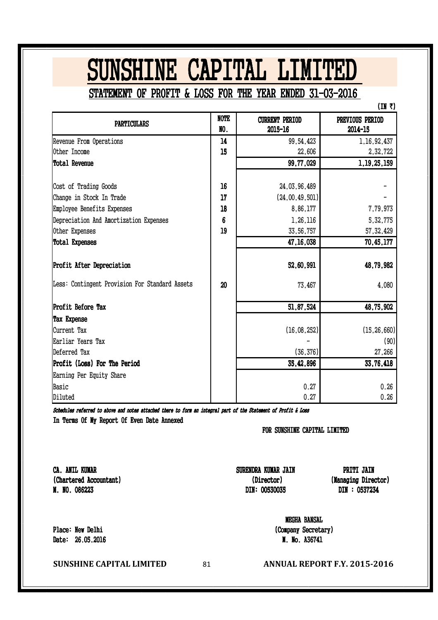# SUNSHINE CAPITAL LIMITED

STATEMENT OF PROFIT & LOSS FOR THE YEAR ENDED 31-03-2016

 $(IN<sub>x</sub>)$ 

| <b>PARTICULARS</b>                             | <b>NOTE</b> | <b>CURRENT PERIOD</b> | PREVIOUS PERIOD |
|------------------------------------------------|-------------|-----------------------|-----------------|
|                                                | NO.         | 2015-16               | 2014-15         |
| Revenue From Operations                        | 14          | 99,54,423             | 1, 16, 92, 437  |
| Other Income                                   | 15          | 22,606                | 2,32,722        |
| Total Revenue                                  |             | 99,77,029             | 1, 19, 25, 159  |
|                                                |             |                       |                 |
| Cost of Trading Goods                          | 16          | 24,03,96,489          |                 |
| Change in Stock In Trade                       | 17          | (24,00,49,501)        |                 |
| Employee Benefits Expenses                     | 18          | 8,86,177              | 7,79,973        |
| Depreciation And Amortization Expenses         | 6           | 1,26,116              | 5,32,775        |
| Other Expenses                                 | 19          | 33,56,757             | 57, 32, 429     |
| Total Expenses                                 |             | 47, 16, 038           | 70,45,177       |
| <b>Profit After Depreciation</b>               |             | 52,60,991             | 48,79,982       |
| Less: Contingent Provision For Standard Assets | 20          | 73,467                | 4,080           |
| Profit Before Tax                              |             | 51,87,524             | 48,75,902       |
| <b>Tax Expense</b>                             |             |                       |                 |
| Current Tax                                    |             | (16, 08, 252)         | (15, 26, 660)   |
| Earliar Years Tax                              |             |                       | (90)            |
| Deferred Tax                                   |             | (36, 376)             | 27,266          |
| Profit (Loss) For The Period                   |             | 35,42,896             | 33,76,418       |
| Earning Per Equity Share                       |             |                       |                 |
| Basic                                          |             | 0.27                  | 0.26            |
| Diluted                                        |             | 0.27                  | 0.26            |

In Terms Of My Report Of Even Date Annexed Schedules referred to above and notes attached there to form an integral part of the Statement of Profit & Loss

FOR SUNSHINE CAPITAL LIMITED

CA. ANIL KUMAR (Chartered Accountant) M. NO. 086223

DIN: 00530035 SURENDRA KUMAR JAIN (Director)

DIN : 0537234 (Managing Director) PRITI JAIN

MEGHA BANSAL (Company Secretary) M. No. A36741

Place: New Delhi Date: 26.05.2016

**SUNSHINE CAPITAL LIMITED** 81 **ANNUAL REPORT F.Y. 2015-2016**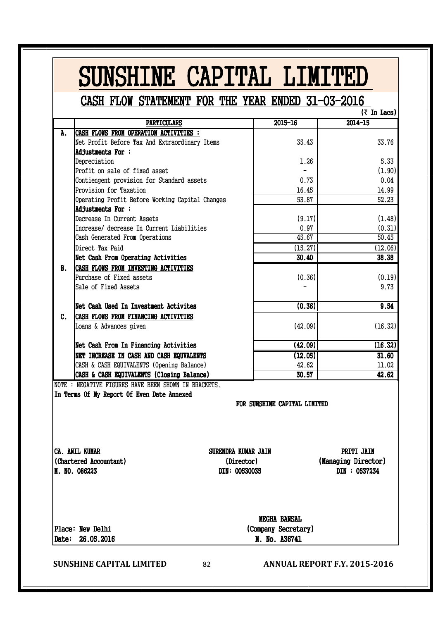|           | CASH FLOW STATEMENT FOR THE YEAR ENDED 31-03-2016                                                                      |                              |                                                    |
|-----------|------------------------------------------------------------------------------------------------------------------------|------------------------------|----------------------------------------------------|
|           |                                                                                                                        |                              | $(7 \text{ In } \text{Lacs})$                      |
|           | <b>PARTICULARS</b>                                                                                                     | $2015 - 16$                  | $2014 - 15$                                        |
| A.        | CASH FLOWS FROM OPERATION ACTIVITIES :                                                                                 |                              |                                                    |
|           | Net Profit Before Tax And Extraordinary Items                                                                          | 35.43                        | 33.76                                              |
|           | Adjustments For:<br>Depreciation                                                                                       | 1.26                         | 5.33                                               |
|           | Profit on sale of fixed asset                                                                                          | $\overline{\phantom{0}}$     | (1.90)                                             |
|           | Contiengent provision for Standard assets                                                                              | 0.73                         | 0.04                                               |
|           | Provision for Taxation                                                                                                 | 16.45                        | 14.99                                              |
|           | Operating Profit Before Working Capital Changes                                                                        | 53.87                        | 52.23                                              |
|           | <b>Adjustments For:</b>                                                                                                |                              |                                                    |
|           | Decrease In Current Assets                                                                                             | (9.17)                       | (1.48)                                             |
|           | Increase/ decrease In Current Liabilities                                                                              | 0.97                         | (0.31)                                             |
|           | Cash Generated From Operations                                                                                         | 45.67                        | 50.45                                              |
|           | Direct Tax Paid                                                                                                        | (15.27)                      | (12.06)                                            |
|           | Net Cash From Operating Activities                                                                                     | 30.40                        | 38.38                                              |
| <b>B.</b> | <b>CASH FLOWS FROM INVESTING ACTIVITIES</b>                                                                            |                              |                                                    |
|           | Purchase of Fixed assets                                                                                               | (0.36)                       | (0.19)                                             |
|           | Sale of Fixed Assets                                                                                                   |                              | 9.73                                               |
|           | Net Cash Used In Investment Activites                                                                                  | (0.36)                       | 9.54                                               |
| C.        | CASH FLOWS FROM FINANCING ACTIVITIES                                                                                   |                              |                                                    |
|           | Loans & Advances given                                                                                                 | (42.09)                      | (16.32)                                            |
|           | Net Cash From In Financing Activities                                                                                  | (42.09)                      | (16.32)                                            |
|           | NET INCREASE IN CASH AND CASH EQUVALENTS                                                                               | (12.05)                      | 31.60                                              |
|           | CASH & CASH EQUIVALENTS (Opening Balance)                                                                              | 42.62                        | 11.02                                              |
|           | CASH & CASH EQUIVALENTS (Closing Balance)<br>NOTE : NEGATIVE FIGURES HAVE BEEN SHOWN IN BRACKETS.                      | 30.57                        | 42.62                                              |
|           | In Terms Of My Report Of Even Date Annexed                                                                             | FOR SUNSHINE CAPITAL LIMITED |                                                    |
|           | <b>CA. ANIL KUMAR</b><br>SURENDRA KUMAR JAIN<br>(Chartered Accountant)<br>(Director)<br>M. NO. 086223<br>DIN: 00530035 |                              | PRITI JAIN<br>(Managing Director)<br>DIN : 0537234 |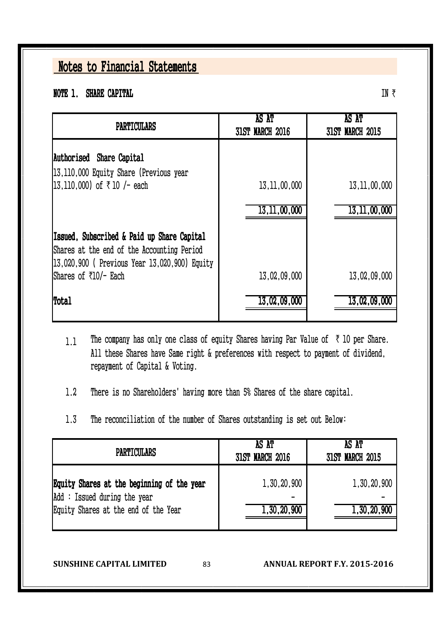NOTE 1. SHARE CAPITAL

| PARTICULARS                                                                                                                               | AS AT<br><b>31ST MARCH 2016</b> | AS AT<br><b>31ST MARCH 2015</b> |
|-------------------------------------------------------------------------------------------------------------------------------------------|---------------------------------|---------------------------------|
| Authorised Share Capital<br>13,110,000 Equity Share (Previous year                                                                        |                                 |                                 |
| 13,110,000) of ₹10 /- each                                                                                                                | 13, 11, 00, 000                 | 13, 11, 00, 000                 |
|                                                                                                                                           | 13, 11, 00, 000                 | 13, 11, 00, 000                 |
| Issued, Subscribed & Paid up Share Capital<br>Shares at the end of the Accounting Period<br>13,020,900 ( Previous Year 13,020,900) Equity |                                 |                                 |
| Shares of ₹10/- Each                                                                                                                      | 13,02,09,000                    | 13,02,09,000                    |
| Total                                                                                                                                     | 13,02,09,000                    | 13,02,09,000                    |

- 1.1 The company has only one class of equity Shares having Par Value of  $\bar{\tau}$  10 per Share. All these Shares have Same right & preferences with respect to payment of dividend, repayment of Capital & Voting.
- 1.2 There is no Shareholders' having more than 5% Shares of the share capital.
- 1.3 The reconciliation of the number of Shares outstanding is set out Below:

| <b>PARTICULARS</b>                                                                                                | AS AT<br><b>31ST MARCH 2016</b> | AS AT<br><b>31ST MARCH 2015</b> |  |  |
|-------------------------------------------------------------------------------------------------------------------|---------------------------------|---------------------------------|--|--|
| Equity Shares at the beginning of the year<br>Add: Issued during the year<br>Equity Shares at the end of the Year | 1,30,20,900<br>1,30,20,900      | 1,30,20,900<br>1,30,20,900      |  |  |

**SUNSHINE CAPITAL LIMITED** 83 **ANNUAL REPORT F.Y. 2015-2016**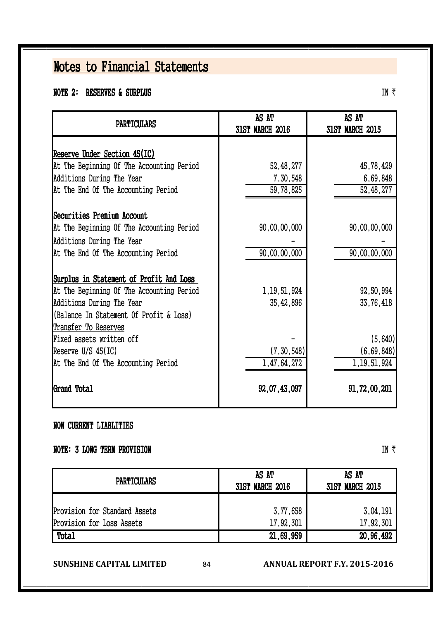#### NOTE 2: RESERVES & SURPLUS

Reserve Under Section 45(IC) At The Beginning Of The Accounting Period  $52.48,277$   $45.78,429$ Additions During The Year 6,69,848 7,30,548 7,30,548 6,69,848 At The End Of The Accounting Period  $59.78.825$   $52.48.277$ Securities Premium Account At The Beginning Of The Accounting Period  $90,00,00,000$   $90,00,000$   $90,00,00,000$  - - At The End Of The Accounting Period 90,00,00,000 90,00,000 90,00,00,000 Surplus in Statement of Profit And Loss At The Beginning Of The Accounting Period  $1,19,51,924$  92,50,994 Additions During The Year 35,42,896 33,76,418 (Balance In Statement Of Profit & Loss) Transfer To Reserves Fixed assets written off  $\vert$  and  $\vert$  and  $\vert$  are  $\vert$  and  $\vert$  (5,640)  $\vert$ Reserve U/S 45(IC) (7,30,548) (7,30,548) (6,69,848) At The End Of The Accounting Period  $1,47,64,272$   $1,19,51,924$ Grand Total 92,07,43,097 91,72,00,201 AS AT 31ST MARCH 2016 AS AT 31ST MARCH 2015 Additions During The Year PARTICULARS

#### NON CURRENT LIABLITIES

#### NOTE: 3 LONG TERM PROVISION

 $IN \bar{z}$ 

| <b>PARTICULARS</b>                                         | AS AT<br><b>31ST MARCH 2016</b> | AS AT<br><b>31ST MARCH 2015</b> |  |
|------------------------------------------------------------|---------------------------------|---------------------------------|--|
| Provision for Standard Assets<br>Provision for Loss Assets | 3,77,658<br>17,92,301           | 3,04,191<br>17,92,301           |  |
| <b>Total</b>                                               | 21,69,959                       | 20,96,492                       |  |

**SUNSHINE CAPITAL LIMITED** 84 **ANNUAL REPORT F.Y. 2015-2016**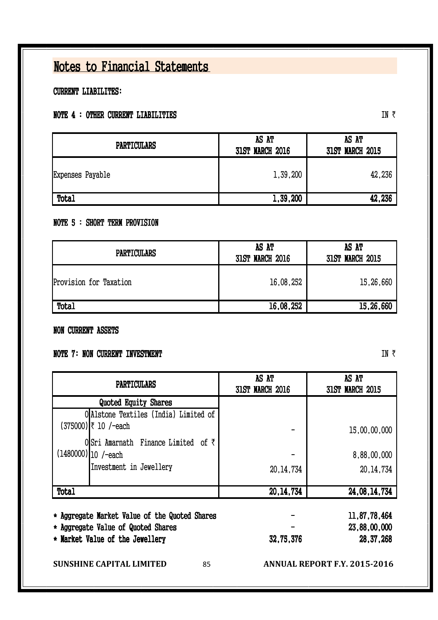CURRENT LIABILITES:

#### NOTE 4 : OTHER CURRENT LIABILITIES

IN  $\bar{z}$ 

| <b>PARTICULARS</b> | AS AT<br><b>31ST MARCH 2016</b> | AS AT<br><b>31ST MARCH 2015</b> |
|--------------------|---------------------------------|---------------------------------|
| Expenses Payable   | 1,39,200                        | 42,236                          |
| Total              | 1,39,200                        | 42,236                          |

#### NOTE 5 : SHORT TERM PROVISION

| <b>PARTICULARS</b>     | AS AT<br><b>31ST MARCH 2016</b> | AS AT<br><b>31ST MARCH 2015</b> |
|------------------------|---------------------------------|---------------------------------|
| Provision for Taxation | 16,08,252                       | 15,26,660                       |
| Total                  | 16,08,252                       | 15,26,660                       |

#### NON CURRENT ASSETS

#### NOTE 7: NON CURRENT INVESTMENT

| <b>31ST MARCH 2016</b> | AS AT<br><b>31ST MARCH 2015</b> |  |
|------------------------|---------------------------------|--|
|                        |                                 |  |
|                        |                                 |  |
|                        | 15,00,00,000                    |  |
|                        |                                 |  |
|                        | 8,88,00,000                     |  |
| 20, 14, 734            | 20, 14, 734                     |  |
| 20, 14, 734            | 24,08,14,734                    |  |
|                        | 11.87,78,464                    |  |
|                        | 23,88,00,000                    |  |
| 32,75,376              | 28, 37, 268                     |  |
|                        |                                 |  |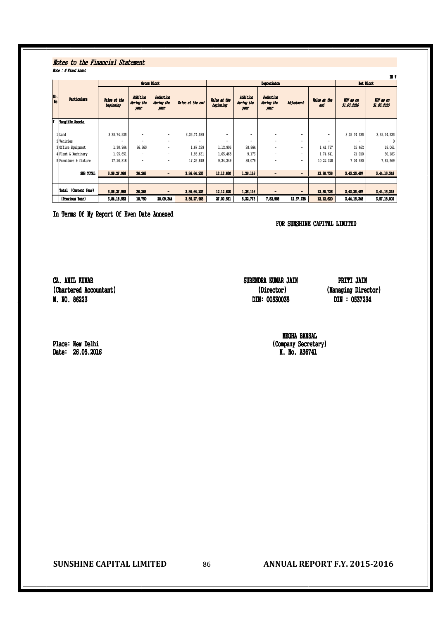#### Note : 6 Fixed Asset Notes to the Financial Statement

|           |                         |                           |                                       |                                        |                  |                           |                                |                                        |                          |                          |                                | и з                            |
|-----------|-------------------------|---------------------------|---------------------------------------|----------------------------------------|------------------|---------------------------|--------------------------------|----------------------------------------|--------------------------|--------------------------|--------------------------------|--------------------------------|
|           | Gross Block             |                           |                                       |                                        | Depreciaton      |                           |                                |                                        | <b>Net Block</b>         |                          |                                |                                |
| Sr.<br>No | <b>Particulars</b>      | Value at the<br>beginning | <b>Addition</b><br>during the<br>year | <b>Deduction</b><br>during the<br>year | Value at the end | Value at the<br>beginning | Addition<br>during the<br>year | <b>Deduction</b><br>during the<br>year | <b>Adjustment</b>        | Value at the<br>end      | <b>IDV</b> as on<br>31.03.2016 | <b>IDV</b> as on<br>31.03.2015 |
|           | Tangible Assets         |                           |                                       |                                        |                  |                           |                                |                                        |                          |                          |                                |                                |
|           |                         |                           |                                       |                                        |                  |                           |                                |                                        |                          |                          |                                |                                |
|           | 1 Land                  | 3, 35, 74, 535            | $\overline{\phantom{a}}$              | $\overline{\phantom{a}}$               | 3, 35, 74, 535   | $\overline{\phantom{0}}$  | $\overline{\phantom{a}}$       | $\overline{\phantom{a}}$               | $\overline{\phantom{a}}$ | $\overline{\phantom{a}}$ | 3, 35, 74, 535                 | 3, 35, 74, 535                 |
|           | 2 Vehicles              |                           | $\overline{\phantom{a}}$              | $\overline{\phantom{a}}$               |                  | -                         | -                              | $\overline{\phantom{a}}$               | $\overline{\phantom{0}}$ | ۰                        |                                | $\Omega$                       |
|           | 3 Office Equipment      | 1,30,964                  | 36,265                                | $\overline{\phantom{a}}$               | 1,67,229         | 1,12,903                  | 28,864                         | $\overline{\phantom{a}}$               | $\overline{\phantom{a}}$ | 1,41,767                 | 25,462                         | 18,061                         |
|           | 4 Plant & Machinery     | 1,95,651                  | $\overline{\phantom{a}}$              | $\overline{\phantom{a}}$               | 1,95,651         | 1,65,468                  | 9,173                          | $\overline{\phantom{a}}$               | $\overline{\phantom{0}}$ | 1,74,641                 | 21,010                         | 30,183                         |
|           | 5 Furniture & fixture   | 17,26,818                 | $\overline{\phantom{a}}$              | $\overline{\phantom{a}}$               | 17,26,818        | 9,34,249                  | 88,079                         | $\overline{\phantom{a}}$               | $\overline{\phantom{a}}$ | 10, 22, 328              | 7,04,490                       | 7,92,569                       |
|           |                         |                           |                                       |                                        |                  |                           |                                |                                        |                          |                          |                                |                                |
|           | <b>SUB TOTAL</b>        | 3,56,27,968               | 36,265                                | $\blacksquare$                         | 3.56.64.233      | 12, 12, 620               | 1,26,116                       | $\overline{\phantom{0}}$               |                          | 13, 38, 736              | 3,43,25,497                    | 3,44,15,348                    |
|           |                         |                           |                                       |                                        |                  |                           |                                |                                        |                          |                          |                                |                                |
|           | (Current Year)<br>Total | 3,56,27,968               | 36,265                                | $\qquad \qquad \blacksquare$           | 3,56,64,233      | 12, 12, 620               | 1,26,116                       | $\qquad \qquad \blacksquare$           | $\blacksquare$           | 13, 38, 736              | 3,43,25,497                    | 3,44,15,348                    |
|           | (Previous Year)         | 3,84,18,562               | 18,750                                | 28,09,344                              | 3,56,27,968      | 27,00,561                 | 5.32.775                       | 7,82,988                               | 12, 37, 728              | 12, 12, 620              | 3, 44, 15, 348                 | 3,57,18,002                    |

In Terms Of My Report Of Even Date Annexed

FOR SUNSHINE CAPITAL LIMITED

CA. ANIL KUMAR (Chartered Accountant) M. NO. 86223

SURENDRA KUMAR JAIN (Director) DIN: 00530035

PRITI JAIN (Managing Director) DIN : 0537234

MEGHA BANSAL (Company Secretary) M. No. A36741

Place: New Delhi Date: 26.05.2016

**SUNSHINE CAPITAL LIMITED** 86 **ANNUAL REPORT F.Y. 2015-2016**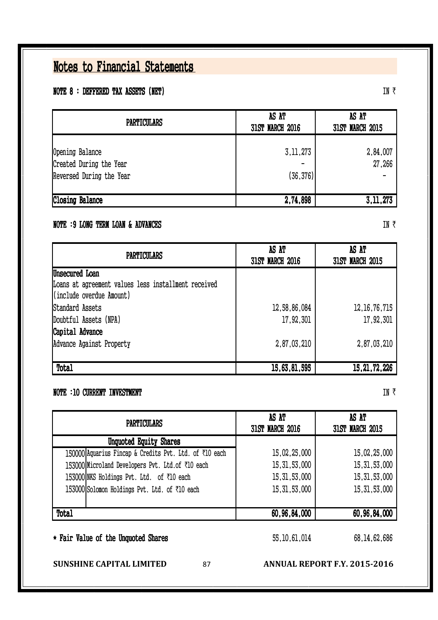#### NOTE 8 : DEFFERED TAX ASSETS (NET)

| <b>PARTICULARS</b>                                                     | AS AT<br><b>31ST MARCH 2016</b> | AS AT<br><b>31ST MARCH 2015</b> |
|------------------------------------------------------------------------|---------------------------------|---------------------------------|
| Opening Balance<br>Created During the Year<br>Reversed During the Year | 3, 11, 273<br>(36, 376)         | 2,84,007<br>27,266              |
| <b>Closing Balance</b>                                                 | 2,74,898                        | 3, 11, 273                      |

#### NOTE :9 LONG TERM LOAN & ADVANCES

| <b>PARTICULARS</b>                                  | AS AT<br><b>31ST MARCH 2016</b> | AS AT<br><b>31ST MARCH 2015</b> |
|-----------------------------------------------------|---------------------------------|---------------------------------|
| Unsecured Loan                                      |                                 |                                 |
| Loans at agreement values less installment received |                                 |                                 |
| (include overdue Amount)                            |                                 |                                 |
| Standard Assets                                     | 12,58,86,084                    | 12, 16, 76, 715                 |
| Doubtful Assets (NPA)                               | 17,92,301                       | 17,92,301                       |
| Capital Advance                                     |                                 |                                 |
| Advance Against Property                            | 2,87,03,210                     | 2,87,03,210                     |
|                                                     |                                 |                                 |
| Total                                               | 15,63,81,595                    | 15, 21, 72, 226                 |

#### NOTE :10 CURRENT INVESTMENT

| <b>PARTICULARS</b>                                     | AS AT<br><b>31ST MARCH 2016</b> | AS AT<br><b>31ST MARCH 2015</b> |
|--------------------------------------------------------|---------------------------------|---------------------------------|
| Unquoted Equity Shares                                 |                                 |                                 |
| 150000 Aquarius Fincap & Credits Pvt. Ltd. of ₹10 each | 15,02,25,000                    | 15,02,25,000                    |
| 153000Microland Developers Pvt. Ltd.of ₹10 each        | 15, 31, 53, 000                 | 15, 31, 53, 000                 |
| 153000 NKS Holdings Pvt. Ltd. of ₹10 each              | 15, 31, 53, 000                 | 15, 31, 53, 000                 |
| 153000 Solomon Holdings Pvt. Ltd. of ₹10 each          | 15, 31, 53, 000                 | 15, 31, 53, 000                 |
| Total                                                  | 60,96,84,000                    | 60,96,84,000                    |
| * Fair Value of the Unquoted Shares                    | 55, 10, 61, 014                 | 68, 14, 62, 686                 |

**SUNSHINE CAPITAL LIMITED** 87 **ANNUAL REPORT F.Y. 2015-2016** 

IN  $\bar{z}$ 

IN  $\bar{z}$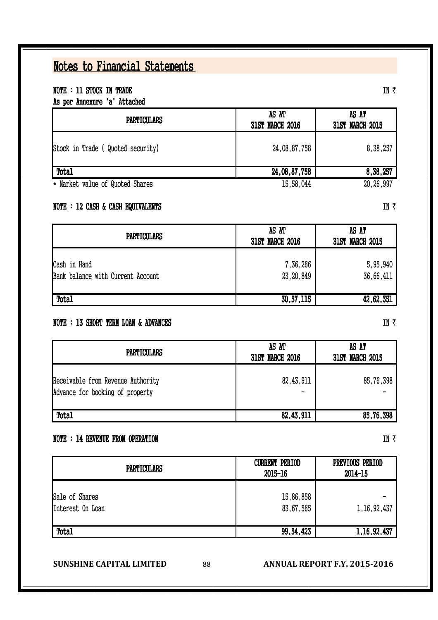#### NOTE : 11 STOCK IN TRADE

As per Annexure 'a' Attached

| <b>PARTICULARS</b>                | AS AT<br><b>31ST MARCH 2016</b> | AS AT<br><b>31ST MARCH 2015</b> |
|-----------------------------------|---------------------------------|---------------------------------|
| Stock in Trade ( Quoted security) | 24,08,87,758                    | 8,38,257                        |
| Total                             | 24,08,87,758                    | 8,38,257                        |
| * Market value of Quoted Shares   | 15,58,044                       | 20,26,997                       |

#### NOTE : 12 CASH & CASH EQUIVALENTS

| <b>PARTICULARS</b>                                | AS AT<br><b>31ST MARCH 2016</b> | AS AT<br><b>31ST MARCH 2015</b> |
|---------------------------------------------------|---------------------------------|---------------------------------|
| Cash in Hand<br>Bank balance with Current Account | 7,36,266<br>23, 20, 849         | 5,95,940<br>36,66,411           |
| <b>Total</b>                                      | 30,57,115                       | 42,62,351                       |

#### NOTE : 13 SHORT TERM LOAN & ADVANCES

| <b>PARTICULARS</b>                                                   | AS AT<br><b>31ST MARCH 2016</b> | AS AT<br><b>31ST MARCH 2015</b> |
|----------------------------------------------------------------------|---------------------------------|---------------------------------|
| Receivable from Revenue Authority<br>Advance for booking of property | 82,43,911<br>$\qquad \qquad$    | 85,76,398                       |
| Total                                                                | 82,43,911                       | 85,76,398                       |

#### NOTE : 14 REVENUE FROM OPERATION

| <b>PARTICULARS</b>                 | <b>CURRENT PERIOD</b><br>2015-16 | PREVIOUS PERIOD<br>2014-15 |
|------------------------------------|----------------------------------|----------------------------|
| Sale of Shares<br>Interest On Loan | 15,86,858<br>83,67,565           | 1, 16, 92, 437             |
| Total                              | 99, 54, 423                      | 1, 16, 92, 437             |

#### **SUNSHINE CAPITAL LIMITED** 88 **ANNUAL REPORT F.Y. 2015-2016**

IN  $\bar{\tau}$ 

IN  $\bar{x}$ 

IN  $\bar{z}$ 

IN  $\bar{\tau}$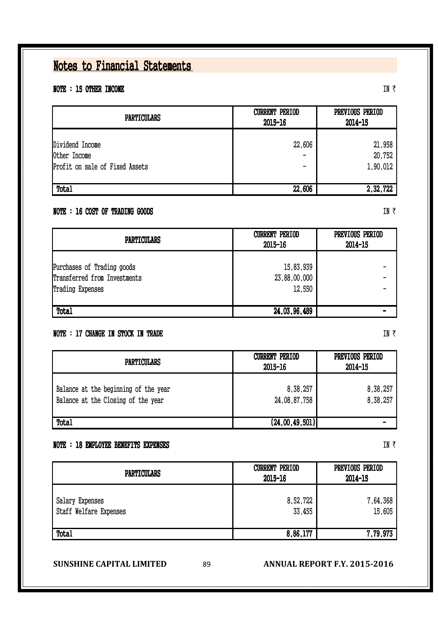#### NOTE : 15 OTHER INCOME

| <b>PARTICULARS</b>             | <b>CURRENT PERIOD</b><br>2015-16 | PREVIOUS PERIOD<br>2014-15 |
|--------------------------------|----------------------------------|----------------------------|
| Dividend Income                | 22,606                           | 21,958                     |
| Other Income                   |                                  | 20,752                     |
| Profit on sale of Fixed Assets | -                                | 1,90,012                   |
| Total                          | 22,606                           | 2,32,722                   |

#### NOTE : 16 COST OF TRADING GOODS

| <b>PARTICULARS</b>           | <b>CURRENT PERIOD</b><br>2015-16 | PREVIOUS PERIOD<br>2014-15 |
|------------------------------|----------------------------------|----------------------------|
| Purchases of Trading goods   | 15,83,939                        |                            |
| Transferred from Investments | 23,88,00,000                     |                            |
| Trading Expenses             | 12,550                           |                            |
| Total                        | 24,03,96,489                     |                            |

#### NOTE : 17 CHANGE IN STOCK IN TRADE

Balance at the beginning of the year  $8,38,257$  8,38,257 8,388,257 Balance at the Closing of the year  $24,08,87,758$   $8,38,257$ Total (24, 00, 49, 501) -PARTICULARS CURRENT PERIOD 2015-16 PREVIOUS PERIOD 2014-15

#### NOTE : 18 EMPLOYEE BENEFITS EXPENSES

| <b>PARTICULARS</b>                        | <b>CURRENT PERIOD</b><br>2015-16 | PREVIOUS PERIOD<br>2014-15 |
|-------------------------------------------|----------------------------------|----------------------------|
| Salary Expenses<br>Staff Welfare Expenses | 8,52,722<br>33,455               | 7,64,368<br>15,605         |
| <b>Total</b>                              | 8,86,177                         | 7,79,973                   |

**SUNSHINE CAPITAL LIMITED** 89 **ANNUAL REPORT F.Y. 2015-2016** 

## IN  $\bar{z}$

IN  $\bar{\tau}$ 

#### IN  $\bar{\tau}$

IN  $\bar{\tau}$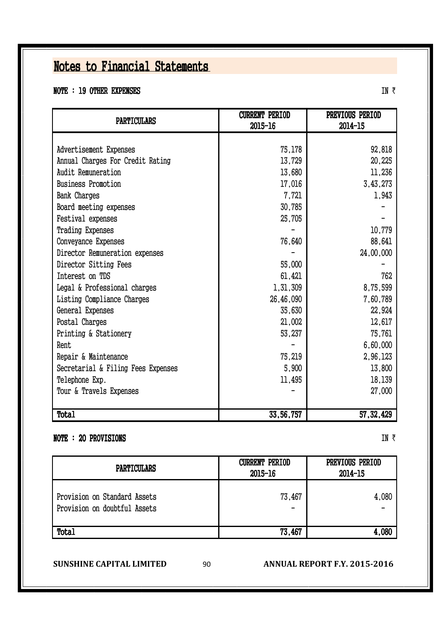#### NOTE : 19 OTHER EXPENSES

| <b>PARTICULARS</b>                 | <b>CURRENT PERIOD</b><br>2015-16 | PREVIOUS PERIOD<br>2014-15 |  |  |
|------------------------------------|----------------------------------|----------------------------|--|--|
|                                    |                                  |                            |  |  |
| Advertisement Expenses             | 75,178                           | 92,818                     |  |  |
| Annual Charges For Credit Rating   | 13,729                           | 20,225                     |  |  |
| Audit Remuneration                 | 13,680                           | 11,236                     |  |  |
| <b>Business Promotion</b>          | 17,016                           | 3,43,273                   |  |  |
| Bank Charges                       | 7,721                            | 1,943                      |  |  |
| Board meeting expenses             | 30,785                           |                            |  |  |
| Festival expenses                  | 25,705                           |                            |  |  |
| <b>Trading Expenses</b>            |                                  | 10,779                     |  |  |
| Conveyance Expenses                | 76,640                           | 88,641                     |  |  |
| Director Remuneration expenses     |                                  | 24,00,000                  |  |  |
| Director Sitting Fees              | 55,000                           |                            |  |  |
| Interest on TDS                    | 61,421                           | 762                        |  |  |
| Legal & Professional charges       | 1,31,309                         | 8,75,599                   |  |  |
| Listing Compliance Charges         | 26,46,090                        | 7,60,789                   |  |  |
| General Expenses                   | 35,630                           | 22,924                     |  |  |
| Postal Charges                     | 21,002                           | 12,617                     |  |  |
| Printing & Stationery              | 53,237                           | 75,761                     |  |  |
| Rent                               |                                  | 6,60,000                   |  |  |
| Repair & Maintenance               | 75,219                           | 2,96,123                   |  |  |
| Secretarial & Filing Fees Expenses | 5,900                            | 13,800                     |  |  |
| Telephone Exp.                     | 11,495                           | 18,139                     |  |  |
| Tour & Travels Expenses            |                                  | 27,000                     |  |  |
|                                    |                                  |                            |  |  |
| <b>Total</b>                       | 33,56,757                        | 57, 32, 429                |  |  |

#### NOTE : 20 PROVISIONS

IN  $\bar{z}$ 

| <b>PARTICULARS</b>                                           | <b>CURRENT PERIOD</b><br>2015-16 | PREVIOUS PERIOD<br>2014-15 |  |
|--------------------------------------------------------------|----------------------------------|----------------------------|--|
| Provision on Standard Assets<br>Provision on doubtful Assets | 73,467<br>$\qquad \qquad$        | 4,080                      |  |
| <b>Total</b>                                                 | 73.467                           | 4.080                      |  |

**SUNSHINE CAPITAL LIMITED** 90 **ANNUAL REPORT F.Y. 2015-2016**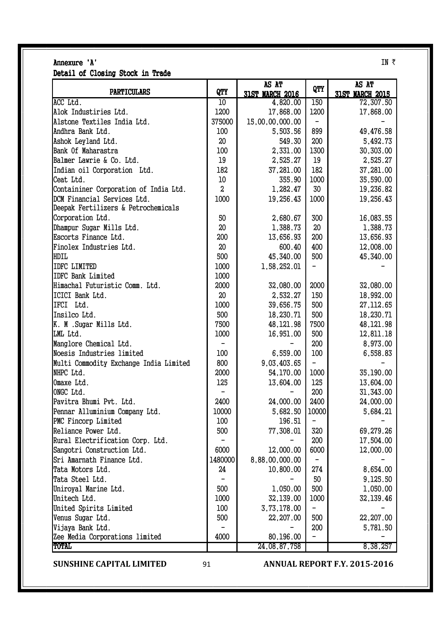|                                        |                  | AS AT                  | QTY                      | AS AT                  |
|----------------------------------------|------------------|------------------------|--------------------------|------------------------|
| <b>PARTICULARS</b>                     | QTY              | <b>31ST MARCH 2016</b> |                          | <b>31ST MARCH 2015</b> |
| ACC Ltd.                               | $\overline{10}$  | 4,820.00               | 150                      | 72,307.50              |
| Alok Industiries Ltd.                  | 1200             | 17,868.00              | 1200                     | 17,868.00              |
| Alstone Textiles India Ltd.            | 375000           | 15,00,00,000.00        |                          |                        |
| Andhra Bank Ltd.                       | 100              | 5,503.56               | 899                      | 49,476.58              |
| Ashok Leyland Ltd.                     | 20               | 549.30                 | 200                      | 5,492.73               |
| Bank Of Maharastra                     | 100              | 2,331.00               | 1300                     | 30,303.00              |
| Balmer Lawrie & Co. Ltd.               | 19               | 2,525.27               | 19                       | 2,525.27               |
| Indian oil Corporation Ltd.            | 182              | 37,281.00              | 182                      | 37,281.00              |
| Ceat Ltd.                              | $10$             | 355.90                 | 1000                     | 35,590.00              |
| Containiner Corporation of India Ltd.  | $\boldsymbol{S}$ | 1,282.47               | 30                       | 19,236.82              |
| DCM Financial Services Ltd.            | 1000             | 19,256.43              | 1000                     | 19,256.43              |
| Deepak Fertilizers & Petrochemicals    |                  |                        |                          |                        |
| Corporation Ltd.                       | 50               | 2,680.67               | 300                      | 16,083.55              |
| Dhampur Sugar Mills Ltd.               | 20               | 1,388.73               | 20                       | 1,388.73               |
| Escorts Finance Ltd.                   | 200              | 13,656.93              | 200                      | 13,656.93              |
| Finolex Industries Ltd.                | 20               | 600.40                 | 400                      | 12,008.00              |
| HDIL                                   | 500              | 45,340.00              | 500                      | 45,340.00              |
| <b>IDFC LIMITED</b>                    | 1000             | 1,58,252.01            |                          |                        |
| <b>IDFC Bank Limited</b>               | 1000             |                        |                          |                        |
| Himachal Futuristic Comm. Ltd.         | 2000             | 32,080.00              | 2000                     | 32,080.00              |
| ICICI Bank Ltd.                        | 20               | 2,532.27               | 150                      | 18,992.00              |
| IFCI Ltd.                              | 1000             | 39,656.75              | 500                      | 27, 112.65             |
| Insilco Ltd.                           | 500              | 18,230.71              | 500                      | 18,230.71              |
| K. M .Sugar Mills Ltd.                 | 7500             | 48, 121.98             | 7500                     | 48, 121.98             |
| LML Ltd.                               | 1000             | 16,951.00              | 500                      | 12,811.18              |
| Manglore Chemical Ltd.                 |                  |                        | 200                      |                        |
| Noesis Industries limited              | 100              |                        | 100                      | 8,973.00               |
|                                        |                  | 6,559.00               | $\overline{\phantom{0}}$ | 6,558.83               |
| Multi Commodity Exchange India Limited | 800              | 9,03,403.65            |                          |                        |
| NHPC Ltd.                              | 2000             | 54,170.00              | 1000                     | 35,190.00              |
| Omaxe Ltd.                             | 125              | 13,604.00              | 125                      | 13,604.00              |
| ONGC Ltd.                              |                  |                        | 200                      | 31, 343.00             |
| Pavitra Bhumi Pvt. Ltd.                | 2400             | 24,000.00              | 2400                     | 24,000.00              |
| Pennar Alluminium Company Ltd.         | 10000            | 5,682.50               | 10000                    | 5,684.21               |
| PMC Fincorp Limited                    | 100              | 196.51                 |                          |                        |
| Reliance Power Ltd.                    | 500              | 77,308.01              | 320                      | 69,279.26              |
| Rural Electrification Corp. Ltd.       |                  |                        | 200                      | 17,504.00              |
| Sangotri Construction Ltd.             | 6000             | 12,000.00              | 6000                     | 12,000.00              |
| Sri Amarnath Finance Ltd.              | 1480000          | 8,88,00,000.00         |                          |                        |
| Tata Motors Ltd.                       | 24               | 10,800.00              | 274                      | 8,654.00               |
| Tata Steel Ltd.                        |                  |                        | 50                       | 9,125.50               |
| Uniroyal Marine Ltd.                   | 500              | 1,050.00               | 500                      | 1,050.00               |
| Unitech Ltd.                           | 1000             | 32,139.00              | 1000                     | 32,139.46              |
| United Spirits Limited                 | 100              | 3,73,178.00            |                          |                        |
| Venus Sugar Ltd.                       | 500              | 22,207.00              | 500                      | 22,207.00              |
| Vijaya Bank Ltd.                       |                  |                        | 200                      | 5,781.50               |
| Zee Media Corporations limited         | 4000             | 80,196.00              |                          |                        |
| <b>TOTAL</b>                           |                  | 24,08,87,758           |                          | 8,38,257               |

### Annexure 'A' IN  $\bar{\tau}$

Detail of Closing Stock in Trade

**SUNSHINE CAPITAL LIMITED** 91 **ANNUAL REPORT F.Y. 2015-2016**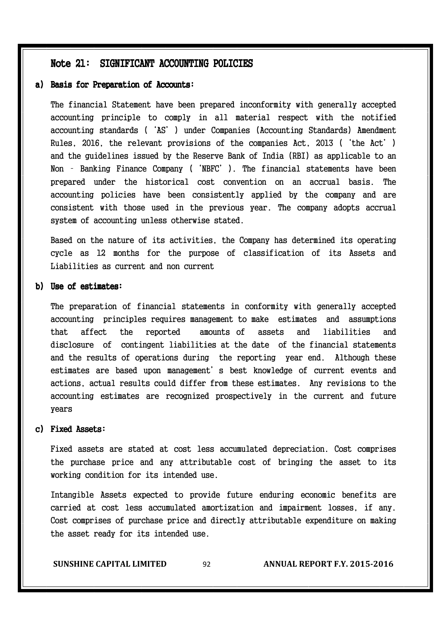#### Note 21: SIGNIFICANT ACCOUNTING POLICIES

#### a) Basis for Preparation of Accounts:

The financial Statement have been prepared inconformity with generally accepted accounting principle to comply in all material respect with the notified accounting standards ('AS') under Companies (Accounting Standards) Amendment Rules, 2016, the relevant provisions of the companies Act, 2013 ('the Act') and the guidelines issued by the Reserve Bank of India (RBI) as applicable to an Non – Banking Finance Company ('NBFC'). The financial statements have been prepared under the historical cost convention on an accrual basis. The accounting policies have been consistently applied by the company and are consistent with those used in the previous year. The company adopts accrual system of accounting unless otherwise stated.

Based on the nature of its activities, the Company has determined its operating cycle as 12 months for the purpose of classification of its Assets and Liabilities as current and non current

#### b) Use of estimates:

The preparation of financial statements in conformity with generally accepted accounting principles requires management to make estimates and assumptions that affect the reported amounts of assets and liabilities and disclosure of contingent liabilities at the date of the financial statements and the results of operations during the reporting year end. Although these estimates are based upon management's best knowledge of current events and actions, actual results could differ from these estimates. Any revisions to the accounting estimates are recognized prospectively in the current and future years

#### c) Fixed Assets:

Fixed assets are stated at cost less accumulated depreciation. Cost comprises the purchase price and any attributable cost of bringing the asset to its working condition for its intended use.

Intangible Assets expected to provide future enduring economic benefits are carried at cost less accumulated amortization and impairment losses, if any. Cost comprises of purchase price and directly attributable expenditure on making the asset ready for its intended use.

**SUNSHINE CAPITAL LIMITED** 92 **ANNUAL REPORT F.Y. 2015-2016**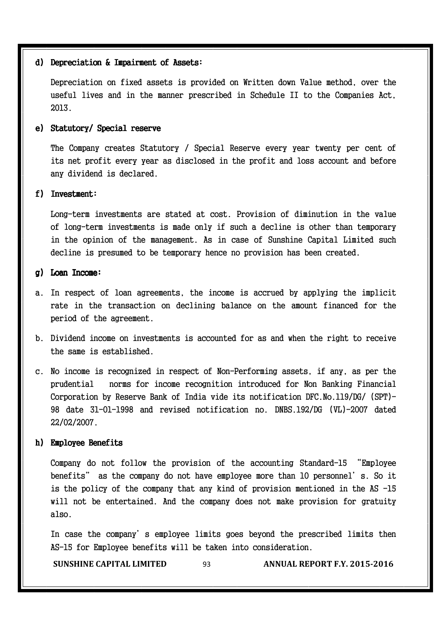#### d) Depreciation & Impairment of Assets:

Depreciation on fixed assets is provided on Written down Value method, over the useful lives and in the manner prescribed in Schedule II to the Companies Act, 2013.

#### e) Statutory/ Special reserve

The Company creates Statutory / Special Reserve every year twenty per cent of its net profit every year as disclosed in the profit and loss account and before any dividend is declared.

#### f) Investment:

Long-term investments are stated at cost. Provision of diminution in the value of long-term investments is made only if such a decline is other than temporary in the opinion of the management. As in case of Sunshine Capital Limited such decline is presumed to be temporary hence no provision has been created.

#### g) Loan Income:

- a. In respect of loan agreements, the income is accrued by applying the implicit rate in the transaction on declining balance on the amount financed for the period of the agreement.
- b. Dividend income on investments is accounted for as and when the right to receive the same is established.
- c. No income is recognized in respect of Non-Performing assets, if any, as per the prudential norms for income recognition introduced for Non Banking Financial Corporation by Reserve Bank of India vide its notification DFC.No.119/DG/ (SPT)- 98 date 31-01-1998 and revised notification no. DNBS.192/DG (VL)-2007 dated 22/02/2007.

#### h) Employee Benefits

Company do not follow the provision of the accounting Standard-15 "Employee benefits" as the company do not have employee more than 10 personnel's. So it is the policy of the company that any kind of provision mentioned in the AS -15 will not be entertained. And the company does not make provision for gratuity also.

In case the company's employee limits goes beyond the prescribed limits then AS-15 for Employee benefits will be taken into consideration.

**SUNSHINE CAPITAL LIMITED** 93 **ANNUAL REPORT F.Y. 2015-2016**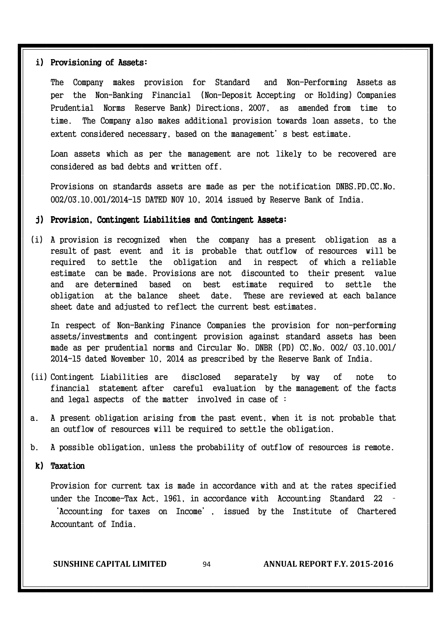#### i) Provisioning of Assets:

The Company makes provision for Standard and Non-Performing Assets as per the Non-Banking Financial (Non-Deposit Accepting or Holding) Companies Prudential Norms Reserve Bank) Directions, 2007, as amended from time to time. The Company also makes additional provision towards loan assets, to the extent considered necessary, based on the management's best estimate.

Loan assets which as per the management are not likely to be recovered are considered as bad debts and written off.

Provisions on standards assets are made as per the notification DNBS.PD.CC.No. 002/03.10.001/2014-15 DATED NOV 10, 2014 issued by Reserve Bank of India.

#### j) Provision, Contingent Liabilities and Contingent Assets:

(i) A provision is recognized when the company has a present obligation as a result of past event and it is probable that outflow of resources will be required to settle the obligation and in respect of which a reliable estimate can be made. Provisions are not discounted to their present value and are determined based on best estimate required to settle the obligation at the balance sheet date. These are reviewed at each balance sheet date and adjusted to reflect the current best estimates.

In respect of Non-Banking Finance Companies the provision for non-performing assets/investments and contingent provision against standard assets has been made as per prudential norms and Circular No. DNBR (PD) CC.No. 002/ 03.10.001/ 2014-15 dated November 10, 2014 as prescribed by the Reserve Bank of India.

- (ii) Contingent Liabilities are disclosed separately by way of note to financial statement after careful evaluation by the management of the facts and legal aspects of the matter involved in case of :
- a. A present obligation arising from the past event, when it is not probable that an outflow of resources will be required to settle the obligation.
- b. A possible obligation, unless the probability of outflow of resources is remote.

#### $k$ ) Taxation

Provision for current tax is made in accordance with and at the rates specified under the Income-Tax Act, 1961, in accordance with Accounting Standard 22 – 'Accounting for taxes on Income', issued by the Institute of Chartered Accountant of India.

**SUNSHINE CAPITAL LIMITED** 94 **ANNUAL REPORT F.Y. 2015-2016**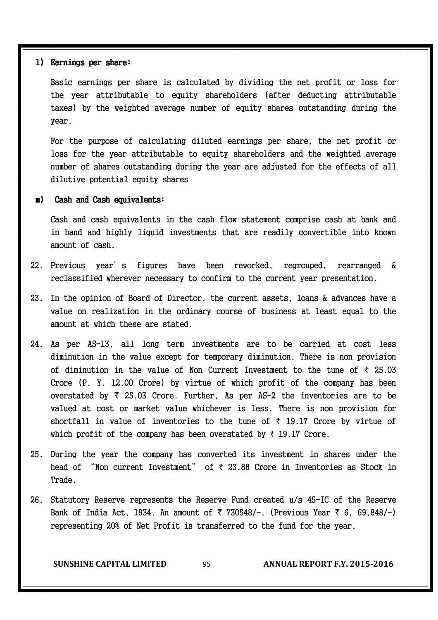#### l) Earnings per share:

Basic earnings per share is calculated by dividing the net profit or loss for the year attributable to equity shareholders (after deducting attributable taxes) by the weighted average number of equity shares outstanding during the year.

For the purpose of calculating diluted earnings per share, the net profit or loss for the year attributable to equity shareholders and the weighted average number of shares outstanding during the year are adjusted for the effects of all dilutive potential equity shares

#### m) Cash and Cash equivalents:

Cash and cash equivalents in the cash flow statement comprise cash at bank and in hand and highly liquid investments that are readily convertible into known amount of cash.

- 22. Previous year's figures have been reworked, regrouped, rearranged & reclassified wherever necessary to confirm to the current year presentation.
- 23. In the opinion of Board of Director, the current assets, loans & advances have a value on realization in the ordinary course of business at least equal to the amount at which these are stated.
- 24. As per AS-13, all long term investments are to be carried at cost less diminution in the value except for temporary diminution. There is non provision of diminution in the value of Non Current Investment to the tune of  $\bar{\tau}$  25.03 Crore (P. Y. 12.00 Crore) by virtue of which profit of the company has been overstated by  $\bar{\tau}$  25.03 Crore. Further, As per AS-2 the inventories are to be valued at cost or market value whichever is less. There is non provision for shortfall in value of inventories to the tune of  $\bar{\tau}$  19.17 Crore by virtue of which profit of the company has been overstated by  $\bar{\tau}$  19.17 Crore.
- 25. During the year the company has converted its investment in shares under the head of "Non current Investment" of  $\bar{\tau}$  23.88 Crore in Inventories as Stock in Trade.
- 26. Statutory Reserve represents the Reserve Fund created u/s 45-IC of the Reserve Bank of India Act, 1934. An amount of  $\bar{\tau}$  730548/-. (Previous Year  $\bar{\tau}$  6, 69,848/-) representing 20% of Net Profit is transferred to the fund for the year.

**SUNSHINE CAPITAL LIMITED** 95 **ANNUAL REPORT F.Y. 2015-2016**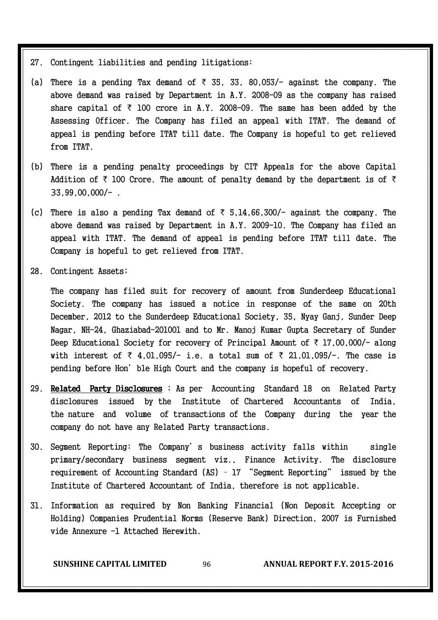- 27. Contingent liabilities and pending litigations:
- (a) There is a pending Tax demand of  $\bar{\tau}$  35, 33, 80,053/- against the company. The above demand was raised by Department in A.Y. 2008-09 as the company has raised share capital of  $\bar{\tau}$  100 crore in A.Y. 2008-09. The same has been added by the Assessing Officer. The Company has filed an appeal with ITAT. The demand of appeal is pending before ITAT till date. The Company is hopeful to get relieved from ITAT.
- (b) There is a pending penalty proceedings by CIT Appeals for the above Capital Addition of  $\bar{\tau}$  100 Crore. The amount of penalty demand by the department is of  $\bar{\tau}$ 33,99,00,000/- .
- (c) There is also a pending Tax demand of  $\bar{\tau}$  5,14,66,300/- against the company. The above demand was raised by Department in A.Y. 2009-10. The Company has filed an appeal with ITAT. The demand of appeal is pending before ITAT till date. The Company is hopeful to get relieved from ITAT.
- 28. Contingent Assets;

The company has filed suit for recovery of amount from Sunderdeep Educational Society. The company has issued a notice in response of the same on 20th December, 2012 to the Sunderdeep Educational Society, 35, Nyay Ganj, Sunder Deep Nagar, NH-24, Ghaziabad-201001 and to Mr. Manoj Kumar Gupta Secretary of Sunder Deep Educational Society for recovery of Principal Amount of  $\bar{\tau}$  17,00,000/- along with interest of  $\bar{\tau}$  4,01,095/- i.e. a total sum of  $\bar{\tau}$  21,01,095/-. The case is pending before Hon'ble High Court and the company is hopeful of recovery.

- 29. Related Party Disclosures ; As per Accounting Standard 18 on Related Party disclosures issued by the Institute of Chartered Accountants of India, the nature and volume of transactions of the Company during the year the company do not have any Related Party transactions.
- 30. Segment Reporting: The Company's business activity falls within single primary/secondary business segment viz., Finance Activity. The disclosure requirement of Accounting Standard (AS) – 17 "Segment Reporting" issued by the Institute of Chartered Accountant of India, therefore is not applicable.
- 31. Information as required by Non Banking Financial (Non Deposit Accepting or Holding) Companies Prudential Norms (Reserve Bank) Direction, 2007 is Furnished vide Annexure -1 Attached Herewith.

**SUNSHINE CAPITAL LIMITED** 96 **ANNUAL REPORT F.Y. 2015-2016**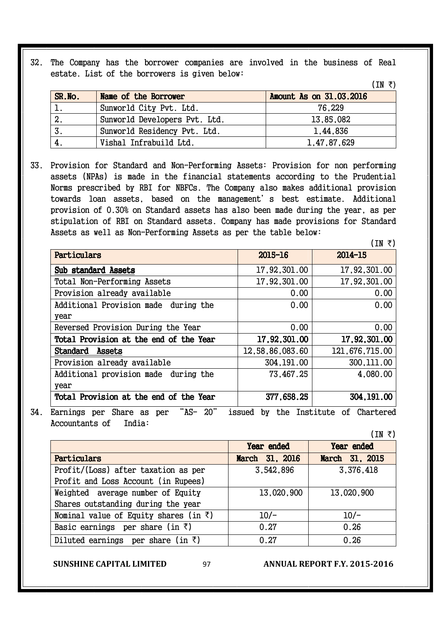32. The Company has the borrower companies are involved in the business of Real estate. List of the borrowers is given below:

| SR.No. | Name of the Borrower          | Amount As on 31.03.2016 |
|--------|-------------------------------|-------------------------|
|        | Sunworld City Pvt. Ltd.       | 76,229                  |
| 2.     | Sunworld Developers Pvt. Ltd. | 13,85,082               |
|        | Sunworld Residency Pvt. Ltd.  | 1,44,836                |
|        | Vishal Infrabuild Ltd.        | 1,47,87,629             |

33. Provision for Standard and Non-Performing Assets: Provision for non performing assets (NPAs) is made in the financial statements according to the Prudential Norms prescribed by RBI for NBFCs. The Company also makes additional provision towards loan assets, based on the management's best estimate. Additional provision of 0.30% on Standard assets has also been made during the year, as per stipulation of RBI on Standard assets. Company has made provisions for Standard Assets as well as Non-Performing Assets as per the table below:

|                 | (IN ₹)          |
|-----------------|-----------------|
| 2015-16         | 2014-15         |
| 17,92,301.00    | 17,92,301.00    |
| 17,92,301.00    | 17,92,301.00    |
| 0.00            | 0.00            |
| 0.00            | 0.00            |
|                 |                 |
| 0.00            | 0.00            |
| 17,92,301.00    | 17,92,301.00    |
| 12,58,86,083.60 | 121,676,715.00  |
| 304, 191, 00    | 300, 111, 00    |
| 73,467.25       | 4,080.00        |
|                 |                 |
| 377,658.25      | 304, 191, 00    |
|                 | _ _ _ _ _ _ _ _ |

34. Earnings per Share as per "AS- 20" issued by the Institute of Chartered Accountants of India:

 $(IN \tanh$ 

 $(IN \; \bar{\tau})$ 

|                                                | Year ended     | Year ended     |
|------------------------------------------------|----------------|----------------|
| Particulars                                    | March 31, 2016 | March 31, 2015 |
| Profit/(Loss) after taxation as per            | 3,542,896      | 3,376,418      |
| Profit and Loss Account (in Rupees)            |                |                |
| Weighted average number of Equity              | 13,020,900     | 13,020,900     |
| Shares outstanding during the year             |                |                |
| Nominal value of Equity shares (in $\bar{z}$ ) | $10/-$         | $10/-$         |
| Basic earnings per share (in $\bar{z}$ )       | 0.27           | 0.26           |
| Diluted earnings per share (in $\bar{z}$ )     | 0.27           | 0.26           |

**SUNSHINE CAPITAL LIMITED** 97 **ANNUAL REPORT F.Y. 2015-2016**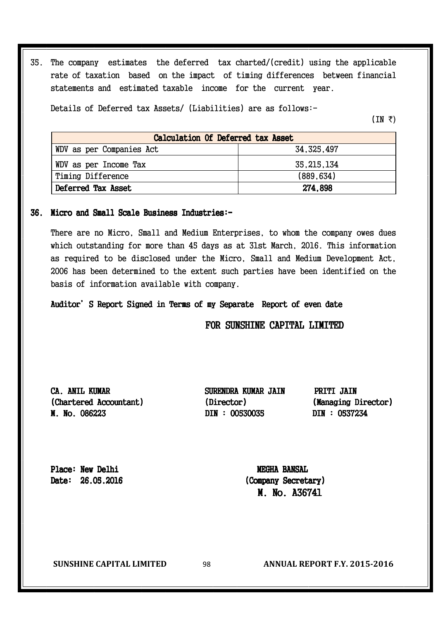35. The company estimates the deferred tax charted/(credit) using the applicable rate of taxation based on the impact of timing differences between financial statements and estimated taxable income for the current year.

Details of Deferred tax Assets/ (Liabilities) are as follows:-

 $(IN \tanh$ 

| Calculation Of Deferred tax Asset |              |  |  |  |  |  |
|-----------------------------------|--------------|--|--|--|--|--|
| WDV as per Companies Act          | 34, 325, 497 |  |  |  |  |  |
| WDV as per Income Tax             | 35, 215, 134 |  |  |  |  |  |
| Timing Difference                 | (889, 634)   |  |  |  |  |  |
| Deferred Tax Asset                | 274.898      |  |  |  |  |  |

#### 36. Micro and Small Scale Business Industries:-

There are no Micro, Small and Medium Enterprises, to whom the company owes dues which outstanding for more than 45 days as at 31st March, 2016. This information as required to be disclosed under the Micro, Small and Medium Development Act, 2006 has been determined to the extent such parties have been identified on the basis of information available with company.

Auditor's Report Signed in Terms of my Separate Report of even date

FOR SUNSHINE CAPITAL LIMITED

CA. ANIL KUMAR SURENDRA KUMAR JAIN PRITI JAIN (Chartered Accountant) (Director) (Managing Director) M. No. 086223 M. No. 086223 DIN : 00530035 DIN : 00530035 00530035 DIN : 0537234 DIN : 0537234 : 0537234

Place: New Delhi New MEGHA BANSAL

 $Date: 26.05.2016$  (Company Secretary) M. No. A36741

**SUNSHINE CAPITAL LIMITED** 98 **ANNUAL REPORT F.Y. 2015-2016**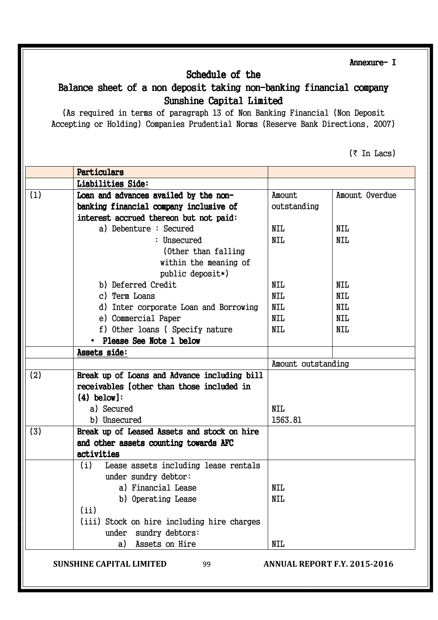Annexure- I

#### Schedule of the

#### Balance sheet of a non deposit taking non-banking financial company Sunshine Capital Limited

(As required in terms of paragraph 13 of Non Banking Financial (Non Deposit Accepting or Holding) Companies Prudential Norms (Reserve Bank Directions, 2007)

 $(\bar{\tau}$  In Lacs)

|     | Particulars                                  |                    |                |
|-----|----------------------------------------------|--------------------|----------------|
|     | Liabilities Side:                            |                    |                |
| (1) | Loan and advances availed by the non-        | Amount             | Amount Overdue |
|     | banking financial company inclusive of       | outstanding        |                |
|     | interest accrued thereon but not paid:       |                    |                |
|     | a) Debenture : Secured                       | <b>NIL</b>         | <b>NIL</b>     |
|     | : Unsecured                                  | <b>NIL</b>         | <b>NIL</b>     |
|     | (Other than falling)                         |                    |                |
|     | within the meaning of                        |                    |                |
|     | public deposit*)                             |                    |                |
|     | b) Deferred Credit                           | <b>NIL</b>         | <b>NIL</b>     |
|     | c) Term Loans                                | <b>NIL</b>         | <b>NIL</b>     |
|     | d) Inter corporate Loan and Borrowing        | <b>NIL</b>         | <b>NIL</b>     |
|     | e) Commercial Paper                          | <b>NIL</b>         | <b>NIL</b>     |
|     | f) Other loans (Specify nature               | <b>NIL</b>         | <b>NIL</b>     |
|     | Please See Note 1 below                      |                    |                |
|     | Assets side:                                 |                    |                |
|     |                                              | Amount outstanding |                |
| (2) | Break up of Loans and Advance including bill |                    |                |
|     | receivables (other than those included in    |                    |                |
|     | $(4)$ below]:                                |                    |                |
|     | a) Secured                                   | <b>NIL</b>         |                |
|     | b) Unsecured                                 | 1563.81            |                |
| (3) | Break up of Leased Assets and stock on hire  |                    |                |
|     | and other assets counting towards AFC        |                    |                |
|     | activities                                   |                    |                |
|     | (i)<br>Lease assets including lease rentals  |                    |                |
|     | under sundry debtor:                         |                    |                |
|     | a) Financial Lease                           | NIL                |                |
|     | b) Operating Lease                           | <b>NIL</b>         |                |
|     | (ii)                                         |                    |                |
|     | (iii) Stock on hire including hire charges   |                    |                |
|     | sundry debtors:<br>under                     |                    |                |
|     | Assets on Hire<br>a)                         | <b>NIL</b>         |                |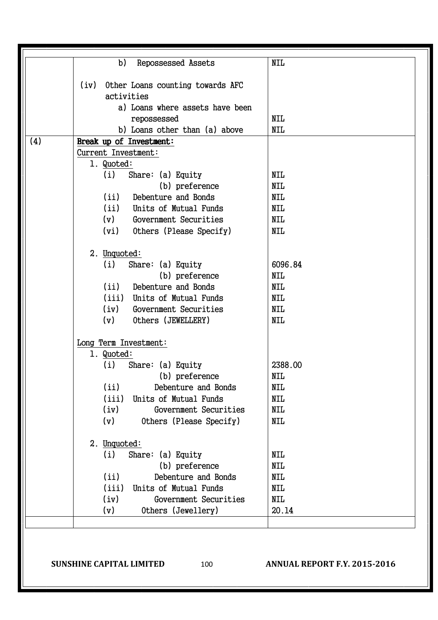| b)<br>Repossessed Assets              | <b>NIL</b> |
|---------------------------------------|------------|
| (iv) Other Loans counting towards AFC |            |
| activities                            |            |
| a) Loans where assets have been       |            |
| repossessed                           | <b>NIL</b> |
| b) Loans other than (a) above         | <b>NIL</b> |
| (4)<br>Break up of Investment:        |            |
| Current Investment:                   |            |
| 1. Quoted:                            |            |
| (i)<br>Share: $(a)$ Equity            | <b>NIL</b> |
| (b) preference                        | <b>NIL</b> |
| Debenture and Bonds<br>(ii)           | <b>NIL</b> |
| (ii)<br>Units of Mutual Funds         | <b>NIL</b> |
| (v)<br>Government Securities          | <b>NIL</b> |
| (vi) Others (Please Specify)          | <b>NIL</b> |
| 2. Unquoted:                          |            |
| Share: (a) Equity<br>(i)              | 6096.84    |
| (b) preference                        | <b>NIL</b> |
| (ii)<br>Debenture and Bonds           | <b>NIL</b> |
| (iii)<br>Units of Mutual Funds        | <b>NIL</b> |
| (iv)<br>Government Securities         | <b>NIL</b> |
| Others (JEWELLERY)<br>(v)             | <b>NIL</b> |
|                                       |            |
| Long Term Investment:                 |            |
| 1. Quoted:                            |            |
| (i)<br>Share: $(a)$ Equity            | 2388.00    |
| (b) preference                        | NIL        |
| (ii)<br>Debenture and Bonds           | <b>NIL</b> |
| (iii)<br>Units of Mutual Funds        | <b>NIL</b> |
| (iv)<br>Government Securities         | <b>NIL</b> |
| (v)<br>Others (Please Specify)        | <b>NIL</b> |
| 2. Unquoted:                          |            |
| Share: (a) Equity<br>(i)              | <b>NIL</b> |
| (b) preference                        | <b>NIL</b> |
| (ii)<br>Debenture and Bonds           | <b>NIL</b> |
| (iii)<br>Units of Mutual Funds        | <b>NIL</b> |
| (iv)<br>Government Securities         | <b>NIL</b> |
| Others (Jewellery)<br>(v)             | 20.14      |
|                                       |            |

#### **SUNSHINE CAPITAL LIMITED** 100 **ANNUAL REPORT F.Y. 2015-2016**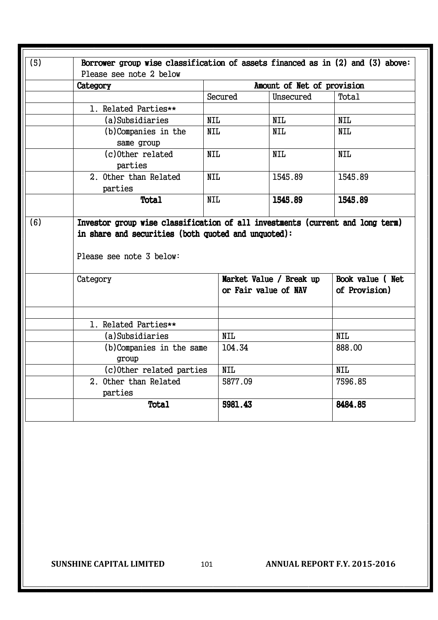| (5) | Borrower group wise classification of assets financed as in (2) and (3) above:                                                                |            |                            |                 |  |  |  |  |  |
|-----|-----------------------------------------------------------------------------------------------------------------------------------------------|------------|----------------------------|-----------------|--|--|--|--|--|
|     | Please see note 2 below                                                                                                                       |            |                            |                 |  |  |  |  |  |
|     | Category                                                                                                                                      |            | Amount of Net of provision |                 |  |  |  |  |  |
|     |                                                                                                                                               | Secured    | Unsecured                  | Total           |  |  |  |  |  |
|     | 1. Related Parties**                                                                                                                          |            |                            |                 |  |  |  |  |  |
|     | (a)Subsidiaries                                                                                                                               | <b>NIL</b> | <b>NIL</b>                 | NIL             |  |  |  |  |  |
|     | (b)Companies in the<br>same group                                                                                                             | <b>NIL</b> | <b>NIL</b>                 | <b>NIL</b>      |  |  |  |  |  |
|     | (c) Other related<br>parties                                                                                                                  | <b>NIL</b> | <b>NIL</b>                 | <b>NIL</b>      |  |  |  |  |  |
|     | 2. Other than Related<br>parties                                                                                                              | <b>NIL</b> | 1545.89                    | 1545.89         |  |  |  |  |  |
|     |                                                                                                                                               |            |                            |                 |  |  |  |  |  |
| (6) | Total<br>Investor group wise classification of all investments (current and long term)<br>in share and securities (both quoted and unquoted): | <b>NIL</b> | 1545.89                    | 1545.89         |  |  |  |  |  |
|     | Please see note 3 below:<br>Category                                                                                                          |            | Market Value / Break up    | Book value (Net |  |  |  |  |  |
|     |                                                                                                                                               |            | or Fair value of NAV       | of Provision)   |  |  |  |  |  |
|     | 1. Related Parties**                                                                                                                          |            |                            |                 |  |  |  |  |  |
|     | (a)Subsidiaries                                                                                                                               | <b>NIL</b> |                            | <b>NIL</b>      |  |  |  |  |  |
|     | (b) Companies in the same<br>group                                                                                                            | 104.34     |                            | 888.00          |  |  |  |  |  |
|     | (c) Other related parties                                                                                                                     | <b>NIL</b> |                            | <b>NIL</b>      |  |  |  |  |  |
|     | 2. Other than Related<br>parties                                                                                                              | 5877.09    |                            | 7596.85         |  |  |  |  |  |

**SUNSHINE CAPITAL LIMITED** 101 **ANNUAL REPORT F.Y. 2015-2016**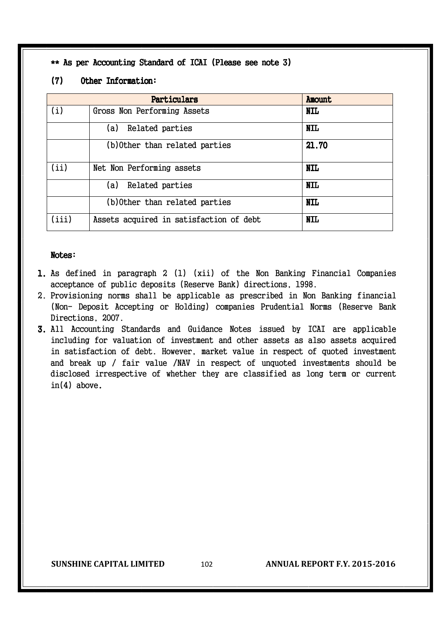\*\* As per Accounting Standard of ICAI (Please see note 3)

#### (7) Other Information:

|       | Particulars                             | <b>Anount</b> |
|-------|-----------------------------------------|---------------|
| (i)   | Gross Non Performing Assets             | <b>NIL</b>    |
|       | Related parties<br>(a)                  | <b>NIL</b>    |
|       | (b) Other than related parties          | 21.70         |
| (ii)  | Net Non Performing assets               | <b>NIL</b>    |
|       | Related parties<br>(a)                  | <b>NIL</b>    |
|       | (b) Other than related parties          | <b>NIL</b>    |
| (iii) | Assets acquired in satisfaction of debt | <b>NIL</b>    |

#### Notes:

- 1. As defined in paragraph 2 (1) (xii) of the Non Banking Financial Companies acceptance of public deposits (Reserve Bank) directions, 1998.
- 2. Provisioning norms shall be applicable as prescribed in Non Banking financial (Non- Deposit Accepting or Holding) companies Prudential Norms (Reserve Bank Directions, 2007.
- 3. All Accounting Standards and Guidance Notes issued by ICAI are applicable including for valuation of investment and other assets as also assets acquired in satisfaction of debt. However, market value in respect of quoted investment and break up / fair value /NAV in respect of unquoted investments should be disclosed irrespective of whether they are classified as long term or current in(4) above.

**SUNSHINE CAPITAL LIMITED** 102 **ANNUAL REPORT F.Y. 2015-2016**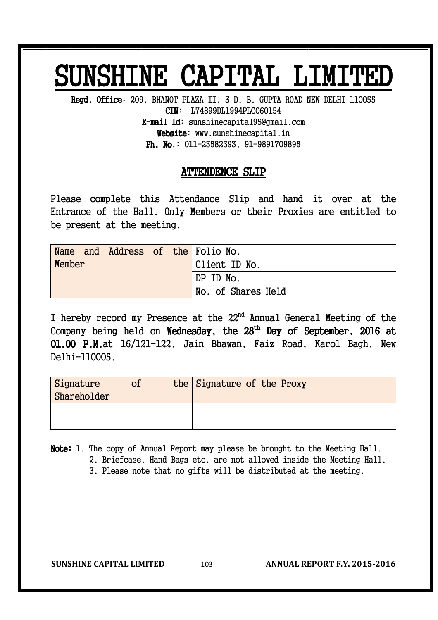## SUNSHINE CAPITAL LIMITED

Regd. Office: 209, BHANOT PLAZA II, 3 D. B. GUPTA ROAD NEW DELHI 110055 CIN: L74899DL1994PLC060154  $E$ -mail Id: sunshinecapital95@gmail.com Website: www.sunshinecapital.in **Ph. No.:**  $011-23582393$ ,  $91-9891709895$ 

### ATTENDENCE SLIP

Please complete this Attendance Slip and hand it over at the Entrance of the Hall. Only Members or their Proxies are entitled to be present at the meeting.

| Name   |  |  | and Address of the Folio No. |
|--------|--|--|------------------------------|
| Member |  |  | Client ID No.                |
|        |  |  | DP ID No.                    |
|        |  |  | No. of Shares Held           |

I hereby record my Presence at the 22<sup>nd</sup> Annual General Meeting of the Company being held on Wednesday, the  $28^{\text{th}}$  Day of September, 2016 at 01.00 P.M.at 16/121-122, Jain Bhawan, Faiz Road, Karol Bagh, New Delhi-110005.

| Signature<br>Shareholder | of | the Signature of the Proxy |
|--------------------------|----|----------------------------|
|                          |    |                            |

Note: 1. The copy of Annual Report may please be brought to the Meeting Hall.

2. Briefcase, Hand Bags etc. are not allowed inside the Meeting Hall.

3. Please note that no gifts will be distributed at the meeting.

**SUNSHINE CAPITAL LIMITED** 103 **ANNUAL REPORT F.Y. 2015-2016**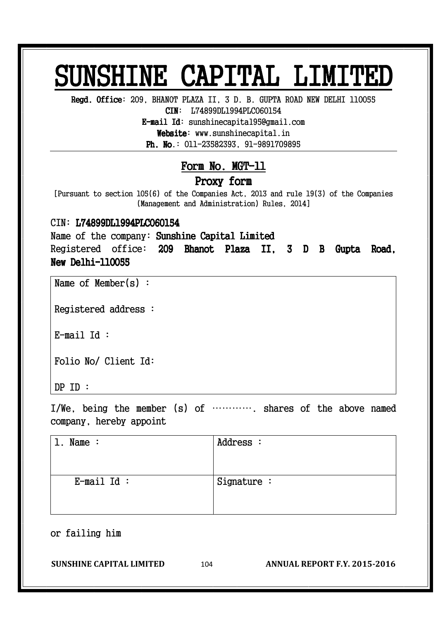## SUNSHINE CAPITAL LIMITED

Regd. Office: 209, BHANOT PLAZA II, 3 D. B. GUPTA ROAD NEW DELHI 110055

CIN: L74899DL1994PLC060154

E-mail Id: sunshinecapital95@gmail.com Website: www.sunshinecapital.in

**Ph. No.:**  $011-23582393$ ,  $91-9891709895$ 

### Form No. MGT-11

#### Proxy form

[Pursuant to section 105(6) of the Companies Act, 2013 and rule 19(3) of the Companies (Management and Administration) Rules, 2014]

#### CIN: L74899DL1994PLC060154

Name of the company: Sunshine Capital Limited Registered office: 209 Bhanot Plaza II, 3 D B Gupta Road, New Delhi-110055

Name of Member(s) :

Registered address :

E-mail Id :

Folio No/ Client Id:

DP ID :

I/We, being the member (s) of …………. shares of the above named company, hereby appoint

| Name $:$      | Address :     |
|---------------|---------------|
| $E$ -mail Id: | Signature $:$ |

or failing him  $\overline{\phantom{a}}$ 

**SUNSHINE CAPITAL LIMITED** 104 **ANNUAL REPORT F.Y. 2015-2016**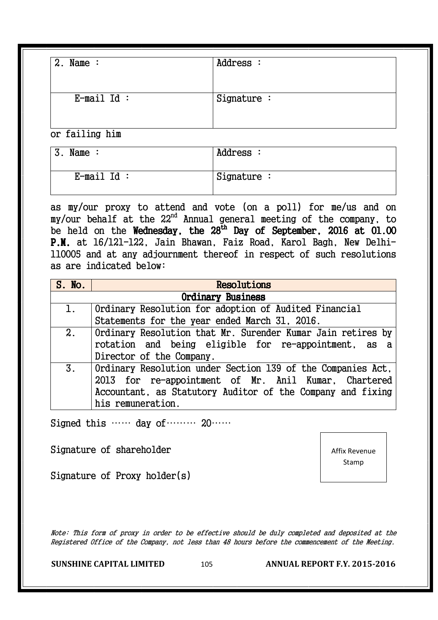| $2.$ Name :    | Address :     |  |
|----------------|---------------|--|
| $E$ -mail Id:  | Signature $:$ |  |
| or failing him |               |  |

3. Name : Address :  $E$ -mail Id :  $|\text{ Signature}:$ 

as my/our proxy to attend and vote (on a poll) for me/us and on my/our behalf at the 22nd Annual general meeting of the company, to be held on the Wednesday, the 28<sup>th</sup> Day of September, 2016 at 01.00 P.M. at 16/121-122, Jain Bhawan, Faiz Road, Karol Bagh, New Delhi-110005 and at any adjournment thereof in respect of such resolutions as are indicated below:

| S. No.                   | <b>Resolutions</b>                                          |
|--------------------------|-------------------------------------------------------------|
| <b>Ordinary Business</b> |                                                             |
| $\mathbf{1}$ .           | Ordinary Resolution for adoption of Audited Financial       |
|                          | Statements for the year ended March 31, 2016.               |
| 2.                       | Ordinary Resolution that Mr. Surender Kumar Jain retires by |
|                          | rotation and being eligible for re-appointment, as a        |
|                          | Director of the Company.                                    |
| 3 <sub>1</sub>           | Ordinary Resolution under Section 139 of the Companies Act, |
|                          | 2013 for re-appointment of Mr. Anil Kumar, Chartered        |
|                          | Accountant, as Statutory Auditor of the Company and fixing  |
|                          | his remuneration.                                           |

Signed this …… day of……… 20……

Signature of shareholder

Signature of Proxy holder(s)

Note: This form of proxy in order to be effective should be duly completed and deposited at the Registered Office of the Company, not less than 48 hours before the commencement of the Meeting.

**SUNSHINE CAPITAL LIMITED** 105 **ANNUAL REPORT F.Y. 2015-2016** 

Affix Revenue Stamp